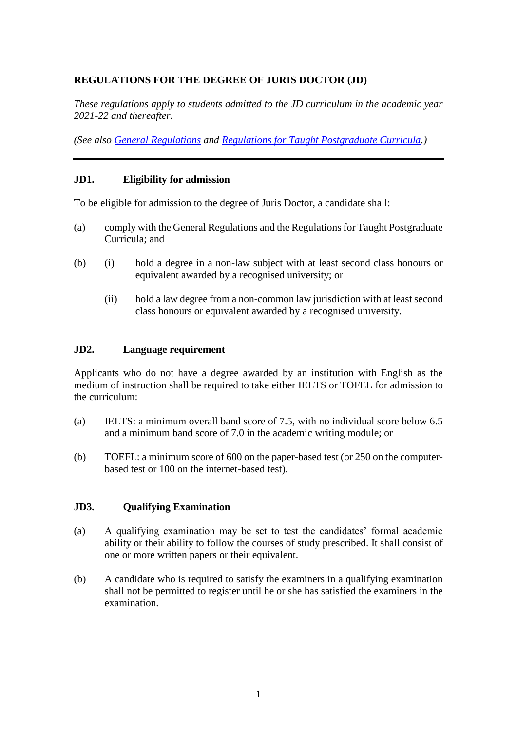## **REGULATIONS FOR THE DEGREE OF JURIS DOCTOR (JD)**

*These regulations apply to students admitted to the JD curriculum in the academic year 2021-22 and thereafter.*

*(See also [General Regulations](https://www4.hku.hk/pubunit/drcd/files/pgdr2021-22/genreg.pdf) and [Regulations for Taught Postgraduate Curricula.](https://www4.hku.hk/pubunit/drcd/files/pgdr2021-22/tpg-regulations.pdf))*

#### **JD1. Eligibility for admission**

To be eligible for admission to the degree of Juris Doctor, a candidate shall:

- (a) comply with the General Regulations and the Regulations for Taught Postgraduate Curricula; and
- (b) (i) hold a degree in a non-law subject with at least second class honours or equivalent awarded by a recognised university; or
	- (ii) hold a law degree from a non-common law jurisdiction with at least second class honours or equivalent awarded by a recognised university.

#### **JD2. Language requirement**

Applicants who do not have a degree awarded by an institution with English as the medium of instruction shall be required to take either IELTS or TOFEL for admission to the curriculum:

- (a) IELTS: a minimum overall band score of 7.5, with no individual score below 6.5 and a minimum band score of 7.0 in the academic writing module; or
- (b) TOEFL: a minimum score of 600 on the paper-based test (or 250 on the computerbased test or 100 on the internet-based test).

#### **JD3. Qualifying Examination**

- (a) A qualifying examination may be set to test the candidates' formal academic ability or their ability to follow the courses of study prescribed. It shall consist of one or more written papers or their equivalent.
- (b) A candidate who is required to satisfy the examiners in a qualifying examination shall not be permitted to register until he or she has satisfied the examiners in the examination.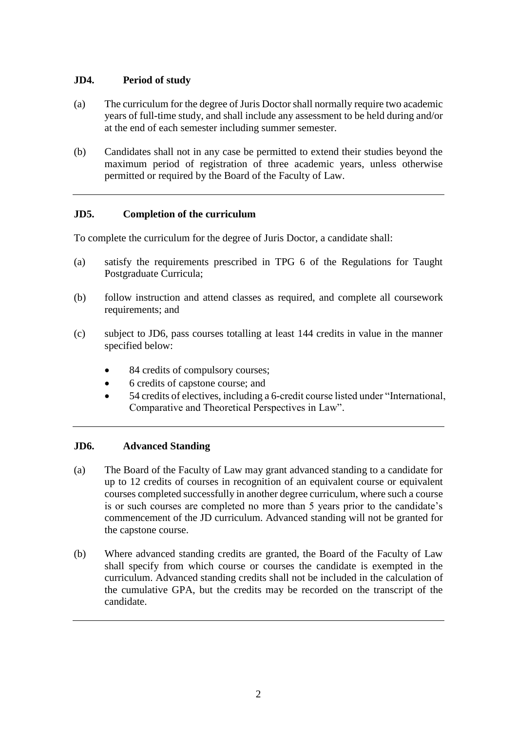# **JD4. Period of study**

- (a) The curriculum for the degree of Juris Doctor shall normally require two academic years of full-time study, and shall include any assessment to be held during and/or at the end of each semester including summer semester.
- (b) Candidates shall not in any case be permitted to extend their studies beyond the maximum period of registration of three academic years, unless otherwise permitted or required by the Board of the Faculty of Law.

## **JD5. Completion of the curriculum**

To complete the curriculum for the degree of Juris Doctor, a candidate shall:

- (a) satisfy the requirements prescribed in TPG 6 of the Regulations for Taught Postgraduate Curricula;
- (b) follow instruction and attend classes as required, and complete all coursework requirements; and
- (c) subject to JD6, pass courses totalling at least 144 credits in value in the manner specified below:
	- 84 credits of compulsory courses;
	- 6 credits of capstone course; and
	- 54 credits of electives, including a 6-credit course listed under "International, Comparative and Theoretical Perspectives in Law".

# **JD6. Advanced Standing**

- (a) The Board of the Faculty of Law may grant advanced standing to a candidate for up to 12 credits of courses in recognition of an equivalent course or equivalent courses completed successfully in another degree curriculum, where such a course is or such courses are completed no more than 5 years prior to the candidate's commencement of the JD curriculum. Advanced standing will not be granted for the capstone course.
- (b) Where advanced standing credits are granted, the Board of the Faculty of Law shall specify from which course or courses the candidate is exempted in the curriculum. Advanced standing credits shall not be included in the calculation of the cumulative GPA, but the credits may be recorded on the transcript of the candidate.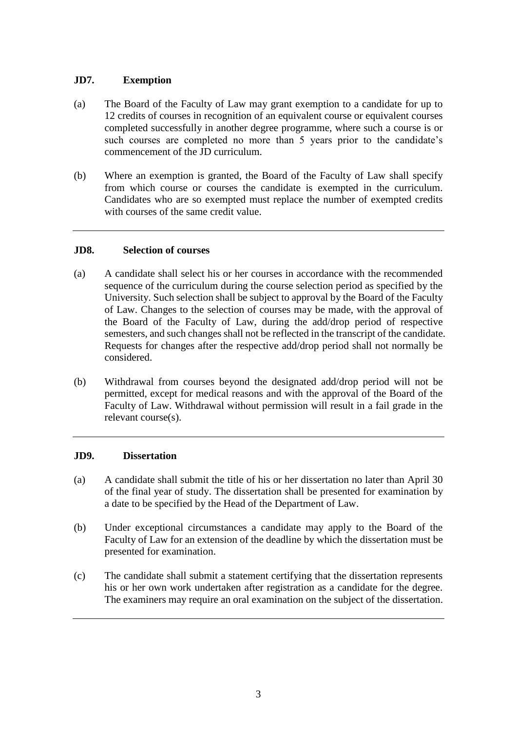# **JD7. Exemption**

- (a) The Board of the Faculty of Law may grant exemption to a candidate for up to 12 credits of courses in recognition of an equivalent course or equivalent courses completed successfully in another degree programme, where such a course is or such courses are completed no more than 5 years prior to the candidate's commencement of the JD curriculum.
- (b) Where an exemption is granted, the Board of the Faculty of Law shall specify from which course or courses the candidate is exempted in the curriculum. Candidates who are so exempted must replace the number of exempted credits with courses of the same credit value.

## **JD8. Selection of courses**

- (a) A candidate shall select his or her courses in accordance with the recommended sequence of the curriculum during the course selection period as specified by the University. Such selection shall be subject to approval by the Board of the Faculty of Law. Changes to the selection of courses may be made, with the approval of the Board of the Faculty of Law, during the add/drop period of respective semesters, and such changes shall not be reflected in the transcript of the candidate. Requests for changes after the respective add/drop period shall not normally be considered.
- (b) Withdrawal from courses beyond the designated add/drop period will not be permitted, except for medical reasons and with the approval of the Board of the Faculty of Law. Withdrawal without permission will result in a fail grade in the relevant course(s).

## **JD9. Dissertation**

- (a) A candidate shall submit the title of his or her dissertation no later than April 30 of the final year of study. The dissertation shall be presented for examination by a date to be specified by the Head of the Department of Law.
- (b) Under exceptional circumstances a candidate may apply to the Board of the Faculty of Law for an extension of the deadline by which the dissertation must be presented for examination.
- (c) The candidate shall submit a statement certifying that the dissertation represents his or her own work undertaken after registration as a candidate for the degree. The examiners may require an oral examination on the subject of the dissertation.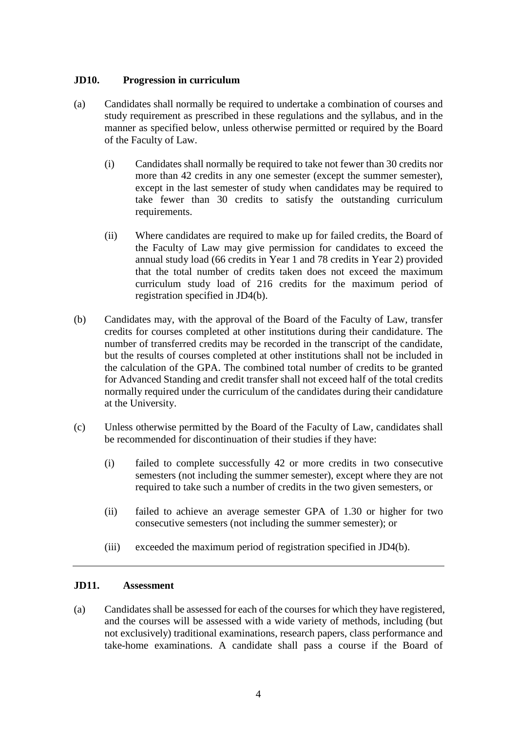### **JD10. Progression in curriculum**

- (a) Candidates shall normally be required to undertake a combination of courses and study requirement as prescribed in these regulations and the syllabus, and in the manner as specified below, unless otherwise permitted or required by the Board of the Faculty of Law.
	- (i) Candidates shall normally be required to take not fewer than 30 credits nor more than 42 credits in any one semester (except the summer semester), except in the last semester of study when candidates may be required to take fewer than 30 credits to satisfy the outstanding curriculum requirements.
	- (ii) Where candidates are required to make up for failed credits, the Board of the Faculty of Law may give permission for candidates to exceed the annual study load (66 credits in Year 1 and 78 credits in Year 2) provided that the total number of credits taken does not exceed the maximum curriculum study load of 216 credits for the maximum period of registration specified in JD4(b).
- (b) Candidates may, with the approval of the Board of the Faculty of Law, transfer credits for courses completed at other institutions during their candidature. The number of transferred credits may be recorded in the transcript of the candidate, but the results of courses completed at other institutions shall not be included in the calculation of the GPA. The combined total number of credits to be granted for Advanced Standing and credit transfer shall not exceed half of the total credits normally required under the curriculum of the candidates during their candidature at the University.
- (c) Unless otherwise permitted by the Board of the Faculty of Law, candidates shall be recommended for discontinuation of their studies if they have:
	- (i) failed to complete successfully 42 or more credits in two consecutive semesters (not including the summer semester), except where they are not required to take such a number of credits in the two given semesters, or
	- (ii) failed to achieve an average semester GPA of 1.30 or higher for two consecutive semesters (not including the summer semester); or
	- (iii) exceeded the maximum period of registration specified in JD4(b).

#### **JD11. Assessment**

(a) Candidates shall be assessed for each of the courses for which they have registered, and the courses will be assessed with a wide variety of methods, including (but not exclusively) traditional examinations, research papers, class performance and take-home examinations. A candidate shall pass a course if the Board of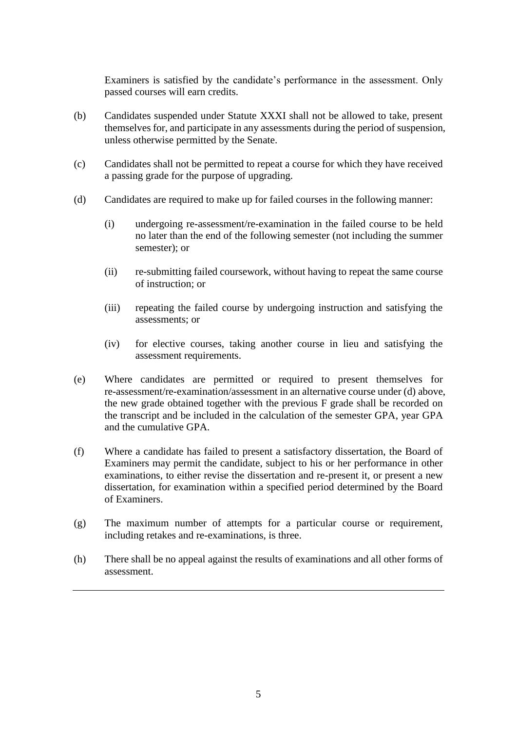Examiners is satisfied by the candidate's performance in the assessment. Only passed courses will earn credits.

- (b) Candidates suspended under Statute XXXI shall not be allowed to take, present themselves for, and participate in any assessments during the period of suspension, unless otherwise permitted by the Senate.
- (c) Candidates shall not be permitted to repeat a course for which they have received a passing grade for the purpose of upgrading.
- (d) Candidates are required to make up for failed courses in the following manner:
	- (i) undergoing re-assessment/re-examination in the failed course to be held no later than the end of the following semester (not including the summer semester); or
	- (ii) re-submitting failed coursework, without having to repeat the same course of instruction; or
	- (iii) repeating the failed course by undergoing instruction and satisfying the assessments; or
	- (iv) for elective courses, taking another course in lieu and satisfying the assessment requirements.
- (e) Where candidates are permitted or required to present themselves for re-assessment/re-examination/assessment in an alternative course under (d) above, the new grade obtained together with the previous F grade shall be recorded on the transcript and be included in the calculation of the semester GPA, year GPA and the cumulative GPA.
- (f) Where a candidate has failed to present a satisfactory dissertation, the Board of Examiners may permit the candidate, subject to his or her performance in other examinations, to either revise the dissertation and re-present it, or present a new dissertation, for examination within a specified period determined by the Board of Examiners.
- (g) The maximum number of attempts for a particular course or requirement, including retakes and re-examinations, is three.
- (h) There shall be no appeal against the results of examinations and all other forms of assessment.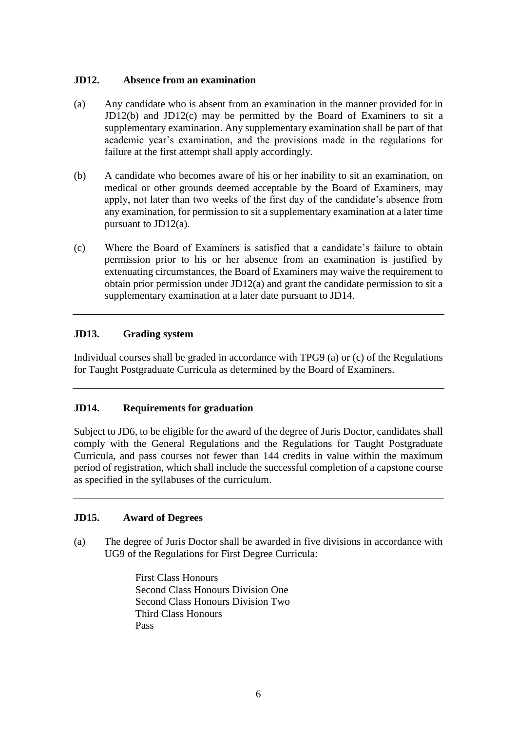### **JD12. Absence from an examination**

- (a) Any candidate who is absent from an examination in the manner provided for in JD12(b) and JD12(c) may be permitted by the Board of Examiners to sit a supplementary examination. Any supplementary examination shall be part of that academic year's examination, and the provisions made in the regulations for failure at the first attempt shall apply accordingly.
- (b) A candidate who becomes aware of his or her inability to sit an examination, on medical or other grounds deemed acceptable by the Board of Examiners, may apply, not later than two weeks of the first day of the candidate's absence from any examination, for permission to sit a supplementary examination at a later time pursuant to JD12(a).
- (c) Where the Board of Examiners is satisfied that a candidate's failure to obtain permission prior to his or her absence from an examination is justified by extenuating circumstances, the Board of Examiners may waive the requirement to obtain prior permission under JD12(a) and grant the candidate permission to sit a supplementary examination at a later date pursuant to JD14.

### **JD13. Grading system**

Individual courses shall be graded in accordance with TPG9 (a) or (c) of the Regulations for Taught Postgraduate Curricula as determined by the Board of Examiners.

## **JD14. Requirements for graduation**

Subject to JD6, to be eligible for the award of the degree of Juris Doctor, candidates shall comply with the General Regulations and the Regulations for Taught Postgraduate Curricula, and pass courses not fewer than 144 credits in value within the maximum period of registration, which shall include the successful completion of a capstone course as specified in the syllabuses of the curriculum.

## **JD15. Award of Degrees**

(a) The degree of Juris Doctor shall be awarded in five divisions in accordance with UG9 of the Regulations for First Degree Curricula:

> First Class Honours Second Class Honours Division One Second Class Honours Division Two Third Class Honours Pass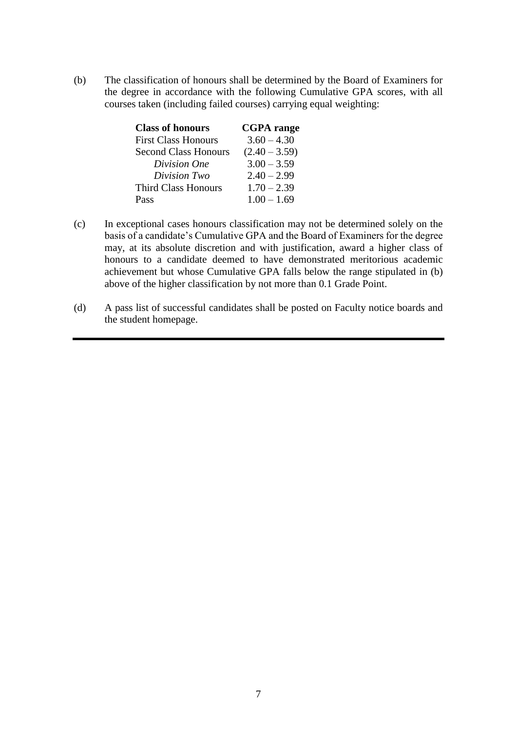(b) The classification of honours shall be determined by the Board of Examiners for the degree in accordance with the following Cumulative GPA scores, with all courses taken (including failed courses) carrying equal weighting:

| <b>Class of honours</b>     | <b>CGPA</b> range |
|-----------------------------|-------------------|
| <b>First Class Honours</b>  | $3.60 - 4.30$     |
| <b>Second Class Honours</b> | $(2.40 - 3.59)$   |
| Division One                | $3.00 - 3.59$     |
| Division Two                | $2.40 - 2.99$     |
| <b>Third Class Honours</b>  | $1.70 - 2.39$     |
| Pass                        | $1.00 - 1.69$     |

- (c) In exceptional cases honours classification may not be determined solely on the basis of a candidate's Cumulative GPA and the Board of Examiners for the degree may, at its absolute discretion and with justification, award a higher class of honours to a candidate deemed to have demonstrated meritorious academic achievement but whose Cumulative GPA falls below the range stipulated in (b) above of the higher classification by not more than 0.1 Grade Point.
- (d) A pass list of successful candidates shall be posted on Faculty notice boards and the student homepage.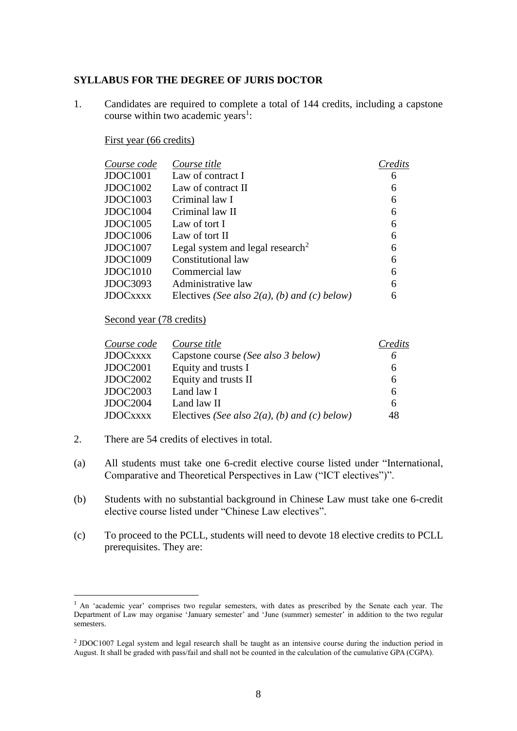#### **SYLLABUS FOR THE DEGREE OF JURIS DOCTOR**

1. Candidates are required to complete a total of 144 credits, including a capstone course within two academic years<sup>1</sup>:

#### First year (66 credits)

| Course code      | Course title                                    | Credits |
|------------------|-------------------------------------------------|---------|
| JDOC1001         | Law of contract I                               | 6       |
| JDOC1002         | Law of contract II                              | 6       |
| JDOC1003         | Criminal law I                                  | 6       |
| JDOC1004         | Criminal law II                                 | 6       |
| JDOC1005         | Law of tort I                                   | 6       |
| JDOC1006         | Law of tort II                                  | 6       |
| JDOC1007         | Legal system and legal research <sup>2</sup>    | 6       |
| JDOC1009         | Constitutional law                              | 6       |
| JDOC1010         | Commercial law                                  | 6       |
| JDOC3093         | Administrative law                              | 6       |
| <b>JDOC</b> xxxx | Electives (See also $2(a)$ , (b) and (c) below) | 6       |

#### Second year (78 credits)

| Course code      | Course title                                    | Credits |
|------------------|-------------------------------------------------|---------|
| <b>JDOC</b> xxxx | Capstone course (See also 3 below)              | 6       |
| JDOC2001         | Equity and trusts I                             | 6       |
| JDOC2002         | Equity and trusts II                            | 6       |
| JDOC2003         | Land law I                                      | 6       |
| JDOC2004         | Land law II                                     | 6       |
| <b>JDOC</b> xxxx | Electives (See also $2(a)$ , (b) and (c) below) | 48      |

2. There are 54 credits of electives in total.

<u>.</u>

- (a) All students must take one 6-credit elective course listed under "International, Comparative and Theoretical Perspectives in Law ("ICT electives")".
- (b) Students with no substantial background in Chinese Law must take one 6-credit elective course listed under "Chinese Law electives".
- (c) To proceed to the PCLL, students will need to devote 18 elective credits to PCLL prerequisites. They are:

<sup>&</sup>lt;sup>1</sup> An 'academic year' comprises two regular semesters, with dates as prescribed by the Senate each year. The Department of Law may organise 'January semester' and 'June (summer) semester' in addition to the two regular semesters.

<sup>2</sup> JDOC1007 Legal system and legal research shall be taught as an intensive course during the induction period in August. It shall be graded with pass/fail and shall not be counted in the calculation of the cumulative GPA (CGPA).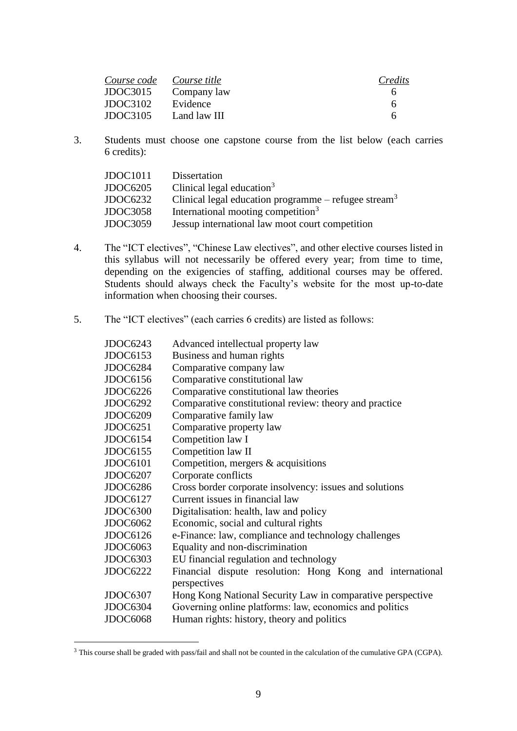| Course code Course title |              | Credits |
|--------------------------|--------------|---------|
| JDOC3015                 | Company law  |         |
| JDOC3102                 | Evidence     | 6       |
| JDOC3105                 | Land law III | 6       |

3. Students must choose one capstone course from the list below (each carries 6 credits):

| JDOC1011        | Dissertation                                                     |
|-----------------|------------------------------------------------------------------|
| <b>JDOC6205</b> | Clinical legal education $3$                                     |
| JDOC6232        | Clinical legal education programme – refugee stream <sup>3</sup> |
| <b>JDOC3058</b> | International mooting competition <sup>3</sup>                   |
| <b>JDOC3059</b> | Jessup international law moot court competition                  |

- 4. The "ICT electives", "Chinese Law electives", and other elective courses listed in this syllabus will not necessarily be offered every year; from time to time, depending on the exigencies of staffing, additional courses may be offered. Students should always check the Faculty's website for the most up-to-date information when choosing their courses.
- 5. The "ICT electives" (each carries 6 credits) are listed as follows:

| <b>JDOC6243</b> | Advanced intellectual property law                         |
|-----------------|------------------------------------------------------------|
| <b>JDOC6153</b> | Business and human rights                                  |
| JDOC6284        | Comparative company law                                    |
| <b>JDOC6156</b> | Comparative constitutional law                             |
| <b>JDOC6226</b> | Comparative constitutional law theories                    |
| <b>JDOC6292</b> | Comparative constitutional review: theory and practice     |
| <b>JDOC6209</b> | Comparative family law                                     |
| <b>JDOC6251</b> | Comparative property law                                   |
| <b>JDOC6154</b> | Competition law I                                          |
| JDOC6155        | Competition law II                                         |
| <b>JDOC6101</b> | Competition, mergers $&$ acquisitions                      |
| JDOC6207        | Corporate conflicts                                        |
| JDOC6286        | Cross border corporate insolvency: issues and solutions    |
| <b>JDOC6127</b> | Current issues in financial law                            |
| <b>JDOC6300</b> | Digitalisation: health, law and policy                     |
| JDOC6062        | Economic, social and cultural rights                       |
| <b>JDOC6126</b> | e-Finance: law, compliance and technology challenges       |
| <b>JDOC6063</b> | Equality and non-discrimination                            |
| <b>JDOC6303</b> | EU financial regulation and technology                     |
| <b>JDOC6222</b> | Financial dispute resolution: Hong Kong and international  |
|                 | perspectives                                               |
| JDOC6307        | Hong Kong National Security Law in comparative perspective |
| JDOC6304        | Governing online platforms: law, economics and politics    |
| JDOC6068        | Human rights: history, theory and politics                 |
|                 |                                                            |

<sup>&</sup>lt;sup>3</sup> This course shall be graded with pass/fail and shall not be counted in the calculation of the cumulative GPA (CGPA).

<u>.</u>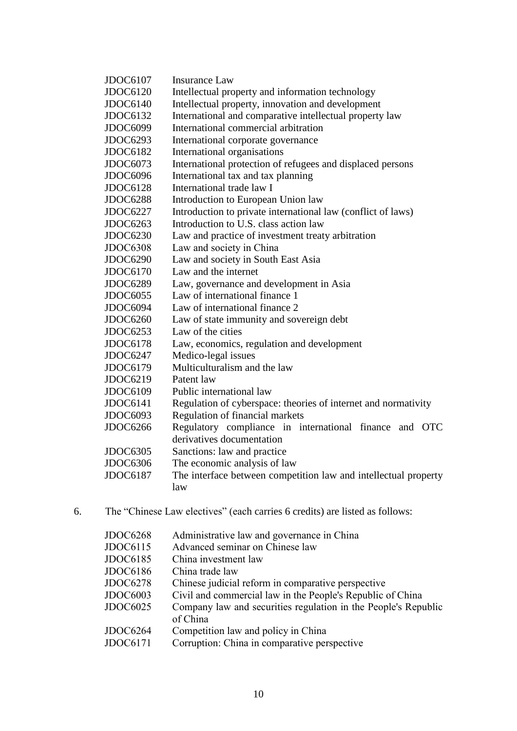| <b>JDOC6107</b> | <b>Insurance Law</b>                                                                |
|-----------------|-------------------------------------------------------------------------------------|
| <b>JDOC6120</b> | Intellectual property and information technology                                    |
| <b>JDOC6140</b> | Intellectual property, innovation and development                                   |
| JDOC6132        | International and comparative intellectual property law                             |
| <b>JDOC6099</b> | International commercial arbitration                                                |
| JDOC6293        | International corporate governance                                                  |
| <b>JDOC6182</b> | International organisations                                                         |
| JDOC6073        | International protection of refugees and displaced persons                          |
| JDOC6096        | International tax and tax planning                                                  |
| <b>JDOC6128</b> | International trade law I                                                           |
| <b>JDOC6288</b> | Introduction to European Union law                                                  |
| <b>JDOC6227</b> | Introduction to private international law (conflict of laws)                        |
| <b>JDOC6263</b> | Introduction to U.S. class action law                                               |
| <b>JDOC6230</b> | Law and practice of investment treaty arbitration                                   |
| <b>JDOC6308</b> | Law and society in China                                                            |
| <b>JDOC6290</b> | Law and society in South East Asia                                                  |
| <b>JDOC6170</b> | Law and the internet                                                                |
| <b>JDOC6289</b> | Law, governance and development in Asia                                             |
| <b>JDOC6055</b> | Law of international finance 1                                                      |
| JDOC6094        | Law of international finance 2                                                      |
| <b>JDOC6260</b> | Law of state immunity and sovereign debt                                            |
| JDOC6253        | Law of the cities                                                                   |
| <b>JDOC6178</b> | Law, economics, regulation and development                                          |
| <b>JDOC6247</b> | Medico-legal issues                                                                 |
| <b>JDOC6179</b> | Multiculturalism and the law                                                        |
| <b>JDOC6219</b> | Patent law                                                                          |
| <b>JDOC6109</b> | Public international law                                                            |
| JDOC6141        | Regulation of cyberspace: theories of internet and normativity                      |
| JDOC6093        | Regulation of financial markets                                                     |
| JDOC6266        | Regulatory compliance in international finance and OTC<br>derivatives documentation |
| <b>JDOC6305</b> | Sanctions: law and practice                                                         |
| JDOC6306        | The economic analysis of law                                                        |
| <b>JDOC6187</b> | The interface between competition law and intellectual property<br>law              |

6. The "Chinese Law electives" (each carries 6 credits) are listed as follows:

| <b>JDOC6268</b> | Administrative law and governance in China                                 |
|-----------------|----------------------------------------------------------------------------|
| <b>JDOC6115</b> | Advanced seminar on Chinese law                                            |
| <b>JDOC6185</b> | China investment law                                                       |
| <b>JDOC6186</b> | China trade law                                                            |
| <b>JDOC6278</b> | Chinese judicial reform in comparative perspective                         |
| <b>JDOC6003</b> | Civil and commercial law in the People's Republic of China                 |
| <b>JDOC6025</b> | Company law and securities regulation in the People's Republic<br>of China |
| JDOC6264        | Competition law and policy in China                                        |
| <b>JDOC6171</b> | Corruption: China in comparative perspective                               |
|                 |                                                                            |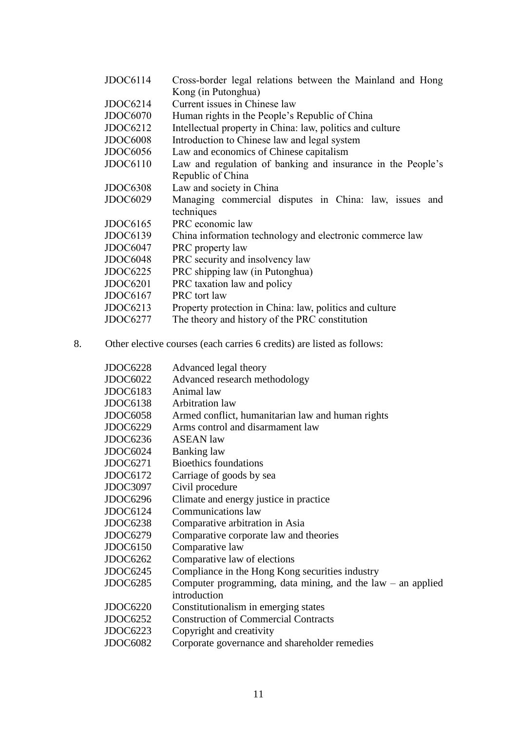| JDOC6114        | Cross-border legal relations between the Mainland and Hong  |
|-----------------|-------------------------------------------------------------|
|                 | Kong (in Putonghua)                                         |
| JDOC6214        | Current issues in Chinese law                               |
| JDOC6070        | Human rights in the People's Republic of China              |
| <b>JDOC6212</b> | Intellectual property in China: law, politics and culture   |
| JDOC6008        | Introduction to Chinese law and legal system                |
| JDOC6056        | Law and economics of Chinese capitalism                     |
| JDOC6110        | Law and regulation of banking and insurance in the People's |
|                 | Republic of China                                           |
| JDOC6308        | Law and society in China                                    |
| <b>JDOC6029</b> | Managing commercial disputes in China: law, issues and      |
|                 | techniques                                                  |
| JDOC6165        | PRC economic law                                            |
| <b>JDOC6139</b> | China information technology and electronic commerce law    |
| JDOC6047        | PRC property law                                            |
| JDOC6048        | PRC security and insolvency law                             |
| JDOC6225        | PRC shipping law (in Putonghua)                             |
| JDOC6201        | PRC taxation law and policy                                 |
| JDOC6167        | PRC tort law                                                |
| JDOC6213        | Property protection in China: law, politics and culture     |
| JDOC6277        | The theory and history of the PRC constitution              |

8. Other elective courses (each carries 6 credits) are listed as follows:

| JDOC6228        | Advanced legal theory                                         |
|-----------------|---------------------------------------------------------------|
| JDOC6022        | Advanced research methodology                                 |
| JDOC6183        | Animal law                                                    |
| <b>JDOC6138</b> | <b>Arbitration</b> law                                        |
| <b>JDOC6058</b> | Armed conflict, humanitarian law and human rights             |
| JDOC6229        | Arms control and disarmament law                              |
| <b>JDOC6236</b> | <b>ASEAN</b> law                                              |
| JDOC6024        | Banking law                                                   |
| <b>JDOC6271</b> | <b>Bioethics foundations</b>                                  |
| <b>JDOC6172</b> | Carriage of goods by sea                                      |
| JDOC3097        | Civil procedure                                               |
| JDOC6296        | Climate and energy justice in practice                        |
| JDOC6124        | Communications law                                            |
| <b>JDOC6238</b> | Comparative arbitration in Asia                               |
| JDOC6279        | Comparative corporate law and theories                        |
| <b>JDOC6150</b> | Comparative law                                               |
| JDOC6262        | Comparative law of elections                                  |
| JDOC6245        | Compliance in the Hong Kong securities industry               |
| <b>JDOC6285</b> | Computer programming, data mining, and the $law - an$ applied |
|                 | introduction                                                  |
| <b>JDOC6220</b> | Constitutionalism in emerging states                          |
| <b>JDOC6252</b> | <b>Construction of Commercial Contracts</b>                   |
| <b>JDOC6223</b> | Copyright and creativity                                      |
| JDOC6082        | Corporate governance and shareholder remedies                 |
|                 |                                                               |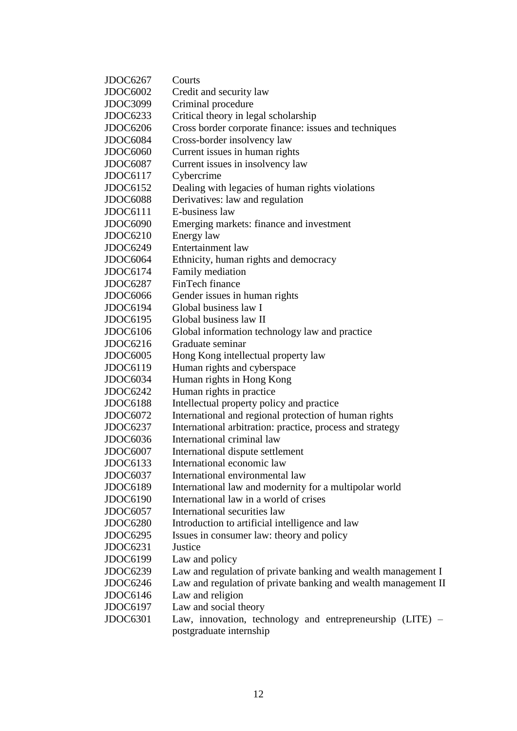| JDOC6267        | Courts                                                         |
|-----------------|----------------------------------------------------------------|
| <b>JDOC6002</b> | Credit and security law                                        |
| <b>JDOC3099</b> | Criminal procedure                                             |
| <b>JDOC6233</b> | Critical theory in legal scholarship                           |
| <b>JDOC6206</b> | Cross border corporate finance: issues and techniques          |
| JDOC6084        | Cross-border insolvency law                                    |
| JDOC6060        | Current issues in human rights                                 |
| JDOC6087        | Current issues in insolvency law                               |
| <b>JDOC6117</b> | Cybercrime                                                     |
| <b>JDOC6152</b> | Dealing with legacies of human rights violations               |
| JDOC6088        | Derivatives: law and regulation                                |
| JDOC6111        | E-business law                                                 |
| JDOC6090        | Emerging markets: finance and investment                       |
| <b>JDOC6210</b> | Energy law                                                     |
| <b>JDOC6249</b> | <b>Entertainment</b> law                                       |
| JDOC6064        | Ethnicity, human rights and democracy                          |
| JDOC6174        | Family mediation                                               |
| JDOC6287        | FinTech finance                                                |
| JDOC6066        | Gender issues in human rights                                  |
| <b>JDOC6194</b> | Global business law I                                          |
| <b>JDOC6195</b> | Global business law II                                         |
| JDOC6106        | Global information technology law and practice                 |
| <b>JDOC6216</b> | Graduate seminar                                               |
| <b>JDOC6005</b> | Hong Kong intellectual property law                            |
| <b>JDOC6119</b> | Human rights and cyberspace                                    |
| JDOC6034        | Human rights in Hong Kong                                      |
| <b>JDOC6242</b> | Human rights in practice                                       |
| <b>JDOC6188</b> | Intellectual property policy and practice                      |
| <b>JDOC6072</b> | International and regional protection of human rights          |
| <b>JDOC6237</b> | International arbitration: practice, process and strategy      |
| JDOC6036        | International criminal law                                     |
| JDOC6007        | International dispute settlement                               |
| <b>JDOC6133</b> | International economic law                                     |
| <b>JDOC6037</b> | International environmental law                                |
| <b>JDOC6189</b> | International law and modernity for a multipolar world         |
| <b>JDOC6190</b> | International law in a world of crises                         |
| JDOC6057        | International securities law                                   |
| <b>JDOC6280</b> | Introduction to artificial intelligence and law                |
| <b>JDOC6295</b> | Issues in consumer law: theory and policy                      |
| <b>JDOC6231</b> | Justice                                                        |
| <b>JDOC6199</b> | Law and policy                                                 |
| <b>JDOC6239</b> | Law and regulation of private banking and wealth management I  |
| <b>JDOC6246</b> | Law and regulation of private banking and wealth management II |
| <b>JDOC6146</b> | Law and religion                                               |
| <b>JDOC6197</b> | Law and social theory                                          |
| <b>JDOC6301</b> | Law, innovation, technology and entrepreneurship (LITE) –      |
|                 | postgraduate internship                                        |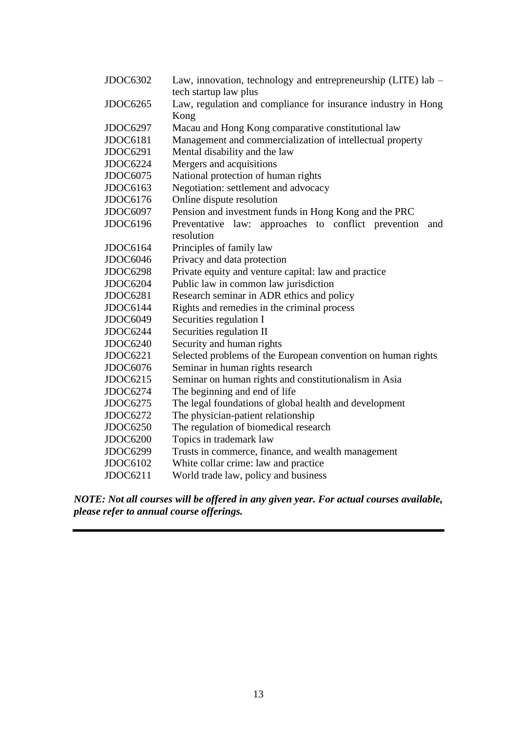| <b>JDOC6302</b> | Law, innovation, technology and entrepreneurship (LITE) lab -<br>tech startup law plus |
|-----------------|----------------------------------------------------------------------------------------|
| <b>JDOC6265</b> | Law, regulation and compliance for insurance industry in Hong                          |
|                 | Kong                                                                                   |
| JDOC6297        | Macau and Hong Kong comparative constitutional law                                     |
| <b>JDOC6181</b> | Management and commercialization of intellectual property                              |
| <b>JDOC6291</b> | Mental disability and the law                                                          |
| JDOC6224        | Mergers and acquisitions                                                               |
| <b>JDOC6075</b> | National protection of human rights                                                    |
| JDOC6163        | Negotiation: settlement and advocacy                                                   |
| JDOC6176        | Online dispute resolution                                                              |
| JDOC6097        | Pension and investment funds in Hong Kong and the PRC                                  |
| JDOC6196        | Preventative law: approaches to conflict prevention<br>and                             |
|                 | resolution                                                                             |
| JDOC6164        | Principles of family law                                                               |
| JDOC6046        | Privacy and data protection                                                            |
| <b>JDOC6298</b> | Private equity and venture capital: law and practice                                   |
| JDOC6204        | Public law in common law jurisdiction                                                  |
| <b>JDOC6281</b> | Research seminar in ADR ethics and policy                                              |
| JDOC6144        | Rights and remedies in the criminal process                                            |
| JDOC6049        | Securities regulation I                                                                |
| JDOC6244        | Securities regulation II                                                               |
| <b>JDOC6240</b> | Security and human rights                                                              |
| <b>JDOC6221</b> | Selected problems of the European convention on human rights                           |
| JDOC6076        | Seminar in human rights research                                                       |
| <b>JDOC6215</b> | Seminar on human rights and constitutionalism in Asia                                  |
| JDOC6274        | The beginning and end of life                                                          |
| <b>JDOC6275</b> | The legal foundations of global health and development                                 |
| <b>JDOC6272</b> | The physician-patient relationship                                                     |
| <b>JDOC6250</b> | The regulation of biomedical research                                                  |
| <b>JDOC6200</b> | Topics in trademark law                                                                |
| <b>JDOC6299</b> | Trusts in commerce, finance, and wealth management                                     |
| <b>JDOC6102</b> | White collar crime: law and practice                                                   |
| JDOC6211        | World trade law, policy and business                                                   |
|                 |                                                                                        |

*NOTE: Not all courses will be offered in any given year. For actual courses available, please refer to annual course offerings.*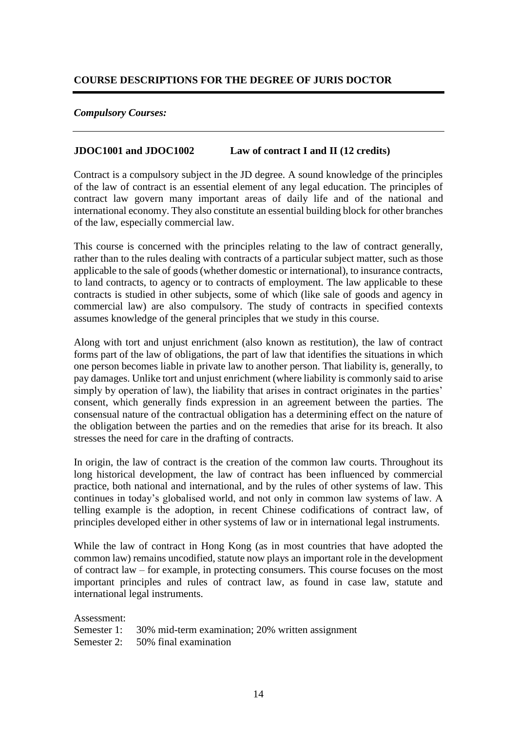## **COURSE DESCRIPTIONS FOR THE DEGREE OF JURIS DOCTOR**

### *Compulsory Courses:*

### **JDOC1001 and JDOC1002 Law of contract I and II (12 credits)**

Contract is a compulsory subject in the JD degree. A sound knowledge of the principles of the law of contract is an essential element of any legal education. The principles of contract law govern many important areas of daily life and of the national and international economy. They also constitute an essential building block for other branches of the law, especially commercial law.

This course is concerned with the principles relating to the law of contract generally, rather than to the rules dealing with contracts of a particular subject matter, such as those applicable to the sale of goods (whether domestic or international), to insurance contracts, to land contracts, to agency or to contracts of employment. The law applicable to these contracts is studied in other subjects, some of which (like sale of goods and agency in commercial law) are also compulsory. The study of contracts in specified contexts assumes knowledge of the general principles that we study in this course.

Along with tort and unjust enrichment (also known as restitution), the law of contract forms part of the law of obligations, the part of law that identifies the situations in which one person becomes liable in private law to another person. That liability is, generally, to pay damages. Unlike tort and unjust enrichment (where liability is commonly said to arise simply by operation of law), the liability that arises in contract originates in the parties' consent, which generally finds expression in an agreement between the parties. The consensual nature of the contractual obligation has a determining effect on the nature of the obligation between the parties and on the remedies that arise for its breach. It also stresses the need for care in the drafting of contracts.

In origin, the law of contract is the creation of the common law courts. Throughout its long historical development, the law of contract has been influenced by commercial practice, both national and international, and by the rules of other systems of law. This continues in today's globalised world, and not only in common law systems of law. A telling example is the adoption, in recent Chinese codifications of contract law, of principles developed either in other systems of law or in international legal instruments.

While the law of contract in Hong Kong (as in most countries that have adopted the common law) remains uncodified, statute now plays an important role in the development of contract law – for example, in protecting consumers. This course focuses on the most important principles and rules of contract law, as found in case law, statute and international legal instruments.

Assessment: Semester 1: 30% mid-term examination; 20% written assignment Semester 2: 50% final examination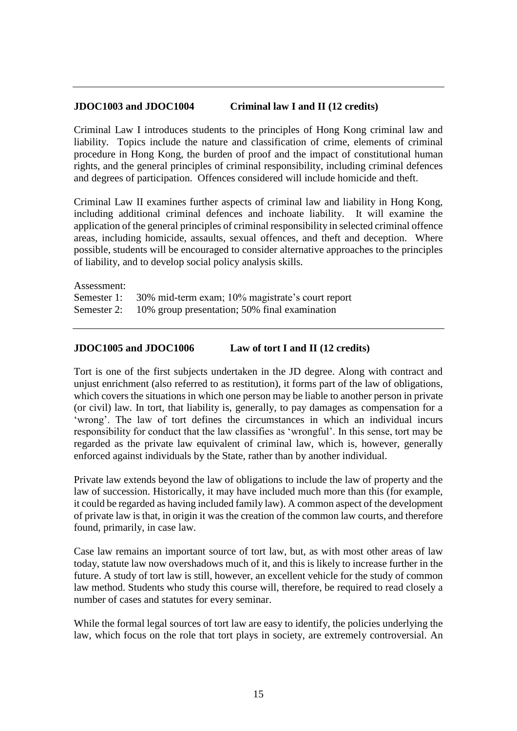### **JDOC1003 and JDOC1004 Criminal law I and II (12 credits)**

Criminal Law I introduces students to the principles of Hong Kong criminal law and liability. Topics include the nature and classification of crime, elements of criminal procedure in Hong Kong, the burden of proof and the impact of constitutional human rights, and the general principles of criminal responsibility, including criminal defences and degrees of participation. Offences considered will include homicide and theft.

Criminal Law II examines further aspects of criminal law and liability in Hong Kong, including additional criminal defences and inchoate liability. It will examine the application of the general principles of criminal responsibility in selected criminal offence areas, including homicide, assaults, sexual offences, and theft and deception. Where possible, students will be encouraged to consider alternative approaches to the principles of liability, and to develop social policy analysis skills.

Assessment: Semester 1: 30% mid-term exam; 10% magistrate's court report Semester 2: 10% group presentation; 50% final examination

#### **JDOC1005 and JDOC1006 Law of tort I and II (12 credits)**

Tort is one of the first subjects undertaken in the JD degree. Along with contract and unjust enrichment (also referred to as restitution), it forms part of the law of obligations, which covers the situations in which one person may be liable to another person in private (or civil) law. In tort, that liability is, generally, to pay damages as compensation for a 'wrong'. The law of tort defines the circumstances in which an individual incurs responsibility for conduct that the law classifies as 'wrongful'. In this sense, tort may be regarded as the private law equivalent of criminal law, which is, however, generally enforced against individuals by the State, rather than by another individual.

Private law extends beyond the law of obligations to include the law of property and the law of succession. Historically, it may have included much more than this (for example, it could be regarded as having included family law). A common aspect of the development of private law is that, in origin it was the creation of the common law courts, and therefore found, primarily, in case law.

Case law remains an important source of tort law, but, as with most other areas of law today, statute law now overshadows much of it, and this is likely to increase further in the future. A study of tort law is still, however, an excellent vehicle for the study of common law method. Students who study this course will, therefore, be required to read closely a number of cases and statutes for every seminar.

While the formal legal sources of tort law are easy to identify, the policies underlying the law, which focus on the role that tort plays in society, are extremely controversial. An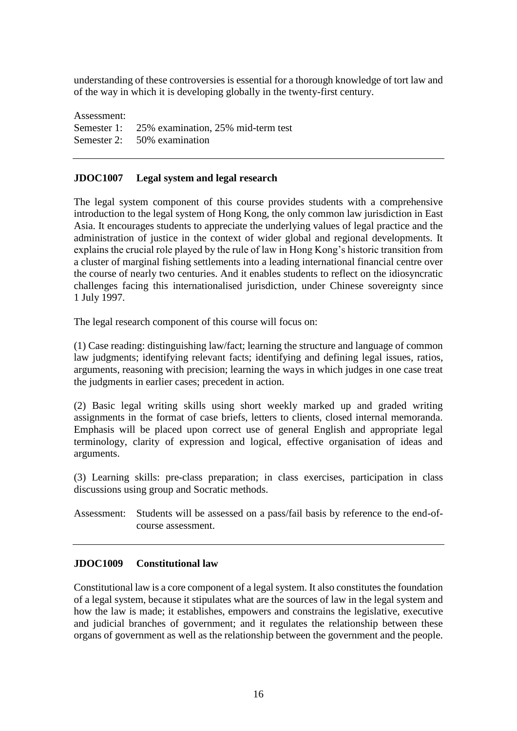understanding of these controversies is essential for a thorough knowledge of tort law and of the way in which it is developing globally in the twenty-first century.

Assessment: Semester 1: 25% examination, 25% mid-term test Semester 2: 50% examination

## **JDOC1007 Legal system and legal research**

The legal system component of this course provides students with a comprehensive introduction to the legal system of Hong Kong, the only common law jurisdiction in East Asia. It encourages students to appreciate the underlying values of legal practice and the administration of justice in the context of wider global and regional developments. It explains the crucial role played by the rule of law in Hong Kong's historic transition from a cluster of marginal fishing settlements into a leading international financial centre over the course of nearly two centuries. And it enables students to reflect on the idiosyncratic challenges facing this internationalised jurisdiction, under Chinese sovereignty since 1 July 1997.

The legal research component of this course will focus on:

(1) Case reading: distinguishing law/fact; learning the structure and language of common law judgments; identifying relevant facts; identifying and defining legal issues, ratios, arguments, reasoning with precision; learning the ways in which judges in one case treat the judgments in earlier cases; precedent in action.

(2) Basic legal writing skills using short weekly marked up and graded writing assignments in the format of case briefs, letters to clients, closed internal memoranda. Emphasis will be placed upon correct use of general English and appropriate legal terminology, clarity of expression and logical, effective organisation of ideas and arguments.

(3) Learning skills: pre-class preparation; in class exercises, participation in class discussions using group and Socratic methods.

Assessment: Students will be assessed on a pass/fail basis by reference to the end-ofcourse assessment.

## **JDOC1009 Constitutional law**

Constitutional law is a core component of a legal system. It also constitutes the foundation of a legal system, because it stipulates what are the sources of law in the legal system and how the law is made; it establishes, empowers and constrains the legislative, executive and judicial branches of government; and it regulates the relationship between these organs of government as well as the relationship between the government and the people.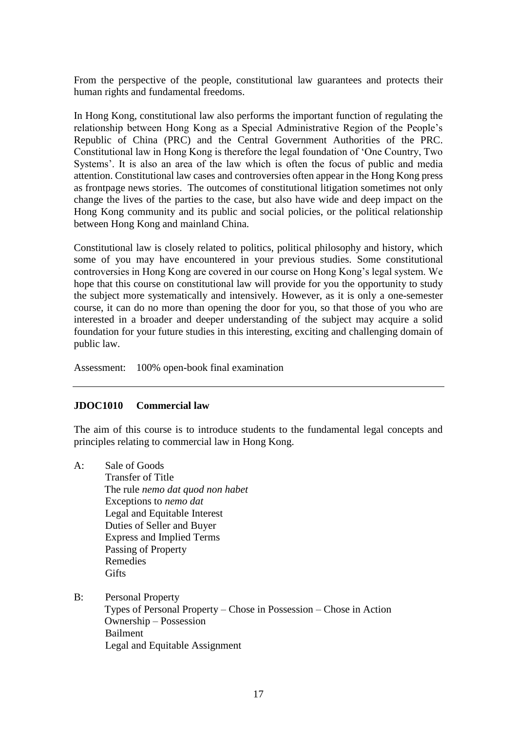From the perspective of the people, constitutional law guarantees and protects their human rights and fundamental freedoms.

In Hong Kong, constitutional law also performs the important function of regulating the relationship between Hong Kong as a Special Administrative Region of the People's Republic of China (PRC) and the Central Government Authorities of the PRC. Constitutional law in Hong Kong is therefore the legal foundation of 'One Country, Two Systems'. It is also an area of the law which is often the focus of public and media attention. Constitutional law cases and controversies often appear in the Hong Kong press as frontpage news stories. The outcomes of constitutional litigation sometimes not only change the lives of the parties to the case, but also have wide and deep impact on the Hong Kong community and its public and social policies, or the political relationship between Hong Kong and mainland China.

Constitutional law is closely related to politics, political philosophy and history, which some of you may have encountered in your previous studies. Some constitutional controversies in Hong Kong are covered in our course on Hong Kong's legal system. We hope that this course on constitutional law will provide for you the opportunity to study the subject more systematically and intensively. However, as it is only a one-semester course, it can do no more than opening the door for you, so that those of you who are interested in a broader and deeper understanding of the subject may acquire a solid foundation for your future studies in this interesting, exciting and challenging domain of public law.

Assessment: 100% open-book final examination

#### **JDOC1010 Commercial law**

The aim of this course is to introduce students to the fundamental legal concepts and principles relating to commercial law in Hong Kong.

- A: Sale of Goods Transfer of Title The rule *nemo dat quod non habet* Exceptions to *nemo dat*  Legal and Equitable Interest Duties of Seller and Buyer Express and Implied Terms Passing of Property Remedies **Gifts**
- B: Personal Property

Types of Personal Property – Chose in Possession – Chose in Action Ownership – Possession Bailment Legal and Equitable Assignment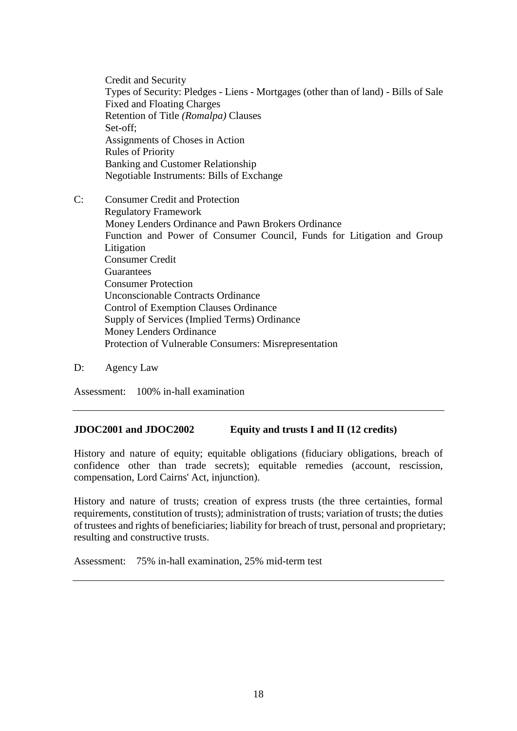Credit and Security Types of Security: Pledges - Liens - Mortgages (other than of land) - Bills of Sale Fixed and Floating Charges Retention of Title *(Romalpa)* Clauses Set-off; Assignments of Choses in Action Rules of Priority Banking and Customer Relationship Negotiable Instruments: Bills of Exchange

- C: Consumer Credit and Protection Regulatory Framework Money Lenders Ordinance and Pawn Brokers Ordinance Function and Power of Consumer Council, Funds for Litigation and Group Litigation Consumer Credit **Guarantees** Consumer Protection Unconscionable Contracts Ordinance Control of Exemption Clauses Ordinance Supply of Services (Implied Terms) Ordinance Money Lenders Ordinance Protection of Vulnerable Consumers: Misrepresentation
- D: Agency Law

Assessment: 100% in-hall examination

#### **JDOC2001 and JDOC2002 Equity and trusts I and II (12 credits)**

History and nature of equity; equitable obligations (fiduciary obligations, breach of confidence other than trade secrets); equitable remedies (account, rescission, compensation, Lord Cairns' Act, injunction).

History and nature of trusts; creation of express trusts (the three certainties, formal requirements, constitution of trusts); administration of trusts; variation of trusts; the duties of trustees and rights of beneficiaries; liability for breach of trust, personal and proprietary; resulting and constructive trusts.

Assessment: 75% in-hall examination, 25% mid-term test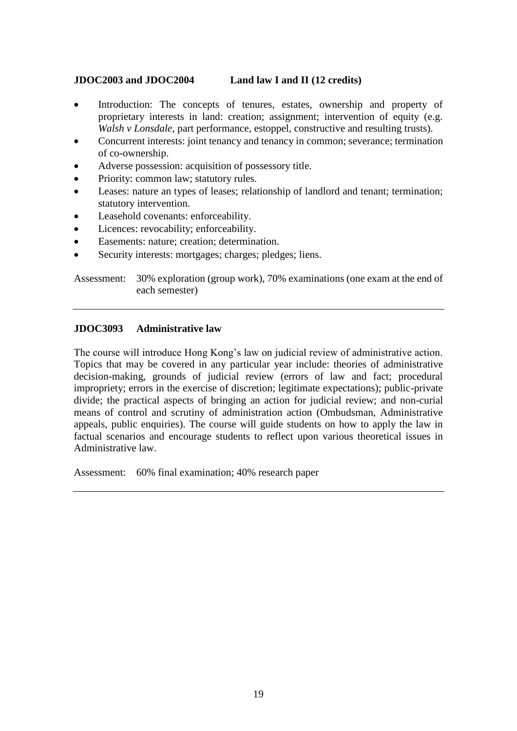## **JDOC2003 and JDOC2004 Land law I and II (12 credits)**

- Introduction: The concepts of tenures, estates, ownership and property of proprietary interests in land: creation; assignment; intervention of equity (e.g. *Walsh v Lonsdale*, part performance, estoppel, constructive and resulting trusts).
- Concurrent interests: joint tenancy and tenancy in common; severance; termination of co-ownership.
- Adverse possession: acquisition of possessory title.
- Priority: common law; statutory rules.
- Leases: nature an types of leases; relationship of landlord and tenant; termination; statutory intervention.
- Leasehold covenants: enforceability.
- Licences: revocability; enforceability.
- Easements: nature; creation; determination.
- Security interests: mortgages; charges; pledges; liens.

Assessment: 30% exploration (group work), 70% examinations (one exam at the end of each semester)

#### **JDOC3093 Administrative law**

The course will introduce Hong Kong's law on judicial review of administrative action. Topics that may be covered in any particular year include: theories of administrative decision-making, grounds of judicial review (errors of law and fact; procedural impropriety; errors in the exercise of discretion; legitimate expectations); public-private divide; the practical aspects of bringing an action for judicial review; and non-curial means of control and scrutiny of administration action (Ombudsman, Administrative appeals, public enquiries). The course will guide students on how to apply the law in factual scenarios and encourage students to reflect upon various theoretical issues in Administrative law.

Assessment: 60% final examination; 40% research paper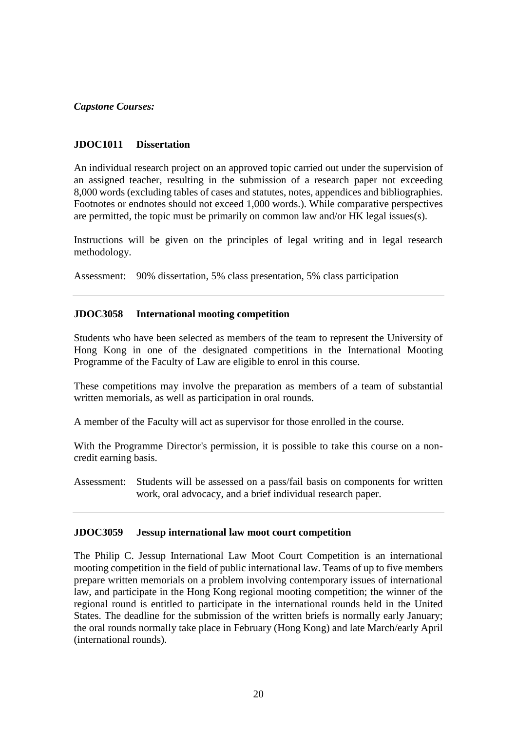#### *Capstone Courses:*

### **JDOC1011 Dissertation**

An individual research project on an approved topic carried out under the supervision of an assigned teacher, resulting in the submission of a research paper not exceeding 8,000 words (excluding tables of cases and statutes, notes, appendices and bibliographies. Footnotes or endnotes should not exceed 1,000 words.). While comparative perspectives are permitted, the topic must be primarily on common law and/or HK legal issues(s).

Instructions will be given on the principles of legal writing and in legal research methodology.

Assessment: 90% dissertation, 5% class presentation, 5% class participation

### **JDOC3058 International mooting competition**

Students who have been selected as members of the team to represent the University of Hong Kong in one of the designated competitions in the International Mooting Programme of the Faculty of Law are eligible to enrol in this course.

These competitions may involve the preparation as members of a team of substantial written memorials, as well as participation in oral rounds.

A member of the Faculty will act as supervisor for those enrolled in the course.

With the Programme Director's permission, it is possible to take this course on a noncredit earning basis.

Assessment: Students will be assessed on a pass/fail basis on components for written work, oral advocacy, and a brief individual research paper.

#### **JDOC3059 Jessup international law moot court competition**

The Philip C. Jessup International Law Moot Court Competition is an international mooting competition in the field of public international law. Teams of up to five members prepare written memorials on a problem involving contemporary issues of international law, and participate in the Hong Kong regional mooting competition; the winner of the regional round is entitled to participate in the international rounds held in the United States. The deadline for the submission of the written briefs is normally early January; the oral rounds normally take place in February (Hong Kong) and late March/early April (international rounds).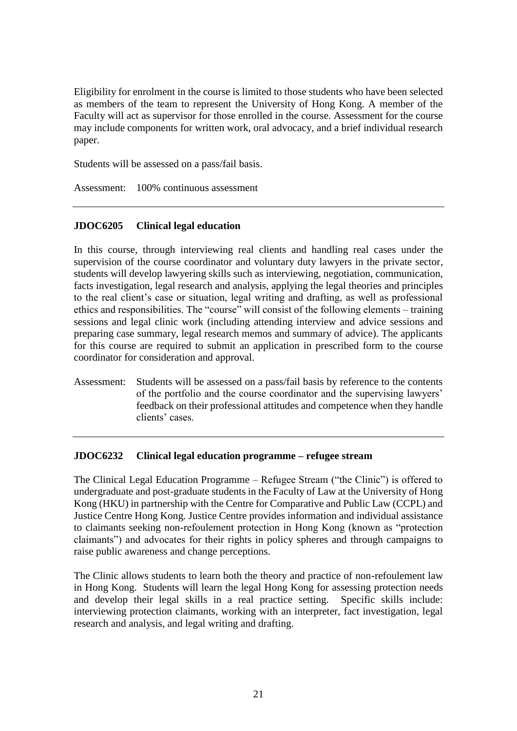Eligibility for enrolment in the course is limited to those students who have been selected as members of the team to represent the University of Hong Kong. A member of the Faculty will act as supervisor for those enrolled in the course. Assessment for the course may include components for written work, oral advocacy, and a brief individual research paper.

Students will be assessed on a pass/fail basis.

Assessment: 100% continuous assessment

# **JDOC6205 Clinical legal education**

In this course, through interviewing real clients and handling real cases under the supervision of the course coordinator and voluntary duty lawyers in the private sector, students will develop lawyering skills such as interviewing, negotiation, communication, facts investigation, legal research and analysis, applying the legal theories and principles to the real client's case or situation, legal writing and drafting, as well as professional ethics and responsibilities. The "course" will consist of the following elements – training sessions and legal clinic work (including attending interview and advice sessions and preparing case summary, legal research memos and summary of advice). The applicants for this course are required to submit an application in prescribed form to the course coordinator for consideration and approval.

Assessment: Students will be assessed on a pass/fail basis by reference to the contents of the portfolio and the course coordinator and the supervising lawyers' feedback on their professional attitudes and competence when they handle clients' cases.

## **JDOC6232 Clinical legal education programme – refugee stream**

The Clinical Legal Education Programme – Refugee Stream ("the Clinic") is offered to undergraduate and post-graduate students in the Faculty of Law at the University of Hong Kong (HKU) in partnership with the Centre for Comparative and Public Law (CCPL) and Justice Centre Hong Kong. Justice Centre provides information and individual assistance to claimants seeking non-refoulement protection in Hong Kong (known as "protection claimants") and advocates for their rights in policy spheres and through campaigns to raise public awareness and change perceptions.

The Clinic allows students to learn both the theory and practice of non-refoulement law in Hong Kong. Students will learn the legal Hong Kong for assessing protection needs and develop their legal skills in a real practice setting. Specific skills include: interviewing protection claimants, working with an interpreter, fact investigation, legal research and analysis, and legal writing and drafting.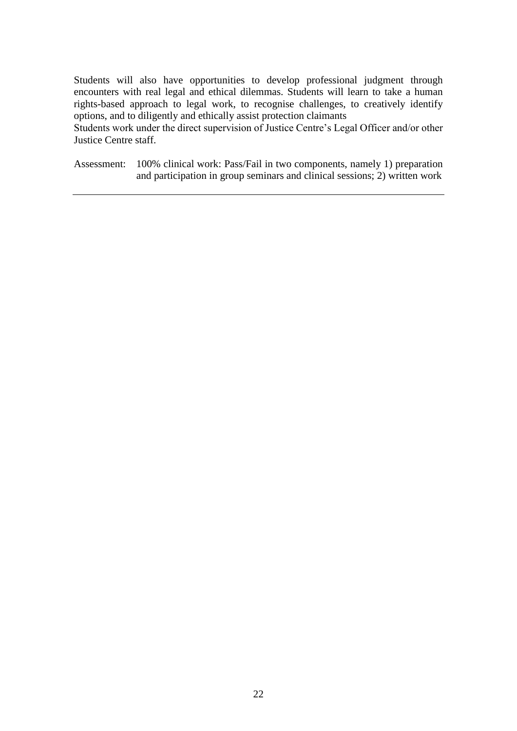Students will also have opportunities to develop professional judgment through encounters with real legal and ethical dilemmas. Students will learn to take a human rights-based approach to legal work, to recognise challenges, to creatively identify options, and to diligently and ethically assist protection claimants

Students work under the direct supervision of Justice Centre's Legal Officer and/or other Justice Centre staff.

Assessment: 100% clinical work: Pass/Fail in two components, namely 1) preparation and participation in group seminars and clinical sessions; 2) written work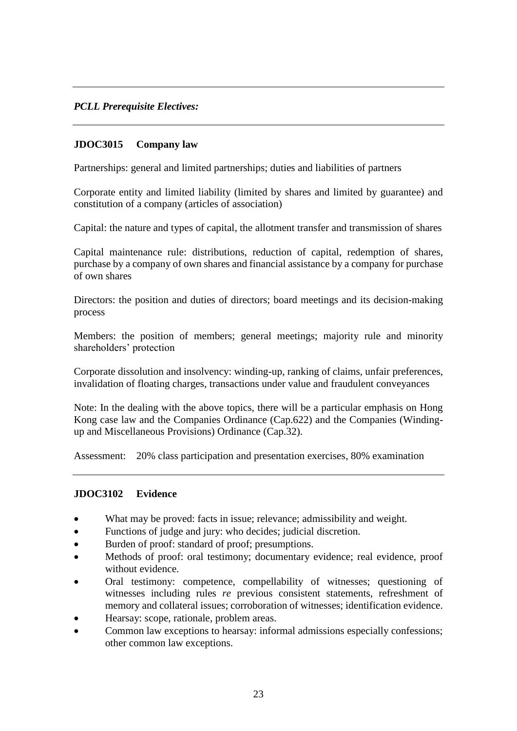## *PCLL Prerequisite Electives:*

### **JDOC3015 Company law**

Partnerships: general and limited partnerships; duties and liabilities of partners

Corporate entity and limited liability (limited by shares and limited by guarantee) and constitution of a company (articles of association)

Capital: the nature and types of capital, the allotment transfer and transmission of shares

Capital maintenance rule: distributions, reduction of capital, redemption of shares, purchase by a company of own shares and financial assistance by a company for purchase of own shares

Directors: the position and duties of directors; board meetings and its decision-making process

Members: the position of members; general meetings; majority rule and minority shareholders' protection

Corporate dissolution and insolvency: winding-up, ranking of claims, unfair preferences, invalidation of floating charges, transactions under value and fraudulent conveyances

Note: In the dealing with the above topics, there will be a particular emphasis on Hong Kong case law and the Companies Ordinance (Cap.622) and the Companies (Windingup and Miscellaneous Provisions) Ordinance (Cap.32).

Assessment: 20% class participation and presentation exercises, 80% examination

#### **JDOC3102 Evidence**

- What may be proved: facts in issue; relevance; admissibility and weight.
- Functions of judge and jury: who decides; judicial discretion.
- Burden of proof: standard of proof; presumptions.
- Methods of proof: oral testimony; documentary evidence; real evidence, proof without evidence.
- Oral testimony: competence, compellability of witnesses; questioning of witnesses including rules *re* previous consistent statements, refreshment of memory and collateral issues; corroboration of witnesses; identification evidence.
- Hearsay: scope, rationale, problem areas.
- Common law exceptions to hearsay: informal admissions especially confessions; other common law exceptions.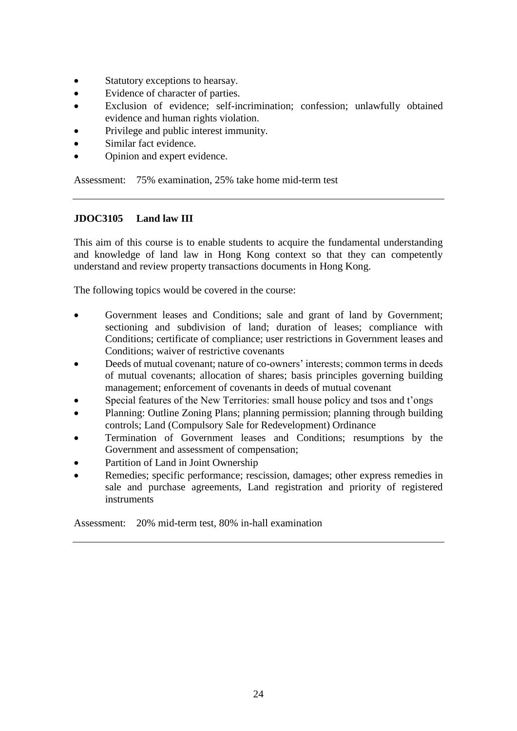- Statutory exceptions to hearsay.
- Evidence of character of parties.
- Exclusion of evidence; self-incrimination; confession; unlawfully obtained evidence and human rights violation.
- Privilege and public interest immunity.
- Similar fact evidence.
- Opinion and expert evidence.

Assessment: 75% examination, 25% take home mid-term test

## **JDOC3105 Land law III**

This aim of this course is to enable students to acquire the fundamental understanding and knowledge of land law in Hong Kong context so that they can competently understand and review property transactions documents in Hong Kong.

The following topics would be covered in the course:

- Government leases and Conditions; sale and grant of land by Government; sectioning and subdivision of land; duration of leases; compliance with Conditions; certificate of compliance; user restrictions in Government leases and Conditions; waiver of restrictive covenants
- Deeds of mutual covenant; nature of co-owners' interests; common terms in deeds of mutual covenants; allocation of shares; basis principles governing building management; enforcement of covenants in deeds of mutual covenant
- Special features of the New Territories: small house policy and tsos and t'ongs
- Planning: Outline Zoning Plans; planning permission; planning through building controls; Land (Compulsory Sale for Redevelopment) Ordinance
- Termination of Government leases and Conditions; resumptions by the Government and assessment of compensation;
- Partition of Land in Joint Ownership
- Remedies; specific performance; rescission, damages; other express remedies in sale and purchase agreements, Land registration and priority of registered instruments

Assessment: 20% mid-term test, 80% in-hall examination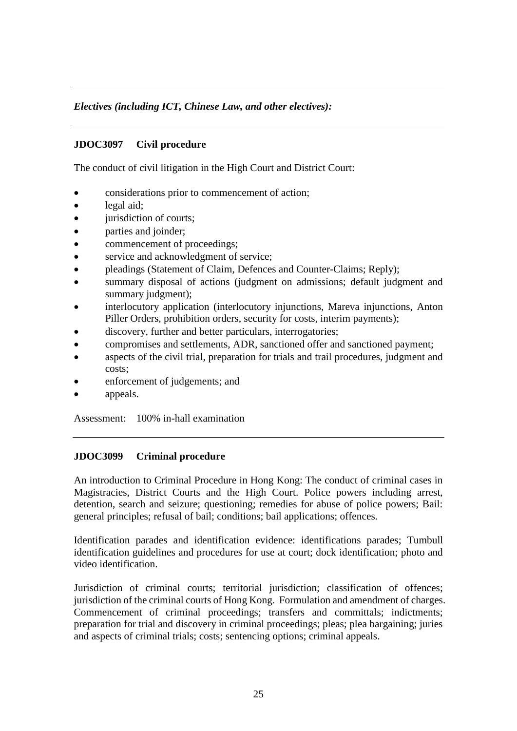# *Electives (including ICT, Chinese Law, and other electives):*

## **JDOC3097 Civil procedure**

The conduct of civil litigation in the High Court and District Court:

- considerations prior to commencement of action;
- legal aid:
- jurisdiction of courts;
- parties and joinder;
- commencement of proceedings;
- service and acknowledgment of service;
- pleadings (Statement of Claim, Defences and Counter-Claims; Reply);
- summary disposal of actions (judgment on admissions; default judgment and summary judgment);
- interlocutory application (interlocutory injunctions, Mareva injunctions, Anton Piller Orders, prohibition orders, security for costs, interim payments);
- discovery, further and better particulars, interrogatories;
- compromises and settlements, ADR, sanctioned offer and sanctioned payment;
- aspects of the civil trial, preparation for trials and trail procedures, judgment and costs;
- enforcement of judgements; and
- appeals.

Assessment: 100% in-hall examination

#### **JDOC3099 Criminal procedure**

An introduction to Criminal Procedure in Hong Kong: The conduct of criminal cases in Magistracies, District Courts and the High Court. Police powers including arrest, detention, search and seizure; questioning; remedies for abuse of police powers; Bail: general principles; refusal of bail; conditions; bail applications; offences.

Identification parades and identification evidence: identifications parades; Tumbull identification guidelines and procedures for use at court; dock identification; photo and video identification.

Jurisdiction of criminal courts; territorial jurisdiction; classification of offences; jurisdiction of the criminal courts of Hong Kong. Formulation and amendment of charges. Commencement of criminal proceedings; transfers and committals; indictments; preparation for trial and discovery in criminal proceedings; pleas; plea bargaining; juries and aspects of criminal trials; costs; sentencing options; criminal appeals.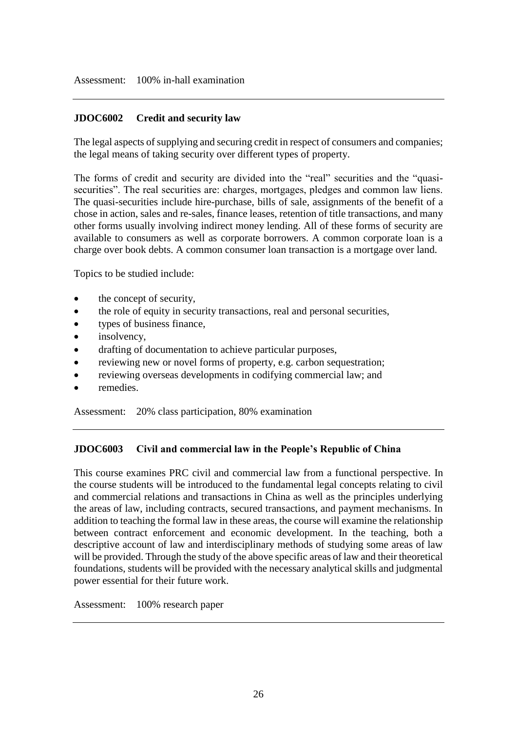### **JDOC6002 Credit and security law**

The legal aspects of supplying and securing credit in respect of consumers and companies; the legal means of taking security over different types of property.

The forms of credit and security are divided into the "real" securities and the "quasisecurities". The real securities are: charges, mortgages, pledges and common law liens. The quasi-securities include hire-purchase, bills of sale, assignments of the benefit of a chose in action, sales and re-sales, finance leases, retention of title transactions, and many other forms usually involving indirect money lending. All of these forms of security are available to consumers as well as corporate borrowers. A common corporate loan is a charge over book debts. A common consumer loan transaction is a mortgage over land.

Topics to be studied include:

- the concept of security,
- the role of equity in security transactions, real and personal securities,
- types of business finance,
- insolvency,
- drafting of documentation to achieve particular purposes,
- reviewing new or novel forms of property, e.g. carbon sequestration;
- reviewing overseas developments in codifying commercial law; and
- remedies.

Assessment: 20% class participation, 80% examination

#### **JDOC6003 Civil and commercial law in the People's Republic of China**

This course examines PRC civil and commercial law from a functional perspective. In the course students will be introduced to the fundamental legal concepts relating to civil and commercial relations and transactions in China as well as the principles underlying the areas of law, including contracts, secured transactions, and payment mechanisms. In addition to teaching the formal law in these areas, the course will examine the relationship between contract enforcement and economic development. In the teaching, both a descriptive account of law and interdisciplinary methods of studying some areas of law will be provided. Through the study of the above specific areas of law and their theoretical foundations, students will be provided with the necessary analytical skills and judgmental power essential for their future work.

Assessment: 100% research paper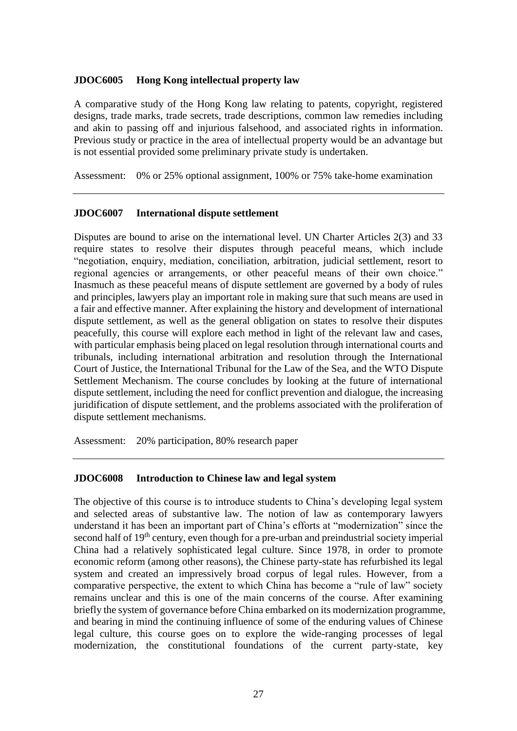### **JDOC6005 Hong Kong intellectual property law**

A comparative study of the Hong Kong law relating to patents, copyright, registered designs, trade marks, trade secrets, trade descriptions, common law remedies including and akin to passing off and injurious falsehood, and associated rights in information. Previous study or practice in the area of intellectual property would be an advantage but is not essential provided some preliminary private study is undertaken.

Assessment: 0% or 25% optional assignment, 100% or 75% take-home examination

### **JDOC6007 International dispute settlement**

Disputes are bound to arise on the international level. UN Charter Articles 2(3) and 33 require states to resolve their disputes through peaceful means, which include "negotiation, enquiry, mediation, conciliation, arbitration, judicial settlement, resort to regional agencies or arrangements, or other peaceful means of their own choice." Inasmuch as these peaceful means of dispute settlement are governed by a body of rules and principles, lawyers play an important role in making sure that such means are used in a fair and effective manner. After explaining the history and development of international dispute settlement, as well as the general obligation on states to resolve their disputes peacefully, this course will explore each method in light of the relevant law and cases, with particular emphasis being placed on legal resolution through international courts and tribunals, including international arbitration and resolution through the International Court of Justice, the International Tribunal for the Law of the Sea, and the WTO Dispute Settlement Mechanism. The course concludes by looking at the future of international dispute settlement, including the need for conflict prevention and dialogue, the increasing juridification of dispute settlement, and the problems associated with the proliferation of dispute settlement mechanisms.

Assessment: 20% participation, 80% research paper

#### **JDOC6008 Introduction to Chinese law and legal system**

The objective of this course is to introduce students to China's developing legal system and selected areas of substantive law. The notion of law as contemporary lawyers understand it has been an important part of China's efforts at "modernization" since the second half of 19<sup>th</sup> century, even though for a pre-urban and preindustrial society imperial China had a relatively sophisticated legal culture. Since 1978, in order to promote economic reform (among other reasons), the Chinese party-state has refurbished its legal system and created an impressively broad corpus of legal rules. However, from a comparative perspective, the extent to which China has become a "rule of law" society remains unclear and this is one of the main concerns of the course. After examining briefly the system of governance before China embarked on its modernization programme, and bearing in mind the continuing influence of some of the enduring values of Chinese legal culture, this course goes on to explore the wide-ranging processes of legal modernization, the constitutional foundations of the current party-state, key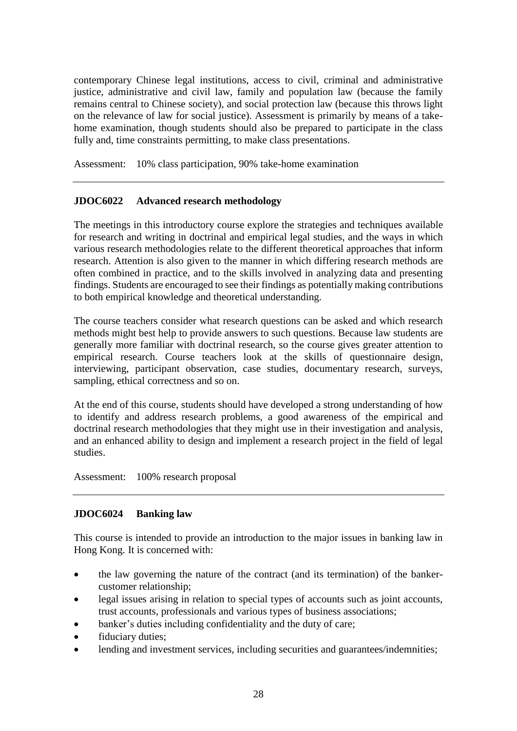contemporary Chinese legal institutions, access to civil, criminal and administrative justice, administrative and civil law, family and population law (because the family remains central to Chinese society), and social protection law (because this throws light on the relevance of law for social justice). Assessment is primarily by means of a takehome examination, though students should also be prepared to participate in the class fully and, time constraints permitting, to make class presentations.

Assessment: 10% class participation, 90% take-home examination

# **JDOC6022 Advanced research methodology**

The meetings in this introductory course explore the strategies and techniques available for research and writing in doctrinal and empirical legal studies, and the ways in which various research methodologies relate to the different theoretical approaches that inform research. Attention is also given to the manner in which differing research methods are often combined in practice, and to the skills involved in analyzing data and presenting findings. Students are encouraged to see their findings as potentially making contributions to both empirical knowledge and theoretical understanding.

The course teachers consider what research questions can be asked and which research methods might best help to provide answers to such questions. Because law students are generally more familiar with doctrinal research, so the course gives greater attention to empirical research. Course teachers look at the skills of questionnaire design, interviewing, participant observation, case studies, documentary research, surveys, sampling, ethical correctness and so on.

At the end of this course, students should have developed a strong understanding of how to identify and address research problems, a good awareness of the empirical and doctrinal research methodologies that they might use in their investigation and analysis, and an enhanced ability to design and implement a research project in the field of legal studies.

Assessment: 100% research proposal

## **JDOC6024 Banking law**

This course is intended to provide an introduction to the major issues in banking law in Hong Kong. It is concerned with:

- the law governing the nature of the contract (and its termination) of the bankercustomer relationship;
- legal issues arising in relation to special types of accounts such as joint accounts, trust accounts, professionals and various types of business associations;
- banker's duties including confidentiality and the duty of care;
- fiduciary duties;
- lending and investment services, including securities and guarantees/indemnities;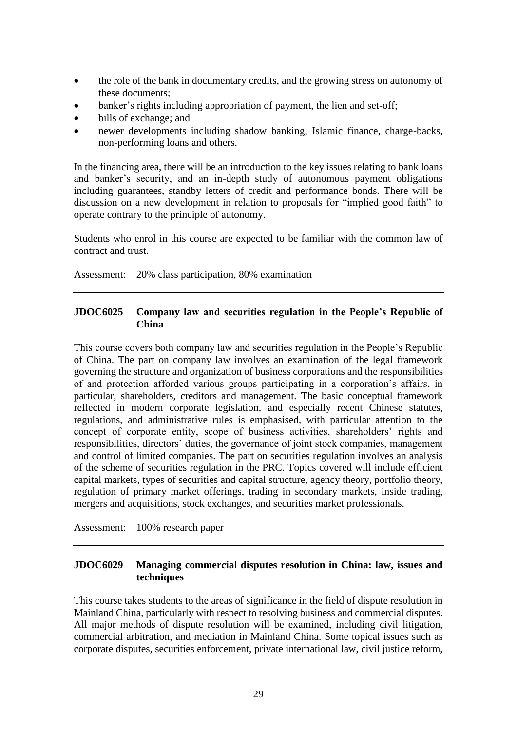- the role of the bank in documentary credits, and the growing stress on autonomy of these documents;
- banker's rights including appropriation of payment, the lien and set-off;
- bills of exchange; and
- newer developments including shadow banking, Islamic finance, charge-backs, non-performing loans and others.

In the financing area, there will be an introduction to the key issues relating to bank loans and banker's security, and an in-depth study of autonomous payment obligations including guarantees, standby letters of credit and performance bonds. There will be discussion on a new development in relation to proposals for "implied good faith" to operate contrary to the principle of autonomy.

Students who enrol in this course are expected to be familiar with the common law of contract and trust.

Assessment: 20% class participation, 80% examination

## **JDOC6025 Company law and securities regulation in the People's Republic of China**

This course covers both company law and securities regulation in the People's Republic of China. The part on company law involves an examination of the legal framework governing the structure and organization of business corporations and the responsibilities of and protection afforded various groups participating in a corporation's affairs, in particular, shareholders, creditors and management. The basic conceptual framework reflected in modern corporate legislation, and especially recent Chinese statutes, regulations, and administrative rules is emphasised, with particular attention to the concept of corporate entity, scope of business activities, shareholders' rights and responsibilities, directors' duties, the governance of joint stock companies, management and control of limited companies. The part on securities regulation involves an analysis of the scheme of securities regulation in the PRC. Topics covered will include efficient capital markets, types of securities and capital structure, agency theory, portfolio theory, regulation of primary market offerings, trading in secondary markets, inside trading, mergers and acquisitions, stock exchanges, and securities market professionals.

Assessment: 100% research paper

## **JDOC6029 Managing commercial disputes resolution in China: law, issues and techniques**

This course takes students to the areas of significance in the field of dispute resolution in Mainland China, particularly with respect to resolving business and commercial disputes. All major methods of dispute resolution will be examined, including civil litigation, commercial arbitration, and mediation in Mainland China. Some topical issues such as corporate disputes, securities enforcement, private international law, civil justice reform,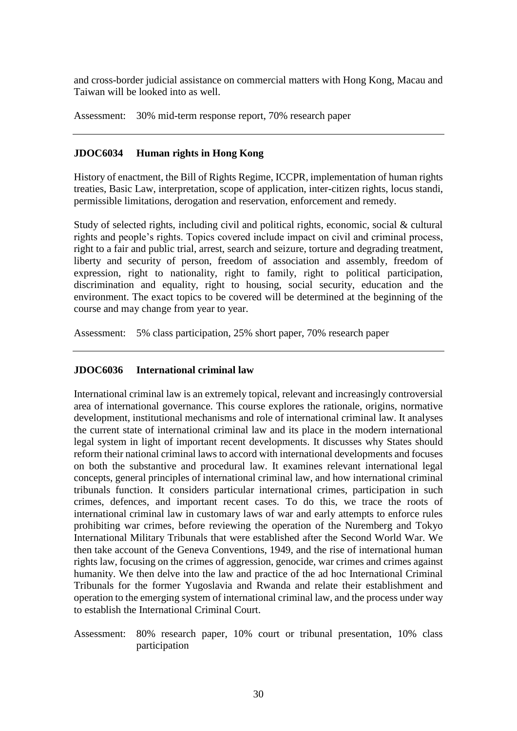and cross-border judicial assistance on commercial matters with Hong Kong, Macau and Taiwan will be looked into as well.

Assessment: 30% mid-term response report, 70% research paper

### **JDOC6034 Human rights in Hong Kong**

History of enactment, the Bill of Rights Regime, ICCPR, implementation of human rights treaties, Basic Law, interpretation, scope of application, inter-citizen rights, locus standi, permissible limitations, derogation and reservation, enforcement and remedy.

Study of selected rights, including civil and political rights, economic, social & cultural rights and people's rights. Topics covered include impact on civil and criminal process, right to a fair and public trial, arrest, search and seizure, torture and degrading treatment, liberty and security of person, freedom of association and assembly, freedom of expression, right to nationality, right to family, right to political participation, discrimination and equality, right to housing, social security, education and the environment. The exact topics to be covered will be determined at the beginning of the course and may change from year to year.

Assessment: 5% class participation, 25% short paper, 70% research paper

## **JDOC6036 International criminal law**

International criminal law is an extremely topical, relevant and increasingly controversial area of international governance. This course explores the rationale, origins, normative development, institutional mechanisms and role of international criminal law. It analyses the current state of international criminal law and its place in the modern international legal system in light of important recent developments. It discusses why States should reform their national criminal laws to accord with international developments and focuses on both the substantive and procedural law. It examines relevant international legal concepts, general principles of international criminal law, and how international criminal tribunals function. It considers particular international crimes, participation in such crimes, defences, and important recent cases. To do this, we trace the roots of international criminal law in customary laws of war and early attempts to enforce rules prohibiting war crimes, before reviewing the operation of the Nuremberg and Tokyo International Military Tribunals that were established after the Second World War. We then take account of the Geneva Conventions, 1949, and the rise of international human rights law, focusing on the crimes of aggression, genocide, war crimes and crimes against humanity. We then delve into the law and practice of the ad hoc International Criminal Tribunals for the former Yugoslavia and Rwanda and relate their establishment and operation to the emerging system of international criminal law, and the process under way to establish the International Criminal Court.

Assessment: 80% research paper, 10% court or tribunal presentation, 10% class participation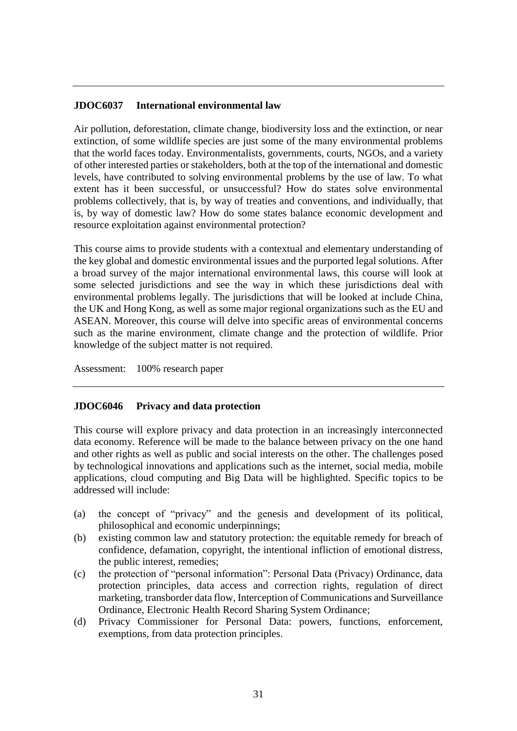#### **JDOC6037 International environmental law**

Air pollution, deforestation, climate change, biodiversity loss and the extinction, or near extinction, of some wildlife species are just some of the many environmental problems that the world faces today. Environmentalists, governments, courts, NGOs, and a variety of other interested parties or stakeholders, both at the top of the international and domestic levels, have contributed to solving environmental problems by the use of law. To what extent has it been successful, or unsuccessful? How do states solve environmental problems collectively, that is, by way of treaties and conventions, and individually, that is, by way of domestic law? How do some states balance economic development and resource exploitation against environmental protection?

This course aims to provide students with a contextual and elementary understanding of the key global and domestic environmental issues and the purported legal solutions. After a broad survey of the major international environmental laws, this course will look at some selected jurisdictions and see the way in which these jurisdictions deal with environmental problems legally. The jurisdictions that will be looked at include China, the UK and Hong Kong, as well as some major regional organizations such as the EU and ASEAN. Moreover, this course will delve into specific areas of environmental concerns such as the marine environment, climate change and the protection of wildlife. Prior knowledge of the subject matter is not required.

Assessment: 100% research paper

#### **JDOC6046 Privacy and data protection**

This course will explore privacy and data protection in an increasingly interconnected data economy. Reference will be made to the balance between privacy on the one hand and other rights as well as public and social interests on the other. The challenges posed by technological innovations and applications such as the internet, social media, mobile applications, cloud computing and Big Data will be highlighted. Specific topics to be addressed will include:

- (a) the concept of "privacy" and the genesis and development of its political, philosophical and economic underpinnings;
- (b) existing common law and statutory protection: the equitable remedy for breach of confidence, defamation, copyright, the intentional infliction of emotional distress, the public interest, remedies;
- (c) the protection of "personal information": Personal Data (Privacy) Ordinance, data protection principles, data access and correction rights, regulation of direct marketing, transborder data flow, Interception of Communications and Surveillance Ordinance, Electronic Health Record Sharing System Ordinance;
- (d) Privacy Commissioner for Personal Data: powers, functions, enforcement, exemptions, from data protection principles.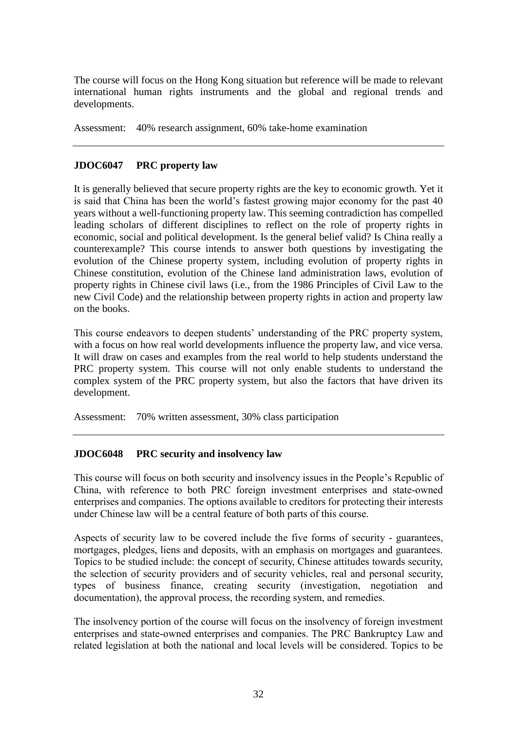The course will focus on the Hong Kong situation but reference will be made to relevant international human rights instruments and the global and regional trends and developments.

Assessment: 40% research assignment, 60% take-home examination

### **JDOC6047 PRC property law**

It is generally believed that secure property rights are the key to economic growth. Yet it is said that China has been the world's fastest growing major economy for the past 40 years without a well-functioning property law. This seeming contradiction has compelled leading scholars of different disciplines to reflect on the role of property rights in economic, social and political development. Is the general belief valid? Is China really a counterexample? This course intends to answer both questions by investigating the evolution of the Chinese property system, including evolution of property rights in Chinese constitution, evolution of the Chinese land administration laws, evolution of property rights in Chinese civil laws (i.e., from the 1986 Principles of Civil Law to the new Civil Code) and the relationship between property rights in action and property law on the books.

This course endeavors to deepen students' understanding of the PRC property system, with a focus on how real world developments influence the property law, and vice versa. It will draw on cases and examples from the real world to help students understand the PRC property system. This course will not only enable students to understand the complex system of the PRC property system, but also the factors that have driven its development.

Assessment: 70% written assessment, 30% class participation

## **JDOC6048 PRC security and insolvency law**

This course will focus on both security and insolvency issues in the People's Republic of China, with reference to both PRC foreign investment enterprises and state-owned enterprises and companies. The options available to creditors for protecting their interests under Chinese law will be a central feature of both parts of this course.

Aspects of security law to be covered include the five forms of security - guarantees, mortgages, pledges, liens and deposits, with an emphasis on mortgages and guarantees. Topics to be studied include: the concept of security, Chinese attitudes towards security, the selection of security providers and of security vehicles, real and personal security, types of business finance, creating security (investigation, negotiation and documentation), the approval process, the recording system, and remedies.

The insolvency portion of the course will focus on the insolvency of foreign investment enterprises and state-owned enterprises and companies. The PRC Bankruptcy Law and related legislation at both the national and local levels will be considered. Topics to be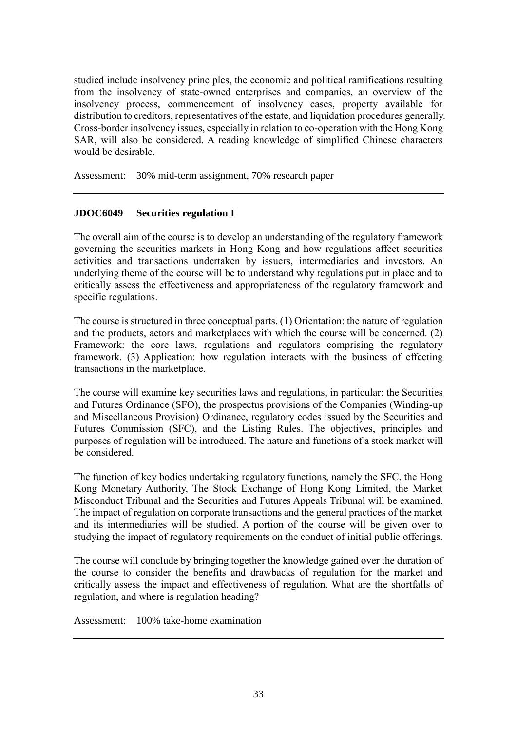studied include insolvency principles, the economic and political ramifications resulting from the insolvency of state-owned enterprises and companies, an overview of the insolvency process, commencement of insolvency cases, property available for distribution to creditors, representatives of the estate, and liquidation procedures generally. Cross-border insolvency issues, especially in relation to co-operation with the Hong Kong SAR, will also be considered. A reading knowledge of simplified Chinese characters would be desirable.

Assessment: 30% mid-term assignment, 70% research paper

# **JDOC6049 Securities regulation I**

The overall aim of the course is to develop an understanding of the regulatory framework governing the securities markets in Hong Kong and how regulations affect securities activities and transactions undertaken by issuers, intermediaries and investors. An underlying theme of the course will be to understand why regulations put in place and to critically assess the effectiveness and appropriateness of the regulatory framework and specific regulations.

The course is structured in three conceptual parts. (1) Orientation: the nature of regulation and the products, actors and marketplaces with which the course will be concerned. (2) Framework: the core laws, regulations and regulators comprising the regulatory framework. (3) Application: how regulation interacts with the business of effecting transactions in the marketplace.

The course will examine key securities laws and regulations, in particular: the Securities and Futures Ordinance (SFO), the prospectus provisions of the Companies (Winding-up and Miscellaneous Provision) Ordinance, regulatory codes issued by the Securities and Futures Commission (SFC), and the Listing Rules. The objectives, principles and purposes of regulation will be introduced. The nature and functions of a stock market will be considered.

The function of key bodies undertaking regulatory functions, namely the SFC, the Hong Kong Monetary Authority, The Stock Exchange of Hong Kong Limited, the Market Misconduct Tribunal and the Securities and Futures Appeals Tribunal will be examined. The impact of regulation on corporate transactions and the general practices of the market and its intermediaries will be studied. A portion of the course will be given over to studying the impact of regulatory requirements on the conduct of initial public offerings.

The course will conclude by bringing together the knowledge gained over the duration of the course to consider the benefits and drawbacks of regulation for the market and critically assess the impact and effectiveness of regulation. What are the shortfalls of regulation, and where is regulation heading?

Assessment: 100% take-home examination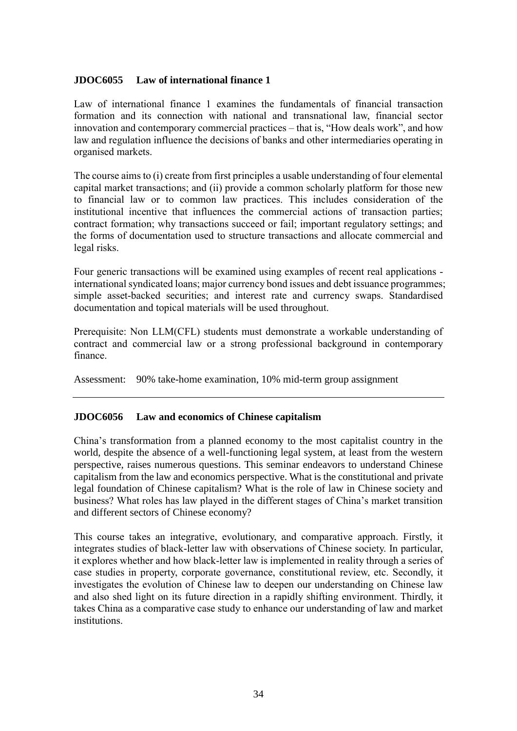### **JDOC6055 Law of international finance 1**

Law of international finance 1 examines the fundamentals of financial transaction formation and its connection with national and transnational law, financial sector innovation and contemporary commercial practices – that is, "How deals work", and how law and regulation influence the decisions of banks and other intermediaries operating in organised markets.

The course aims to (i) create from first principles a usable understanding of four elemental capital market transactions; and (ii) provide a common scholarly platform for those new to financial law or to common law practices. This includes consideration of the institutional incentive that influences the commercial actions of transaction parties; contract formation; why transactions succeed or fail; important regulatory settings; and the forms of documentation used to structure transactions and allocate commercial and legal risks.

Four generic transactions will be examined using examples of recent real applications international syndicated loans; major currency bond issues and debt issuance programmes; simple asset-backed securities; and interest rate and currency swaps. Standardised documentation and topical materials will be used throughout.

Prerequisite: Non LLM(CFL) students must demonstrate a workable understanding of contract and commercial law or a strong professional background in contemporary finance.

Assessment: 90% take-home examination, 10% mid-term group assignment

## **JDOC6056 Law and economics of Chinese capitalism**

China's transformation from a planned economy to the most capitalist country in the world, despite the absence of a well-functioning legal system, at least from the western perspective, raises numerous questions. This seminar endeavors to understand Chinese capitalism from the law and economics perspective. What is the constitutional and private legal foundation of Chinese capitalism? What is the role of law in Chinese society and business? What roles has law played in the different stages of China's market transition and different sectors of Chinese economy?

This course takes an integrative, evolutionary, and comparative approach. Firstly, it integrates studies of black-letter law with observations of Chinese society. In particular, it explores whether and how black-letter law is implemented in reality through a series of case studies in property, corporate governance, constitutional review, etc. Secondly, it investigates the evolution of Chinese law to deepen our understanding on Chinese law and also shed light on its future direction in a rapidly shifting environment. Thirdly, it takes China as a comparative case study to enhance our understanding of law and market institutions.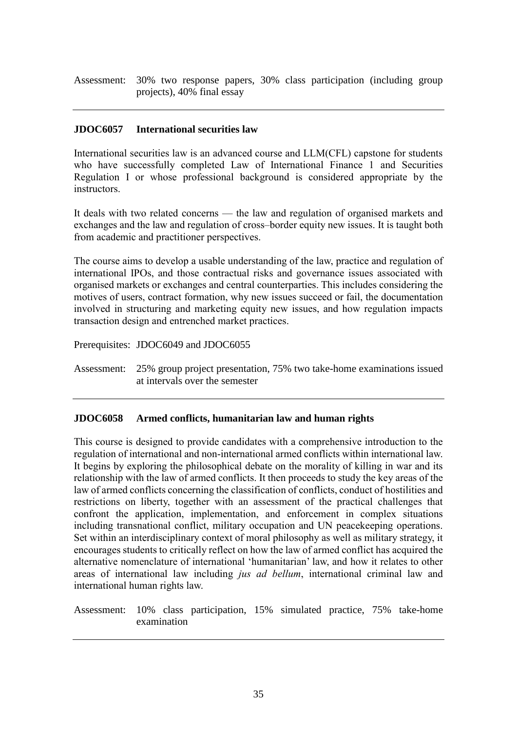Assessment: 30% two response papers, 30% class participation (including group projects), 40% final essay

### **JDOC6057 International securities law**

International securities law is an advanced course and LLM(CFL) capstone for students who have successfully completed Law of International Finance 1 and Securities Regulation I or whose professional background is considered appropriate by the instructors.

It deals with two related concerns — the law and regulation of organised markets and exchanges and the law and regulation of cross–border equity new issues. It is taught both from academic and practitioner perspectives.

The course aims to develop a usable understanding of the law, practice and regulation of international IPOs, and those contractual risks and governance issues associated with organised markets or exchanges and central counterparties. This includes considering the motives of users, contract formation, why new issues succeed or fail, the documentation involved in structuring and marketing equity new issues, and how regulation impacts transaction design and entrenched market practices.

Prerequisites: JDOC6049 and JDOC6055

Assessment: 25% group project presentation, 75% two take-home examinations issued at intervals over the semester

#### **JDOC6058 Armed conflicts, humanitarian law and human rights**

This course is designed to provide candidates with a comprehensive introduction to the regulation of international and non-international armed conflicts within international law. It begins by exploring the philosophical debate on the morality of killing in war and its relationship with the law of armed conflicts. It then proceeds to study the key areas of the law of armed conflicts concerning the classification of conflicts, conduct of hostilities and restrictions on liberty, together with an assessment of the practical challenges that confront the application, implementation, and enforcement in complex situations including transnational conflict, military occupation and UN peacekeeping operations. Set within an interdisciplinary context of moral philosophy as well as military strategy, it encourages students to critically reflect on how the law of armed conflict has acquired the alternative nomenclature of international 'humanitarian' law, and how it relates to other areas of international law including *jus ad bellum*, international criminal law and international human rights law.

Assessment: 10% class participation, 15% simulated practice, 75% take-home examination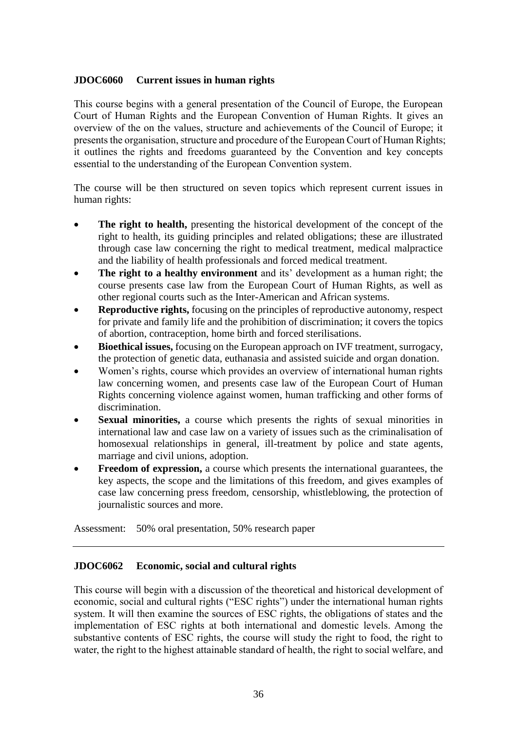### **JDOC6060 Current issues in human rights**

This course begins with a general presentation of the Council of Europe, the European Court of Human Rights and the European Convention of Human Rights. It gives an overview of the on the values, structure and achievements of the Council of Europe; it presents the organisation, structure and procedure of the European Court of Human Rights; it outlines the rights and freedoms guaranteed by the Convention and key concepts essential to the understanding of the European Convention system.

The course will be then structured on seven topics which represent current issues in human rights:

- **The right to health,** presenting the historical development of the concept of the right to health, its guiding principles and related obligations; these are illustrated through case law concerning the right to medical treatment, medical malpractice and the liability of health professionals and forced medical treatment.
- **The right to a healthy environment** and its' development as a human right; the course presents case law from the European Court of Human Rights, as well as other regional courts such as the Inter-American and African systems.
- **Reproductive rights,** focusing on the principles of reproductive autonomy, respect for private and family life and the prohibition of discrimination; it covers the topics of abortion, contraception, home birth and forced sterilisations.
- **Bioethical issues,** focusing on the European approach on IVF treatment, surrogacy, the protection of genetic data, euthanasia and assisted suicide and organ donation.
- Women's rights, course which provides an overview of international human rights law concerning women, and presents case law of the European Court of Human Rights concerning violence against women, human trafficking and other forms of discrimination.
- **Sexual minorities,** a course which presents the rights of sexual minorities in international law and case law on a variety of issues such as the criminalisation of homosexual relationships in general, ill-treatment by police and state agents, marriage and civil unions, adoption.
- **Freedom of expression,** a course which presents the international guarantees, the key aspects, the scope and the limitations of this freedom, and gives examples of case law concerning press freedom, censorship, whistleblowing, the protection of journalistic sources and more.

Assessment: 50% oral presentation, 50% research paper

## **JDOC6062 Economic, social and cultural rights**

This course will begin with a discussion of the theoretical and historical development of economic, social and cultural rights ("ESC rights") under the international human rights system. It will then examine the sources of ESC rights, the obligations of states and the implementation of ESC rights at both international and domestic levels. Among the substantive contents of ESC rights, the course will study the right to food, the right to water, the right to the highest attainable standard of health, the right to social welfare, and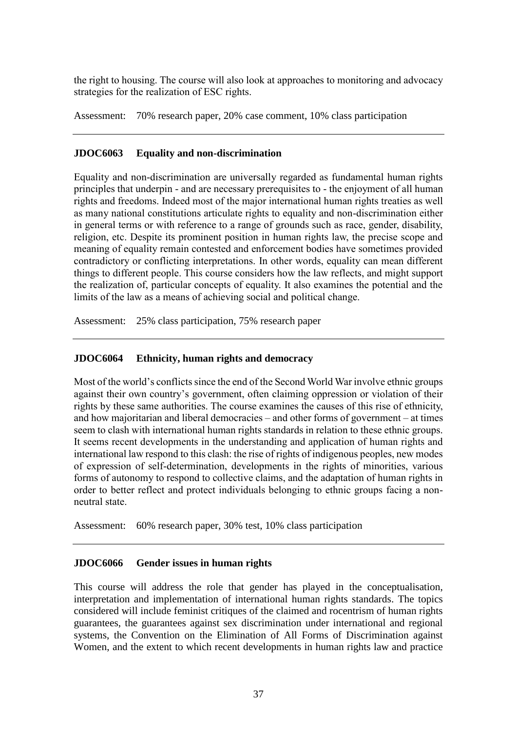the right to housing. The course will also look at approaches to monitoring and advocacy strategies for the realization of ESC rights.

Assessment: 70% research paper, 20% case comment, 10% class participation

## **JDOC6063 Equality and non-discrimination**

Equality and non-discrimination are universally regarded as fundamental human rights principles that underpin - and are necessary prerequisites to - the enjoyment of all human rights and freedoms. Indeed most of the major international human rights treaties as well as many national constitutions articulate rights to equality and non-discrimination either in general terms or with reference to a range of grounds such as race, gender, disability, religion, etc. Despite its prominent position in human rights law, the precise scope and meaning of equality remain contested and enforcement bodies have sometimes provided contradictory or conflicting interpretations. In other words, equality can mean different things to different people. This course considers how the law reflects, and might support the realization of, particular concepts of equality. It also examines the potential and the limits of the law as a means of achieving social and political change.

Assessment: 25% class participation, 75% research paper

## **JDOC6064 Ethnicity, human rights and democracy**

Most of the world's conflicts since the end of the Second World War involve ethnic groups against their own country's government, often claiming oppression or violation of their rights by these same authorities. The course examines the causes of this rise of ethnicity, and how majoritarian and liberal democracies – and other forms of government – at times seem to clash with international human rights standards in relation to these ethnic groups. It seems recent developments in the understanding and application of human rights and international law respond to this clash: the rise of rights of indigenous peoples, new modes of expression of self-determination, developments in the rights of minorities, various forms of autonomy to respond to collective claims, and the adaptation of human rights in order to better reflect and protect individuals belonging to ethnic groups facing a nonneutral state.

Assessment: 60% research paper, 30% test, 10% class participation

### **JDOC6066 Gender issues in human rights**

This course will address the role that gender has played in the conceptualisation, interpretation and implementation of international human rights standards. The topics considered will include feminist critiques of the claimed and rocentrism of human rights guarantees, the guarantees against sex discrimination under international and regional systems, the Convention on the Elimination of All Forms of Discrimination against Women, and the extent to which recent developments in human rights law and practice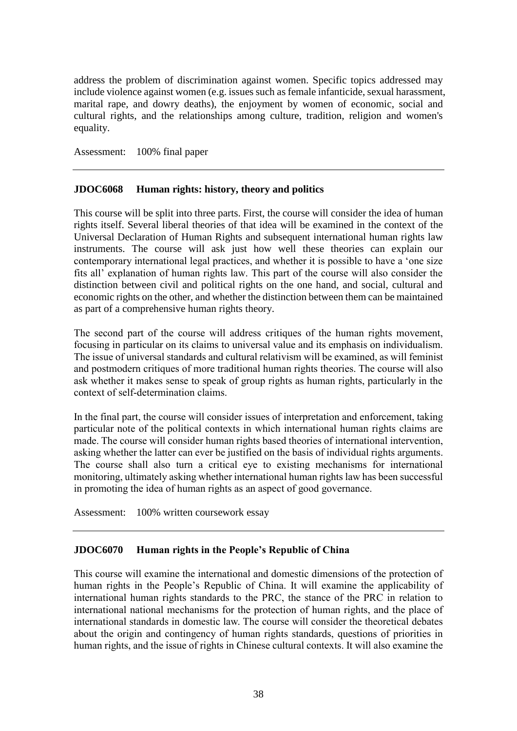address the problem of discrimination against women. Specific topics addressed may include violence against women (e.g. issues such as female infanticide, sexual harassment, marital rape, and dowry deaths), the enjoyment by women of economic, social and cultural rights, and the relationships among culture, tradition, religion and women's equality.

Assessment: 100% final paper

### **JDOC6068 Human rights: history, theory and politics**

This course will be split into three parts. First, the course will consider the idea of human rights itself. Several liberal theories of that idea will be examined in the context of the Universal Declaration of Human Rights and subsequent international human rights law instruments. The course will ask just how well these theories can explain our contemporary international legal practices, and whether it is possible to have a 'one size fits all' explanation of human rights law. This part of the course will also consider the distinction between civil and political rights on the one hand, and social, cultural and economic rights on the other, and whether the distinction between them can be maintained as part of a comprehensive human rights theory.

The second part of the course will address critiques of the human rights movement, focusing in particular on its claims to universal value and its emphasis on individualism. The issue of universal standards and cultural relativism will be examined, as will feminist and postmodern critiques of more traditional human rights theories. The course will also ask whether it makes sense to speak of group rights as human rights, particularly in the context of self-determination claims.

In the final part, the course will consider issues of interpretation and enforcement, taking particular note of the political contexts in which international human rights claims are made. The course will consider human rights based theories of international intervention, asking whether the latter can ever be justified on the basis of individual rights arguments. The course shall also turn a critical eye to existing mechanisms for international monitoring, ultimately asking whether international human rights law has been successful in promoting the idea of human rights as an aspect of good governance.

Assessment: 100% written coursework essay

### **JDOC6070 Human rights in the People's Republic of China**

This course will examine the international and domestic dimensions of the protection of human rights in the People's Republic of China. It will examine the applicability of international human rights standards to the PRC, the stance of the PRC in relation to international national mechanisms for the protection of human rights, and the place of international standards in domestic law. The course will consider the theoretical debates about the origin and contingency of human rights standards, questions of priorities in human rights, and the issue of rights in Chinese cultural contexts. It will also examine the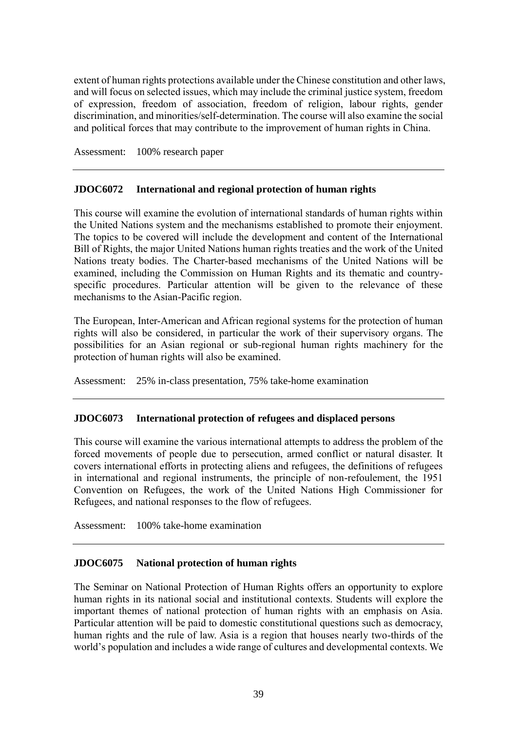extent of human rights protections available under the Chinese constitution and other laws, and will focus on selected issues, which may include the criminal justice system, freedom of expression, freedom of association, freedom of religion, labour rights, gender discrimination, and minorities/self-determination. The course will also examine the social and political forces that may contribute to the improvement of human rights in China.

Assessment: 100% research paper

### **JDOC6072 International and regional protection of human rights**

This course will examine the evolution of international standards of human rights within the United Nations system and the mechanisms established to promote their enjoyment. The topics to be covered will include the development and content of the International Bill of Rights, the major United Nations human rights treaties and the work of the United Nations treaty bodies. The Charter-based mechanisms of the United Nations will be examined, including the Commission on Human Rights and its thematic and countryspecific procedures. Particular attention will be given to the relevance of these mechanisms to the Asian-Pacific region.

The European, Inter-American and African regional systems for the protection of human rights will also be considered, in particular the work of their supervisory organs. The possibilities for an Asian regional or sub-regional human rights machinery for the protection of human rights will also be examined.

Assessment: 25% in-class presentation, 75% take-home examination

### **JDOC6073 International protection of refugees and displaced persons**

This course will examine the various international attempts to address the problem of the forced movements of people due to persecution, armed conflict or natural disaster. It covers international efforts in protecting aliens and refugees, the definitions of refugees in international and regional instruments, the principle of non-refoulement, the 1951 Convention on Refugees, the work of the United Nations High Commissioner for Refugees, and national responses to the flow of refugees.

Assessment: 100% take-home examination

### **JDOC6075 National protection of human rights**

The Seminar on National Protection of Human Rights offers an opportunity to explore human rights in its national social and institutional contexts. Students will explore the important themes of national protection of human rights with an emphasis on Asia. Particular attention will be paid to domestic constitutional questions such as democracy, human rights and the rule of law. Asia is a region that houses nearly two-thirds of the world's population and includes a wide range of cultures and developmental contexts. We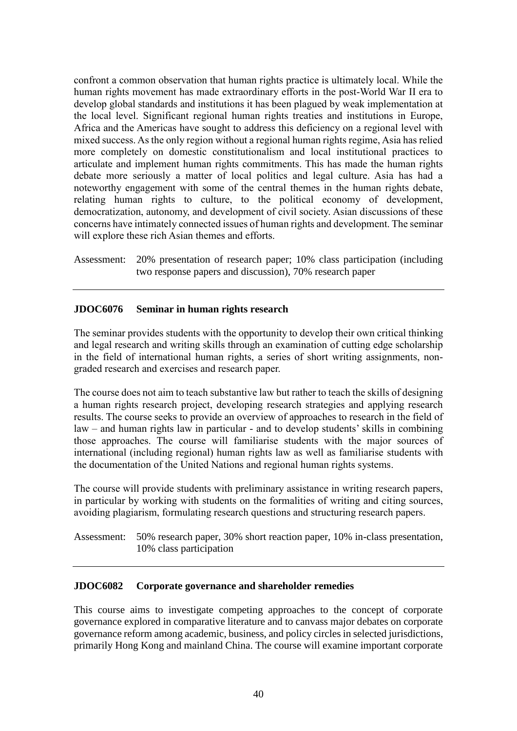confront a common observation that human rights practice is ultimately local. While the human rights movement has made extraordinary efforts in the post-World War II era to develop global standards and institutions it has been plagued by weak implementation at the local level. Significant regional human rights treaties and institutions in Europe, Africa and the Americas have sought to address this deficiency on a regional level with mixed success. As the only region without a regional human rights regime, Asia has relied more completely on domestic constitutionalism and local institutional practices to articulate and implement human rights commitments. This has made the human rights debate more seriously a matter of local politics and legal culture. Asia has had a noteworthy engagement with some of the central themes in the human rights debate, relating human rights to culture, to the political economy of development, democratization, autonomy, and development of civil society. Asian discussions of these concerns have intimately connected issues of human rights and development. The seminar will explore these rich Asian themes and efforts.

Assessment: 20% presentation of research paper; 10% class participation (including two response papers and discussion), 70% research paper

## **JDOC6076 Seminar in human rights research**

The seminar provides students with the opportunity to develop their own critical thinking and legal research and writing skills through an examination of cutting edge scholarship in the field of international human rights, a series of short writing assignments, nongraded research and exercises and research paper.

The course does not aim to teach substantive law but rather to teach the skills of designing a human rights research project, developing research strategies and applying research results. The course seeks to provide an overview of approaches to research in the field of law – and human rights law in particular - and to develop students' skills in combining those approaches. The course will familiarise students with the major sources of international (including regional) human rights law as well as familiarise students with the documentation of the United Nations and regional human rights systems.

The course will provide students with preliminary assistance in writing research papers, in particular by working with students on the formalities of writing and citing sources, avoiding plagiarism, formulating research questions and structuring research papers.

Assessment: 50% research paper, 30% short reaction paper, 10% in-class presentation, 10% class participation

### **JDOC6082 Corporate governance and shareholder remedies**

This course aims to investigate competing approaches to the concept of corporate governance explored in comparative literature and to canvass major debates on corporate governance reform among academic, business, and policy circles in selected jurisdictions, primarily Hong Kong and mainland China. The course will examine important corporate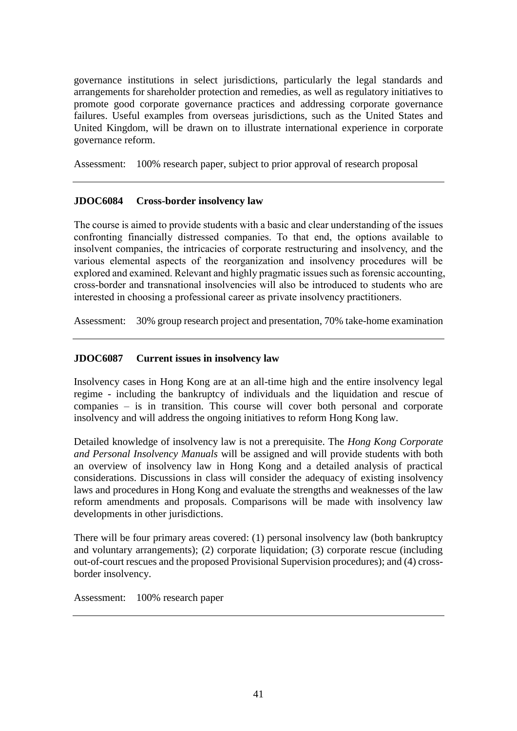governance institutions in select jurisdictions, particularly the legal standards and arrangements for shareholder protection and remedies, as well as regulatory initiatives to promote good corporate governance practices and addressing corporate governance failures. Useful examples from overseas jurisdictions, such as the United States and United Kingdom, will be drawn on to illustrate international experience in corporate governance reform.

Assessment: 100% research paper, subject to prior approval of research proposal

## **JDOC6084 Cross-border insolvency law**

The course is aimed to provide students with a basic and clear understanding of the issues confronting financially distressed companies. To that end, the options available to insolvent companies, the intricacies of corporate restructuring and insolvency, and the various elemental aspects of the reorganization and insolvency procedures will be explored and examined. Relevant and highly pragmatic issues such as forensic accounting, cross-border and transnational insolvencies will also be introduced to students who are interested in choosing a professional career as private insolvency practitioners.

Assessment: 30% group research project and presentation, 70% take-home examination

### **JDOC6087 Current issues in insolvency law**

Insolvency cases in Hong Kong are at an all-time high and the entire insolvency legal regime - including the bankruptcy of individuals and the liquidation and rescue of companies – is in transition. This course will cover both personal and corporate insolvency and will address the ongoing initiatives to reform Hong Kong law.

Detailed knowledge of insolvency law is not a prerequisite. The *Hong Kong Corporate and Personal Insolvency Manuals* will be assigned and will provide students with both an overview of insolvency law in Hong Kong and a detailed analysis of practical considerations. Discussions in class will consider the adequacy of existing insolvency laws and procedures in Hong Kong and evaluate the strengths and weaknesses of the law reform amendments and proposals. Comparisons will be made with insolvency law developments in other jurisdictions.

There will be four primary areas covered: (1) personal insolvency law (both bankruptcy and voluntary arrangements); (2) corporate liquidation; (3) corporate rescue (including out-of-court rescues and the proposed Provisional Supervision procedures); and (4) crossborder insolvency.

Assessment: 100% research paper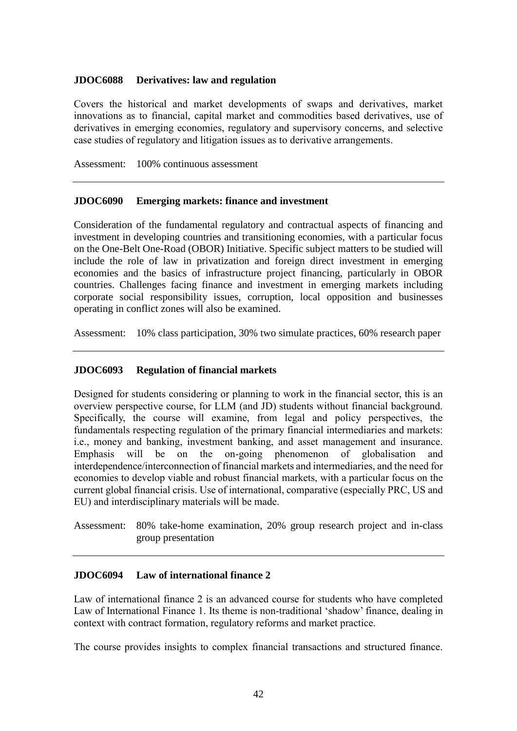### **JDOC6088 Derivatives: law and regulation**

Covers the historical and market developments of swaps and derivatives, market innovations as to financial, capital market and commodities based derivatives, use of derivatives in emerging economies, regulatory and supervisory concerns, and selective case studies of regulatory and litigation issues as to derivative arrangements.

Assessment: 100% continuous assessment

### **JDOC6090 Emerging markets: finance and investment**

Consideration of the fundamental regulatory and contractual aspects of financing and investment in developing countries and transitioning economies, with a particular focus on the One-Belt One-Road (OBOR) Initiative. Specific subject matters to be studied will include the role of law in privatization and foreign direct investment in emerging economies and the basics of infrastructure project financing, particularly in OBOR countries. Challenges facing finance and investment in emerging markets including corporate social responsibility issues, corruption, local opposition and businesses operating in conflict zones will also be examined.

Assessment: 10% class participation, 30% two simulate practices, 60% research paper

### **JDOC6093 Regulation of financial markets**

Designed for students considering or planning to work in the financial sector, this is an overview perspective course, for LLM (and JD) students without financial background. Specifically, the course will examine, from legal and policy perspectives, the fundamentals respecting regulation of the primary financial intermediaries and markets: i.e., money and banking, investment banking, and asset management and insurance. Emphasis will be on the on-going phenomenon of globalisation and interdependence/interconnection of financial markets and intermediaries, and the need for economies to develop viable and robust financial markets, with a particular focus on the current global financial crisis. Use of international, comparative (especially PRC, US and EU) and interdisciplinary materials will be made.

Assessment: 80% take-home examination, 20% group research project and in-class group presentation

### **JDOC6094 Law of international finance 2**

Law of international finance 2 is an advanced course for students who have completed Law of International Finance 1. Its theme is non-traditional 'shadow' finance, dealing in context with contract formation, regulatory reforms and market practice.

The course provides insights to complex financial transactions and structured finance.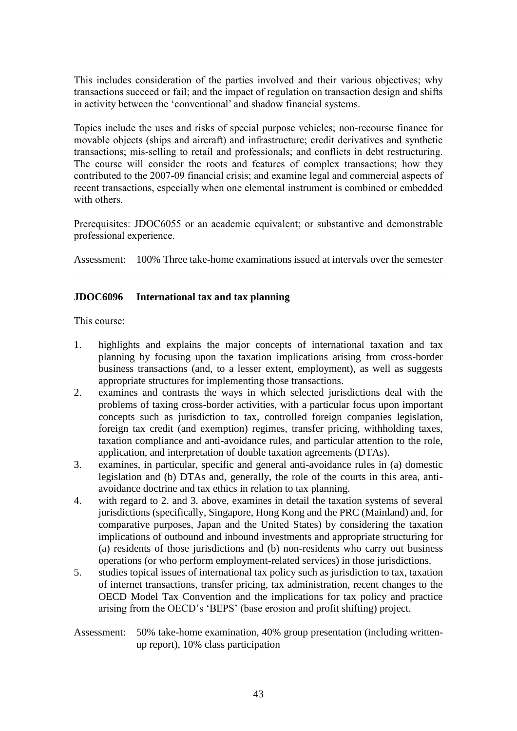This includes consideration of the parties involved and their various objectives; why transactions succeed or fail; and the impact of regulation on transaction design and shifts in activity between the 'conventional' and shadow financial systems.

Topics include the uses and risks of special purpose vehicles; non-recourse finance for movable objects (ships and aircraft) and infrastructure; credit derivatives and synthetic transactions; mis-selling to retail and professionals; and conflicts in debt restructuring. The course will consider the roots and features of complex transactions; how they contributed to the 2007-09 financial crisis; and examine legal and commercial aspects of recent transactions, especially when one elemental instrument is combined or embedded with others.

Prerequisites: JDOC6055 or an academic equivalent; or substantive and demonstrable professional experience.

Assessment: 100% Three take-home examinations issued at intervals over the semester

### **JDOC6096 International tax and tax planning**

This course:

- 1. highlights and explains the major concepts of international taxation and tax planning by focusing upon the taxation implications arising from cross-border business transactions (and, to a lesser extent, employment), as well as suggests appropriate structures for implementing those transactions.
- 2. examines and contrasts the ways in which selected jurisdictions deal with the problems of taxing cross-border activities, with a particular focus upon important concepts such as jurisdiction to tax, controlled foreign companies legislation, foreign tax credit (and exemption) regimes, transfer pricing, withholding taxes, taxation compliance and anti-avoidance rules, and particular attention to the role, application, and interpretation of double taxation agreements (DTAs).
- 3. examines, in particular, specific and general anti-avoidance rules in (a) domestic legislation and (b) DTAs and, generally, the role of the courts in this area, antiavoidance doctrine and tax ethics in relation to tax planning.
- 4. with regard to 2. and 3. above, examines in detail the taxation systems of several jurisdictions (specifically, Singapore, Hong Kong and the PRC (Mainland) and, for comparative purposes, Japan and the United States) by considering the taxation implications of outbound and inbound investments and appropriate structuring for (a) residents of those jurisdictions and (b) non-residents who carry out business operations (or who perform employment-related services) in those jurisdictions.
- 5. studies topical issues of international tax policy such as jurisdiction to tax, taxation of internet transactions, transfer pricing, tax administration, recent changes to the OECD Model Tax Convention and the implications for tax policy and practice arising from the OECD's 'BEPS' (base erosion and profit shifting) project.
- Assessment: 50% take-home examination, 40% group presentation (including writtenup report), 10% class participation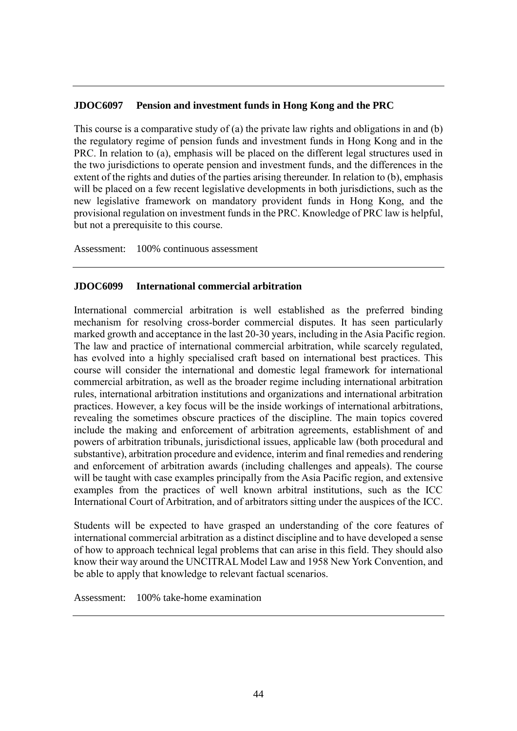### **JDOC6097 Pension and investment funds in Hong Kong and the PRC**

This course is a comparative study of (a) the private law rights and obligations in and (b) the regulatory regime of pension funds and investment funds in Hong Kong and in the PRC. In relation to (a), emphasis will be placed on the different legal structures used in the two jurisdictions to operate pension and investment funds, and the differences in the extent of the rights and duties of the parties arising thereunder. In relation to (b), emphasis will be placed on a few recent legislative developments in both jurisdictions, such as the new legislative framework on mandatory provident funds in Hong Kong, and the provisional regulation on investment funds in the PRC. Knowledge of PRC law is helpful, but not a prerequisite to this course.

Assessment: 100% continuous assessment

### **JDOC6099 International commercial arbitration**

International commercial arbitration is well established as the preferred binding mechanism for resolving cross-border commercial disputes. It has seen particularly marked growth and acceptance in the last 20-30 years, including in the Asia Pacific region. The law and practice of international commercial arbitration, while scarcely regulated, has evolved into a highly specialised craft based on international best practices. This course will consider the international and domestic legal framework for international commercial arbitration, as well as the broader regime including international arbitration rules, international arbitration institutions and organizations and international arbitration practices. However, a key focus will be the inside workings of international arbitrations, revealing the sometimes obscure practices of the discipline. The main topics covered include the making and enforcement of arbitration agreements, establishment of and powers of arbitration tribunals, jurisdictional issues, applicable law (both procedural and substantive), arbitration procedure and evidence, interim and final remedies and rendering and enforcement of arbitration awards (including challenges and appeals). The course will be taught with case examples principally from the Asia Pacific region, and extensive examples from the practices of well known arbitral institutions, such as the ICC International Court of Arbitration, and of arbitrators sitting under the auspices of the ICC.

Students will be expected to have grasped an understanding of the core features of international commercial arbitration as a distinct discipline and to have developed a sense of how to approach technical legal problems that can arise in this field. They should also know their way around the UNCITRAL Model Law and 1958 New York Convention, and be able to apply that knowledge to relevant factual scenarios.

Assessment: 100% take-home examination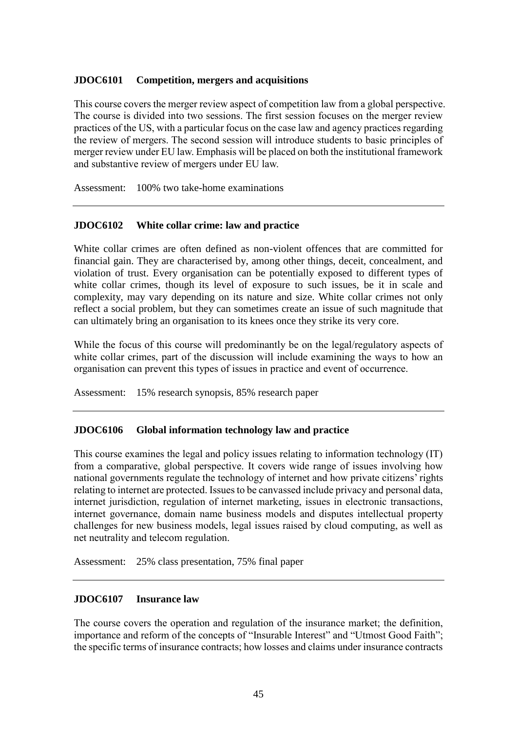### **JDOC6101 Competition, mergers and acquisitions**

This course covers the merger review aspect of competition law from a global perspective. The course is divided into two sessions. The first session focuses on the merger review practices of the US, with a particular focus on the case law and agency practices regarding the review of mergers. The second session will introduce students to basic principles of merger review under EU law. Emphasis will be placed on both the institutional framework and substantive review of mergers under EU law.

Assessment: 100% two take-home examinations

### **JDOC6102 White collar crime: law and practice**

White collar crimes are often defined as non-violent offences that are committed for financial gain. They are characterised by, among other things, deceit, concealment, and violation of trust. Every organisation can be potentially exposed to different types of white collar crimes, though its level of exposure to such issues, be it in scale and complexity, may vary depending on its nature and size. White collar crimes not only reflect a social problem, but they can sometimes create an issue of such magnitude that can ultimately bring an organisation to its knees once they strike its very core.

While the focus of this course will predominantly be on the legal/regulatory aspects of white collar crimes, part of the discussion will include examining the ways to how an organisation can prevent this types of issues in practice and event of occurrence.

Assessment: 15% research synopsis, 85% research paper

### **JDOC6106 Global information technology law and practice**

This course examines the legal and policy issues relating to information technology (IT) from a comparative, global perspective. It covers wide range of issues involving how national governments regulate the technology of internet and how private citizens' rights relating to internet are protected. Issues to be canvassed include privacy and personal data, internet jurisdiction, regulation of internet marketing, issues in electronic transactions, internet governance, domain name business models and disputes intellectual property challenges for new business models, legal issues raised by cloud computing, as well as net neutrality and telecom regulation.

Assessment: 25% class presentation, 75% final paper

#### **JDOC6107 Insurance law**

The course covers the operation and regulation of the insurance market; the definition, importance and reform of the concepts of "Insurable Interest" and "Utmost Good Faith"; the specific terms of insurance contracts; how losses and claims under insurance contracts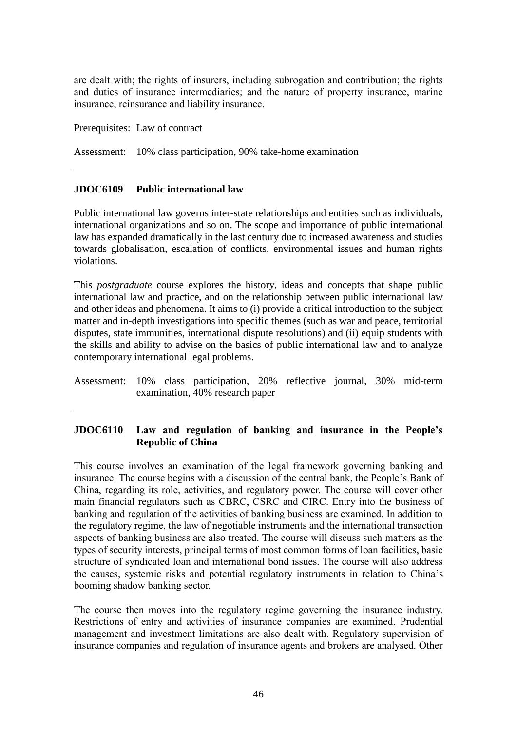are dealt with; the rights of insurers, including subrogation and contribution; the rights and duties of insurance intermediaries; and the nature of property insurance, marine insurance, reinsurance and liability insurance.

Prerequisites: Law of contract

Assessment: 10% class participation, 90% take-home examination

### **JDOC6109 Public international law**

Public international law governs inter-state relationships and entities such as individuals, international organizations and so on. The scope and importance of public international law has expanded dramatically in the last century due to increased awareness and studies towards globalisation, escalation of conflicts, environmental issues and human rights violations.

This *postgraduate* course explores the history, ideas and concepts that shape public international law and practice, and on the relationship between public international law and other ideas and phenomena. It aims to (i) provide a critical introduction to the subject matter and in-depth investigations into specific themes (such as war and peace, territorial disputes, state immunities, international dispute resolutions) and (ii) equip students with the skills and ability to advise on the basics of public international law and to analyze contemporary international legal problems.

Assessment: 10% class participation, 20% reflective journal, 30% mid-term examination, 40% research paper

# **JDOC6110 Law and regulation of banking and insurance in the People's Republic of China**

This course involves an examination of the legal framework governing banking and insurance. The course begins with a discussion of the central bank, the People's Bank of China, regarding its role, activities, and regulatory power. The course will cover other main financial regulators such as CBRC, CSRC and CIRC. Entry into the business of banking and regulation of the activities of banking business are examined. In addition to the regulatory regime, the law of negotiable instruments and the international transaction aspects of banking business are also treated. The course will discuss such matters as the types of security interests, principal terms of most common forms of loan facilities, basic structure of syndicated loan and international bond issues. The course will also address the causes, systemic risks and potential regulatory instruments in relation to China's booming shadow banking sector.

The course then moves into the regulatory regime governing the insurance industry. Restrictions of entry and activities of insurance companies are examined. Prudential management and investment limitations are also dealt with. Regulatory supervision of insurance companies and regulation of insurance agents and brokers are analysed. Other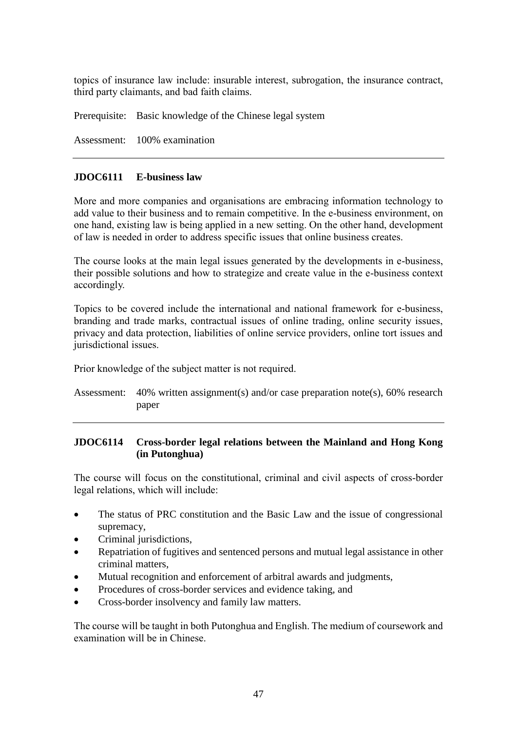topics of insurance law include: insurable interest, subrogation, the insurance contract, third party claimants, and bad faith claims.

Prerequisite: Basic knowledge of the Chinese legal system

Assessment: 100% examination

### **JDOC6111 E-business law**

More and more companies and organisations are embracing information technology to add value to their business and to remain competitive. In the e-business environment, on one hand, existing law is being applied in a new setting. On the other hand, development of law is needed in order to address specific issues that online business creates.

The course looks at the main legal issues generated by the developments in e-business, their possible solutions and how to strategize and create value in the e-business context accordingly.

Topics to be covered include the international and national framework for e-business, branding and trade marks, contractual issues of online trading, online security issues, privacy and data protection, liabilities of online service providers, online tort issues and jurisdictional issues.

Prior knowledge of the subject matter is not required.

Assessment: 40% written assignment(s) and/or case preparation note(s), 60% research paper

## **JDOC6114 Cross-border legal relations between the Mainland and Hong Kong (in Putonghua)**

The course will focus on the constitutional, criminal and civil aspects of cross-border legal relations, which will include:

- The status of PRC constitution and the Basic Law and the issue of congressional supremacy,
- Criminal jurisdictions,
- Repatriation of fugitives and sentenced persons and mutual legal assistance in other criminal matters,
- Mutual recognition and enforcement of arbitral awards and judgments,
- Procedures of cross-border services and evidence taking, and
- Cross-border insolvency and family law matters.

The course will be taught in both Putonghua and English. The medium of coursework and examination will be in Chinese.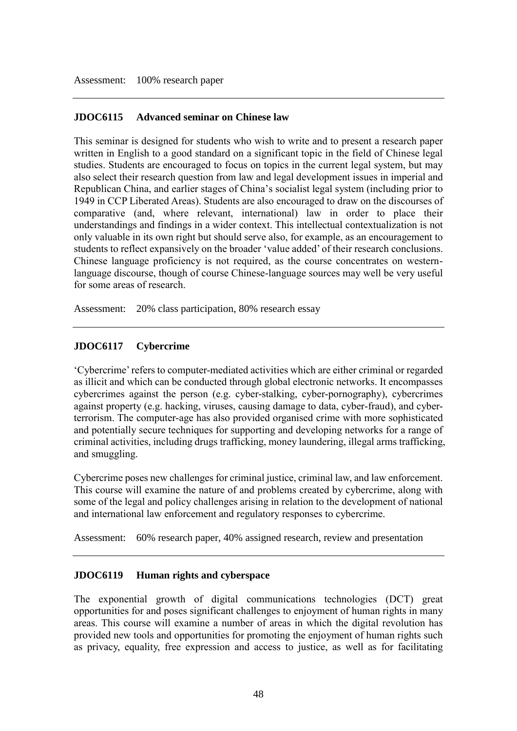### **JDOC6115 Advanced seminar on Chinese law**

This seminar is designed for students who wish to write and to present a research paper written in English to a good standard on a significant topic in the field of Chinese legal studies. Students are encouraged to focus on topics in the current legal system, but may also select their research question from law and legal development issues in imperial and Republican China, and earlier stages of China's socialist legal system (including prior to 1949 in CCP Liberated Areas). Students are also encouraged to draw on the discourses of comparative (and, where relevant, international) law in order to place their understandings and findings in a wider context. This intellectual contextualization is not only valuable in its own right but should serve also, for example, as an encouragement to students to reflect expansively on the broader 'value added' of their research conclusions. Chinese language proficiency is not required, as the course concentrates on westernlanguage discourse, though of course Chinese-language sources may well be very useful for some areas of research.

Assessment: 20% class participation, 80% research essay

### **JDOC6117 Cybercrime**

'Cybercrime' refers to computer-mediated activities which are either criminal or regarded as illicit and which can be conducted through global electronic networks. It encompasses cybercrimes against the person (e.g. cyber-stalking, cyber-pornography), cybercrimes against property (e.g. hacking, viruses, causing damage to data, cyber-fraud), and cyberterrorism. The computer-age has also provided organised crime with more sophisticated and potentially secure techniques for supporting and developing networks for a range of criminal activities, including drugs trafficking, money laundering, illegal arms trafficking, and smuggling.

Cybercrime poses new challenges for criminal justice, criminal law, and law enforcement. This course will examine the nature of and problems created by cybercrime, along with some of the legal and policy challenges arising in relation to the development of national and international law enforcement and regulatory responses to cybercrime.

Assessment: 60% research paper, 40% assigned research, review and presentation

### **JDOC6119 Human rights and cyberspace**

The exponential growth of digital communications technologies (DCT) great opportunities for and poses significant challenges to enjoyment of human rights in many areas. This course will examine a number of areas in which the digital revolution has provided new tools and opportunities for promoting the enjoyment of human rights such as privacy, equality, free expression and access to justice, as well as for facilitating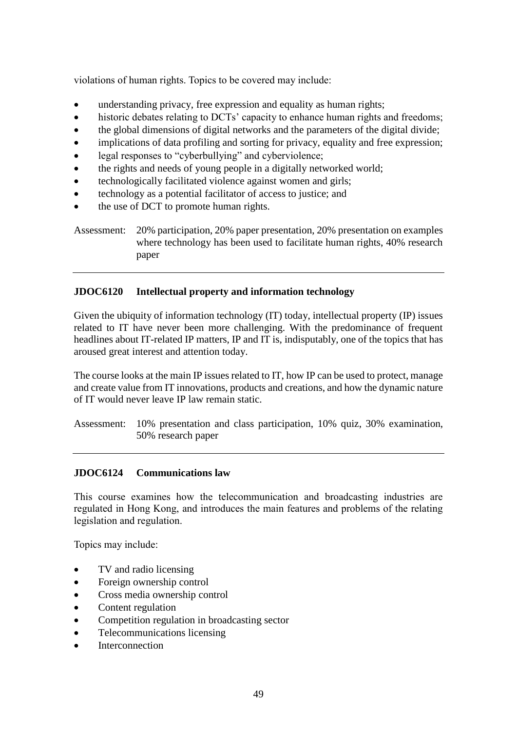violations of human rights. Topics to be covered may include:

- understanding privacy, free expression and equality as human rights;
- historic debates relating to DCTs' capacity to enhance human rights and freedoms;
- the global dimensions of digital networks and the parameters of the digital divide;
- implications of data profiling and sorting for privacy, equality and free expression;
- legal responses to "cyberbullying" and cyberviolence;
- the rights and needs of young people in a digitally networked world;
- technologically facilitated violence against women and girls;
- technology as a potential facilitator of access to justice; and
- the use of DCT to promote human rights.

Assessment: 20% participation, 20% paper presentation, 20% presentation on examples where technology has been used to facilitate human rights, 40% research paper

# **JDOC6120 Intellectual property and information technology**

Given the ubiquity of information technology (IT) today, intellectual property (IP) issues related to IT have never been more challenging. With the predominance of frequent headlines about IT-related IP matters, IP and IT is, indisputably, one of the topics that has aroused great interest and attention today.

The course looks at the main IP issues related to IT, how IP can be used to protect, manage and create value from IT innovations, products and creations, and how the dynamic nature of IT would never leave IP law remain static.

Assessment: 10% presentation and class participation, 10% quiz, 30% examination, 50% research paper

## **JDOC6124 Communications law**

This course examines how the telecommunication and broadcasting industries are regulated in Hong Kong, and introduces the main features and problems of the relating legislation and regulation.

Topics may include:

- TV and radio licensing
- Foreign ownership control
- Cross media ownership control
- Content regulation
- Competition regulation in broadcasting sector
- Telecommunications licensing
- Interconnection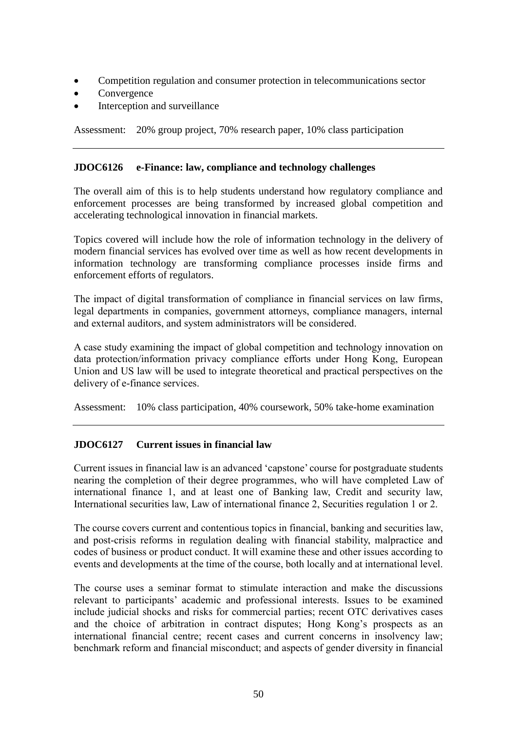- Competition regulation and consumer protection in telecommunications sector
- **Convergence**
- Interception and surveillance

Assessment: 20% group project, 70% research paper, 10% class participation

### **JDOC6126 e-Finance: law, compliance and technology challenges**

The overall aim of this is to help students understand how regulatory compliance and enforcement processes are being transformed by increased global competition and accelerating technological innovation in financial markets.

Topics covered will include how the role of information technology in the delivery of modern financial services has evolved over time as well as how recent developments in information technology are transforming compliance processes inside firms and enforcement efforts of regulators.

The impact of digital transformation of compliance in financial services on law firms, legal departments in companies, government attorneys, compliance managers, internal and external auditors, and system administrators will be considered.

A case study examining the impact of global competition and technology innovation on data protection/information privacy compliance efforts under Hong Kong, European Union and US law will be used to integrate theoretical and practical perspectives on the delivery of e-finance services.

Assessment: 10% class participation, 40% coursework, 50% take-home examination

## **JDOC6127 Current issues in financial law**

Current issues in financial law is an advanced 'capstone' course for postgraduate students nearing the completion of their degree programmes, who will have completed Law of international finance 1, and at least one of Banking law, Credit and security law, International securities law, Law of international finance 2, Securities regulation 1 or 2.

The course covers current and contentious topics in financial, banking and securities law, and post-crisis reforms in regulation dealing with financial stability, malpractice and codes of business or product conduct. It will examine these and other issues according to events and developments at the time of the course, both locally and at international level.

The course uses a seminar format to stimulate interaction and make the discussions relevant to participants' academic and professional interests. Issues to be examined include judicial shocks and risks for commercial parties; recent OTC derivatives cases and the choice of arbitration in contract disputes; Hong Kong's prospects as an international financial centre; recent cases and current concerns in insolvency law; benchmark reform and financial misconduct; and aspects of gender diversity in financial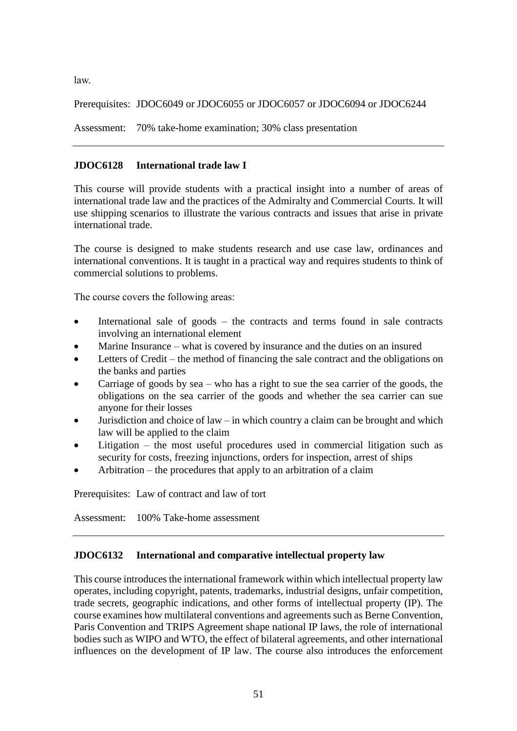law.

Prerequisites: JDOC6049 or JDOC6055 or JDOC6057 or JDOC6094 or JDOC6244

Assessment: 70% take-home examination; 30% class presentation

# **JDOC6128 International trade law I**

This course will provide students with a practical insight into a number of areas of international trade law and the practices of the Admiralty and Commercial Courts. It will use shipping scenarios to illustrate the various contracts and issues that arise in private international trade.

The course is designed to make students research and use case law, ordinances and international conventions. It is taught in a practical way and requires students to think of commercial solutions to problems.

The course covers the following areas:

- International sale of goods the contracts and terms found in sale contracts involving an international element
- Marine Insurance what is covered by insurance and the duties on an insured
- Letters of Credit the method of financing the sale contract and the obligations on the banks and parties
- Carriage of goods by sea who has a right to sue the sea carrier of the goods, the obligations on the sea carrier of the goods and whether the sea carrier can sue anyone for their losses
- Jurisdiction and choice of law in which country a claim can be brought and which law will be applied to the claim
- Litigation the most useful procedures used in commercial litigation such as security for costs, freezing injunctions, orders for inspection, arrest of ships
- Arbitration the procedures that apply to an arbitration of a claim

Prerequisites: Law of contract and law of tort

Assessment: 100% Take-home assessment

# **JDOC6132 International and comparative intellectual property law**

This course introduces the international framework within which intellectual property law operates, including copyright, patents, trademarks, industrial designs, unfair competition, trade secrets, geographic indications, and other forms of intellectual property (IP). The course examines how multilateral conventions and agreements such as Berne Convention, Paris Convention and TRIPS Agreement shape national IP laws, the role of international bodies such as WIPO and WTO, the effect of bilateral agreements, and other international influences on the development of IP law. The course also introduces the enforcement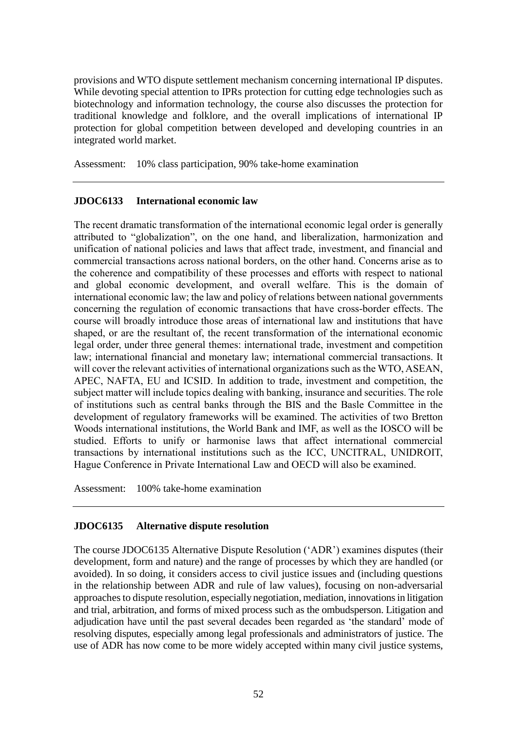provisions and WTO dispute settlement mechanism concerning international IP disputes. While devoting special attention to IPRs protection for cutting edge technologies such as biotechnology and information technology, the course also discusses the protection for traditional knowledge and folklore, and the overall implications of international IP protection for global competition between developed and developing countries in an integrated world market.

Assessment: 10% class participation, 90% take-home examination

## **JDOC6133 International economic law**

The recent dramatic transformation of the international economic legal order is generally attributed to "globalization", on the one hand, and liberalization, harmonization and unification of national policies and laws that affect trade, investment, and financial and commercial transactions across national borders, on the other hand. Concerns arise as to the coherence and compatibility of these processes and efforts with respect to national and global economic development, and overall welfare. This is the domain of international economic law; the law and policy of relations between national governments concerning the regulation of economic transactions that have cross-border effects. The course will broadly introduce those areas of international law and institutions that have shaped, or are the resultant of, the recent transformation of the international economic legal order, under three general themes: international trade, investment and competition law; international financial and monetary law; international commercial transactions. It will cover the relevant activities of international organizations such as the WTO, ASEAN, APEC, NAFTA, EU and ICSID. In addition to trade, investment and competition, the subject matter will include topics dealing with banking, insurance and securities. The role of institutions such as central banks through the BIS and the Basle Committee in the development of regulatory frameworks will be examined. The activities of two Bretton Woods international institutions, the World Bank and IMF, as well as the IOSCO will be studied. Efforts to unify or harmonise laws that affect international commercial transactions by international institutions such as the ICC, UNCITRAL, UNIDROIT, Hague Conference in Private International Law and OECD will also be examined.

Assessment: 100% take-home examination

### **JDOC6135 Alternative dispute resolution**

The course JDOC6135 Alternative Dispute Resolution ('ADR') examines disputes (their development, form and nature) and the range of processes by which they are handled (or avoided). In so doing, it considers access to civil justice issues and (including questions in the relationship between ADR and rule of law values), focusing on non-adversarial approaches to dispute resolution, especially negotiation, mediation, innovations in litigation and trial, arbitration, and forms of mixed process such as the ombudsperson. Litigation and adjudication have until the past several decades been regarded as 'the standard' mode of resolving disputes, especially among legal professionals and administrators of justice. The use of ADR has now come to be more widely accepted within many civil justice systems,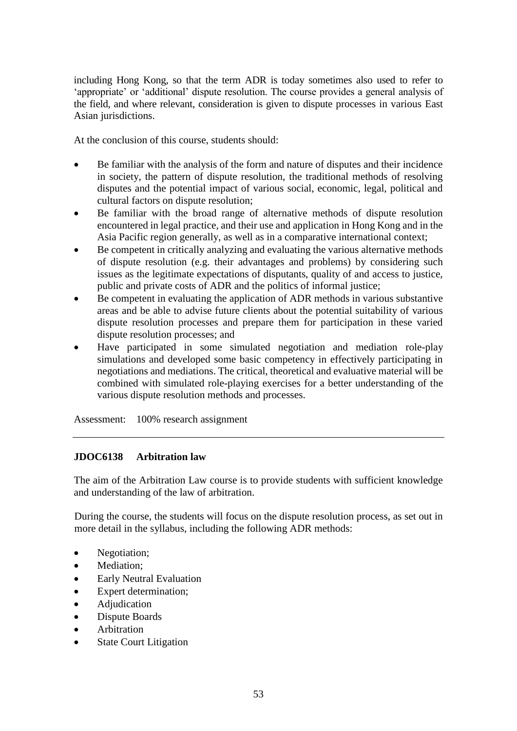including Hong Kong, so that the term ADR is today sometimes also used to refer to 'appropriate' or 'additional' dispute resolution. The course provides a general analysis of the field, and where relevant, consideration is given to dispute processes in various East Asian jurisdictions.

At the conclusion of this course, students should:

- Be familiar with the analysis of the form and nature of disputes and their incidence in society, the pattern of dispute resolution, the traditional methods of resolving disputes and the potential impact of various social, economic, legal, political and cultural factors on dispute resolution;
- Be familiar with the broad range of alternative methods of dispute resolution encountered in legal practice, and their use and application in Hong Kong and in the Asia Pacific region generally, as well as in a comparative international context;
- Be competent in critically analyzing and evaluating the various alternative methods of dispute resolution (e.g. their advantages and problems) by considering such issues as the legitimate expectations of disputants, quality of and access to justice, public and private costs of ADR and the politics of informal justice;
- Be competent in evaluating the application of ADR methods in various substantive areas and be able to advise future clients about the potential suitability of various dispute resolution processes and prepare them for participation in these varied dispute resolution processes; and
- Have participated in some simulated negotiation and mediation role-play simulations and developed some basic competency in effectively participating in negotiations and mediations. The critical, theoretical and evaluative material will be combined with simulated role-playing exercises for a better understanding of the various dispute resolution methods and processes.

Assessment: 100% research assignment

## **JDOC6138 Arbitration law**

The aim of the Arbitration Law course is to provide students with sufficient knowledge and understanding of the law of arbitration.

During the course, the students will focus on the dispute resolution process, as set out in more detail in the syllabus, including the following ADR methods:

- Negotiation;
- Mediation;
- Early Neutral Evaluation
- Expert determination;
- Adjudication
- Dispute Boards
- Arbitration
- State Court Litigation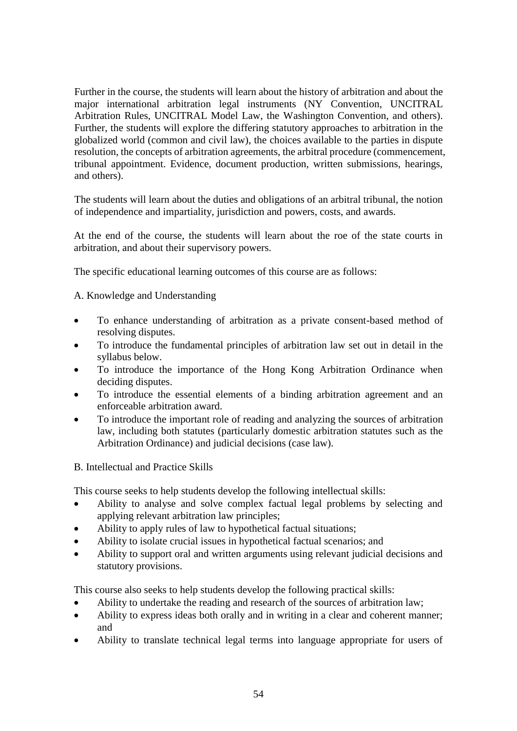Further in the course, the students will learn about the history of arbitration and about the major international arbitration legal instruments (NY Convention, UNCITRAL Arbitration Rules, UNCITRAL Model Law, the Washington Convention, and others). Further, the students will explore the differing statutory approaches to arbitration in the globalized world (common and civil law), the choices available to the parties in dispute resolution, the concepts of arbitration agreements, the arbitral procedure (commencement, tribunal appointment. Evidence, document production, written submissions, hearings, and others).

The students will learn about the duties and obligations of an arbitral tribunal, the notion of independence and impartiality, jurisdiction and powers, costs, and awards.

At the end of the course, the students will learn about the roe of the state courts in arbitration, and about their supervisory powers.

The specific educational learning outcomes of this course are as follows:

A. Knowledge and Understanding

- To enhance understanding of arbitration as a private consent-based method of resolving disputes.
- To introduce the fundamental principles of arbitration law set out in detail in the syllabus below.
- To introduce the importance of the Hong Kong Arbitration Ordinance when deciding disputes.
- To introduce the essential elements of a binding arbitration agreement and an enforceable arbitration award.
- To introduce the important role of reading and analyzing the sources of arbitration law, including both statutes (particularly domestic arbitration statutes such as the Arbitration Ordinance) and judicial decisions (case law).
- B. Intellectual and Practice Skills

This course seeks to help students develop the following intellectual skills:

- Ability to analyse and solve complex factual legal problems by selecting and applying relevant arbitration law principles;
- Ability to apply rules of law to hypothetical factual situations;
- Ability to isolate crucial issues in hypothetical factual scenarios; and
- Ability to support oral and written arguments using relevant judicial decisions and statutory provisions.

This course also seeks to help students develop the following practical skills:

- Ability to undertake the reading and research of the sources of arbitration law;
- Ability to express ideas both orally and in writing in a clear and coherent manner; and
- Ability to translate technical legal terms into language appropriate for users of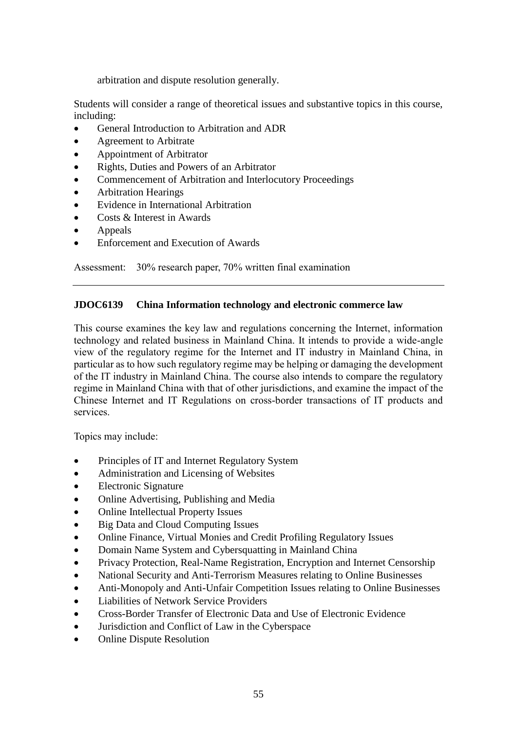arbitration and dispute resolution generally.

Students will consider a range of theoretical issues and substantive topics in this course, including:

- General Introduction to Arbitration and ADR
- Agreement to Arbitrate
- Appointment of Arbitrator
- Rights, Duties and Powers of an Arbitrator
- Commencement of Arbitration and Interlocutory Proceedings
- Arbitration Hearings
- Evidence in International Arbitration
- Costs & Interest in Awards
- Appeals
- Enforcement and Execution of Awards

Assessment: 30% research paper, 70% written final examination

### **JDOC6139 China Information technology and electronic commerce law**

This course examines the key law and regulations concerning the Internet, information technology and related business in Mainland China. It intends to provide a wide-angle view of the regulatory regime for the Internet and IT industry in Mainland China, in particular as to how such regulatory regime may be helping or damaging the development of the IT industry in Mainland China. The course also intends to compare the regulatory regime in Mainland China with that of other jurisdictions, and examine the impact of the Chinese Internet and IT Regulations on cross-border transactions of IT products and services.

Topics may include:

- Principles of IT and Internet Regulatory System
- Administration and Licensing of Websites
- Electronic Signature
- Online Advertising, Publishing and Media
- Online Intellectual Property Issues
- Big Data and Cloud Computing Issues
- Online Finance, Virtual Monies and Credit Profiling Regulatory Issues
- Domain Name System and Cybersquatting in Mainland China
- Privacy Protection, Real-Name Registration, Encryption and Internet Censorship
- National Security and Anti-Terrorism Measures relating to Online Businesses
- Anti-Monopoly and Anti-Unfair Competition Issues relating to Online Businesses
- Liabilities of Network Service Providers
- Cross-Border Transfer of Electronic Data and Use of Electronic Evidence
- Jurisdiction and Conflict of Law in the Cyberspace
- Online Dispute Resolution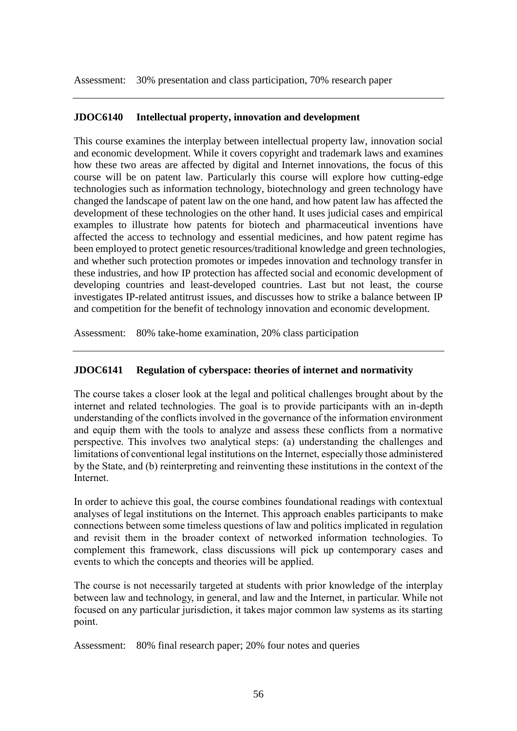Assessment: 30% presentation and class participation, 70% research paper

### **JDOC6140 Intellectual property, innovation and development**

This course examines the interplay between intellectual property law, innovation social and economic development. While it covers copyright and trademark laws and examines how these two areas are affected by digital and Internet innovations, the focus of this course will be on patent law. Particularly this course will explore how cutting-edge technologies such as information technology, biotechnology and green technology have changed the landscape of patent law on the one hand, and how patent law has affected the development of these technologies on the other hand. It uses judicial cases and empirical examples to illustrate how patents for biotech and pharmaceutical inventions have affected the access to technology and essential medicines, and how patent regime has been employed to protect genetic resources/traditional knowledge and green technologies, and whether such protection promotes or impedes innovation and technology transfer in these industries, and how IP protection has affected social and economic development of developing countries and least-developed countries. Last but not least, the course investigates IP-related antitrust issues, and discusses how to strike a balance between IP and competition for the benefit of technology innovation and economic development.

Assessment: 80% take-home examination, 20% class participation

## **JDOC6141 Regulation of cyberspace: theories of internet and normativity**

The course takes a closer look at the legal and political challenges brought about by the internet and related technologies. The goal is to provide participants with an in-depth understanding of the conflicts involved in the governance of the information environment and equip them with the tools to analyze and assess these conflicts from a normative perspective. This involves two analytical steps: (a) understanding the challenges and limitations of conventional legal institutions on the Internet, especially those administered by the State, and (b) reinterpreting and reinventing these institutions in the context of the Internet.

In order to achieve this goal, the course combines foundational readings with contextual analyses of legal institutions on the Internet. This approach enables participants to make connections between some timeless questions of law and politics implicated in regulation and revisit them in the broader context of networked information technologies. To complement this framework, class discussions will pick up contemporary cases and events to which the concepts and theories will be applied.

The course is not necessarily targeted at students with prior knowledge of the interplay between law and technology, in general, and law and the Internet, in particular. While not focused on any particular jurisdiction, it takes major common law systems as its starting point.

Assessment: 80% final research paper; 20% four notes and queries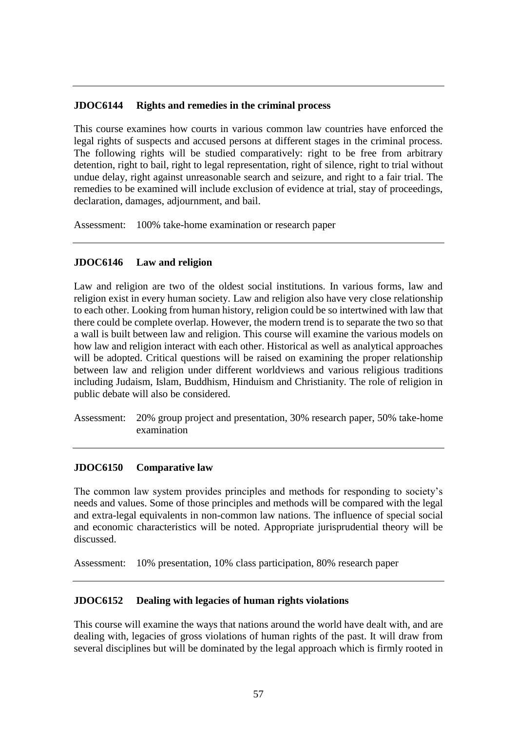### **JDOC6144 Rights and remedies in the criminal process**

This course examines how courts in various common law countries have enforced the legal rights of suspects and accused persons at different stages in the criminal process. The following rights will be studied comparatively: right to be free from arbitrary detention, right to bail, right to legal representation, right of silence, right to trial without undue delay, right against unreasonable search and seizure, and right to a fair trial. The remedies to be examined will include exclusion of evidence at trial, stay of proceedings, declaration, damages, adjournment, and bail.

Assessment: 100% take-home examination or research paper

## **JDOC6146 Law and religion**

Law and religion are two of the oldest social institutions. In various forms, law and religion exist in every human society. Law and religion also have very close relationship to each other. Looking from human history, religion could be so intertwined with law that there could be complete overlap. However, the modern trend is to separate the two so that a wall is built between law and religion. This course will examine the various models on how law and religion interact with each other. Historical as well as analytical approaches will be adopted. Critical questions will be raised on examining the proper relationship between law and religion under different worldviews and various religious traditions including Judaism, Islam, Buddhism, Hinduism and Christianity. The role of religion in public debate will also be considered.

Assessment: 20% group project and presentation, 30% research paper, 50% take-home examination

## **JDOC6150 Comparative law**

The common law system provides principles and methods for responding to society's needs and values. Some of those principles and methods will be compared with the legal and extra-legal equivalents in non-common law nations. The influence of special social and economic characteristics will be noted. Appropriate jurisprudential theory will be discussed.

Assessment: 10% presentation, 10% class participation, 80% research paper

### **JDOC6152 Dealing with legacies of human rights violations**

This course will examine the ways that nations around the world have dealt with, and are dealing with, legacies of gross violations of human rights of the past. It will draw from several disciplines but will be dominated by the legal approach which is firmly rooted in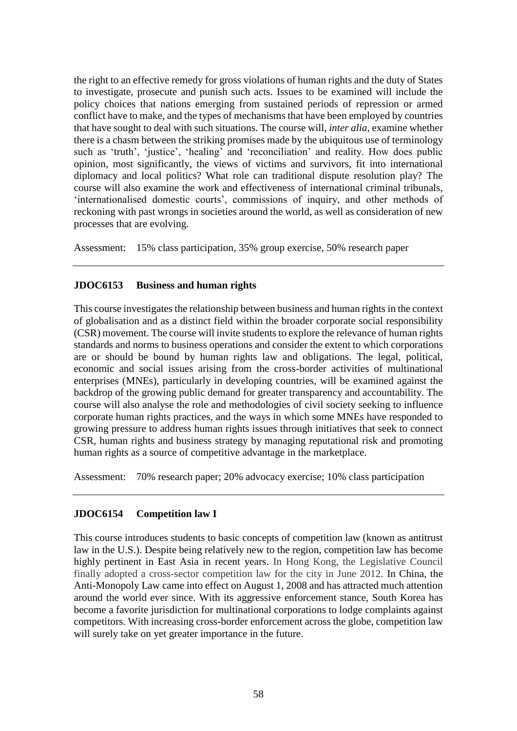the right to an effective remedy for gross violations of human rights and the duty of States to investigate, prosecute and punish such acts. Issues to be examined will include the policy choices that nations emerging from sustained periods of repression or armed conflict have to make, and the types of mechanisms that have been employed by countries that have sought to deal with such situations. The course will, *inter alia*, examine whether there is a chasm between the striking promises made by the ubiquitous use of terminology such as 'truth', 'justice', 'healing' and 'reconciliation' and reality. How does public opinion, most significantly, the views of victims and survivors, fit into international diplomacy and local politics? What role can traditional dispute resolution play? The course will also examine the work and effectiveness of international criminal tribunals, 'internationalised domestic courts', commissions of inquiry, and other methods of reckoning with past wrongs in societies around the world, as well as consideration of new processes that are evolving.

Assessment: 15% class participation, 35% group exercise, 50% research paper

## **JDOC6153 Business and human rights**

This course investigates the relationship between business and human rights in the context of globalisation and as a distinct field within the broader corporate social responsibility (CSR) movement. The course will invite students to explore the relevance of human rights standards and norms to business operations and consider the extent to which corporations are or should be bound by human rights law and obligations. The legal, political, economic and social issues arising from the cross-border activities of multinational enterprises (MNEs), particularly in developing countries, will be examined against the backdrop of the growing public demand for greater transparency and accountability. The course will also analyse the role and methodologies of civil society seeking to influence corporate human rights practices, and the ways in which some MNEs have responded to growing pressure to address human rights issues through initiatives that seek to connect CSR, human rights and business strategy by managing reputational risk and promoting human rights as a source of competitive advantage in the marketplace.

Assessment: 70% research paper; 20% advocacy exercise; 10% class participation

### **JDOC6154 Competition law I**

This course introduces students to basic concepts of competition law (known as antitrust law in the U.S.). Despite being relatively new to the region, competition law has become highly pertinent in East Asia in recent years. In Hong Kong, the Legislative Council finally adopted a cross-sector competition law for the city in June 2012. In China, the Anti-Monopoly Law came into effect on August 1, 2008 and has attracted much attention around the world ever since. With its aggressive enforcement stance, South Korea has become a favorite jurisdiction for multinational corporations to lodge complaints against competitors. With increasing cross-border enforcement across the globe, competition law will surely take on yet greater importance in the future.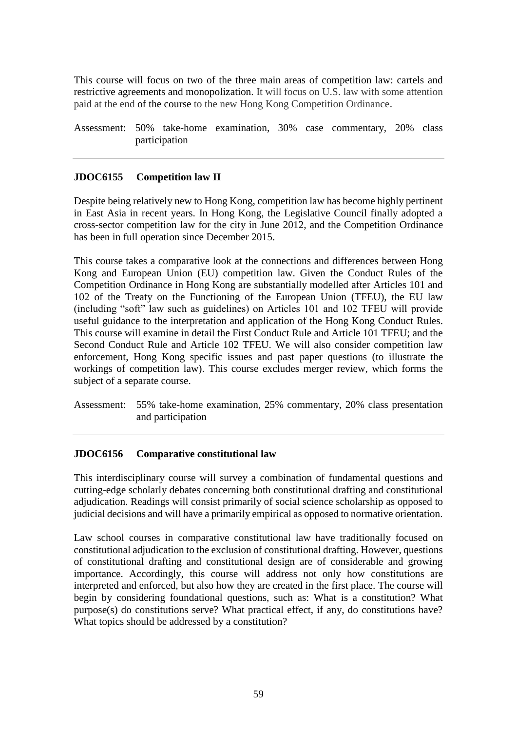This course will focus on two of the three main areas of competition law: cartels and restrictive agreements and monopolization. It will focus on U.S. law with some attention paid at the end of the course to the new Hong Kong Competition Ordinance.

Assessment: 50% take-home examination, 30% case commentary, 20% class participation

## **JDOC6155 Competition law II**

Despite being relatively new to Hong Kong, competition law has become highly pertinent in East Asia in recent years. In Hong Kong, the Legislative Council finally adopted a cross-sector competition law for the city in June 2012, and the Competition Ordinance has been in full operation since December 2015.

This course takes a comparative look at the connections and differences between Hong Kong and European Union (EU) competition law. Given the Conduct Rules of the Competition Ordinance in Hong Kong are substantially modelled after Articles 101 and 102 of the Treaty on the Functioning of the European Union (TFEU), the EU law (including "soft" law such as guidelines) on Articles 101 and 102 TFEU will provide useful guidance to the interpretation and application of the Hong Kong Conduct Rules. This course will examine in detail the First Conduct Rule and Article 101 TFEU; and the Second Conduct Rule and Article 102 TFEU. We will also consider competition law enforcement, Hong Kong specific issues and past paper questions (to illustrate the workings of competition law). This course excludes merger review, which forms the subject of a separate course.

Assessment: 55% take-home examination, 25% commentary, 20% class presentation and participation

### **JDOC6156 Comparative constitutional law**

This interdisciplinary course will survey a combination of fundamental questions and cutting-edge scholarly debates concerning both constitutional drafting and constitutional adjudication. Readings will consist primarily of social science scholarship as opposed to judicial decisions and will have a primarily empirical as opposed to normative orientation.

Law school courses in comparative constitutional law have traditionally focused on constitutional adjudication to the exclusion of constitutional drafting. However, questions of constitutional drafting and constitutional design are of considerable and growing importance. Accordingly, this course will address not only how constitutions are interpreted and enforced, but also how they are created in the first place. The course will begin by considering foundational questions, such as: What is a constitution? What purpose(s) do constitutions serve? What practical effect, if any, do constitutions have? What topics should be addressed by a constitution?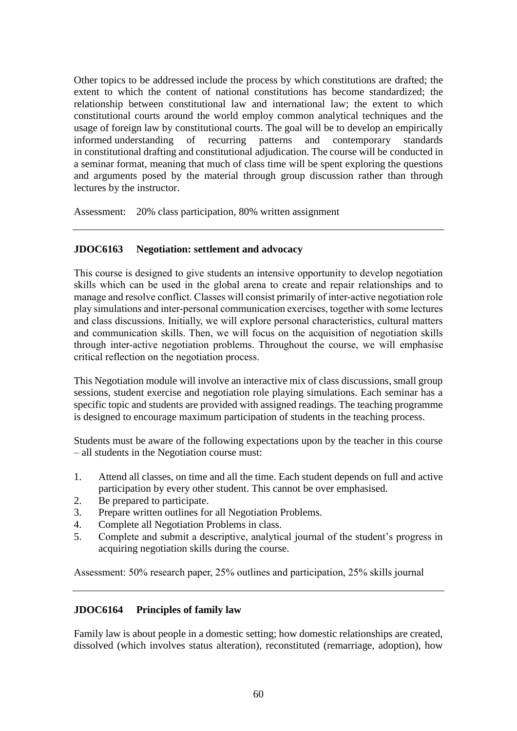Other topics to be addressed include the process by which constitutions are drafted; the extent to which the content of national constitutions has become standardized; the relationship between constitutional law and international law; the extent to which constitutional courts around the world employ common analytical techniques and the usage of foreign law by constitutional courts. The goal will be to develop an empirically informed understanding of recurring patterns and contemporary standards in constitutional drafting and constitutional adjudication. The course will be conducted in a seminar format, meaning that much of class time will be spent exploring the questions and arguments posed by the material through group discussion rather than through lectures by the instructor.

Assessment: 20% class participation, 80% written assignment

## **JDOC6163 Negotiation: settlement and advocacy**

This course is designed to give students an intensive opportunity to develop negotiation skills which can be used in the global arena to create and repair relationships and to manage and resolve conflict. Classes will consist primarily of inter-active negotiation role play simulations and inter-personal communication exercises, together with some lectures and class discussions. Initially, we will explore personal characteristics, cultural matters and communication skills. Then, we will focus on the acquisition of negotiation skills through inter-active negotiation problems. Throughout the course, we will emphasise critical reflection on the negotiation process.

This Negotiation module will involve an interactive mix of class discussions, small group sessions, student exercise and negotiation role playing simulations. Each seminar has a specific topic and students are provided with assigned readings. The teaching programme is designed to encourage maximum participation of students in the teaching process.

Students must be aware of the following expectations upon by the teacher in this course – all students in the Negotiation course must:

- 1. Attend all classes, on time and all the time. Each student depends on full and active participation by every other student. This cannot be over emphasised.
- 2. Be prepared to participate.
- 3. Prepare written outlines for all Negotiation Problems.
- 4. Complete all Negotiation Problems in class.
- 5. Complete and submit a descriptive, analytical journal of the student's progress in acquiring negotiation skills during the course.

Assessment: 50% research paper, 25% outlines and participation, 25% skills journal

### **JDOC6164 Principles of family law**

Family law is about people in a domestic setting; how domestic relationships are created, dissolved (which involves status alteration), reconstituted (remarriage, adoption), how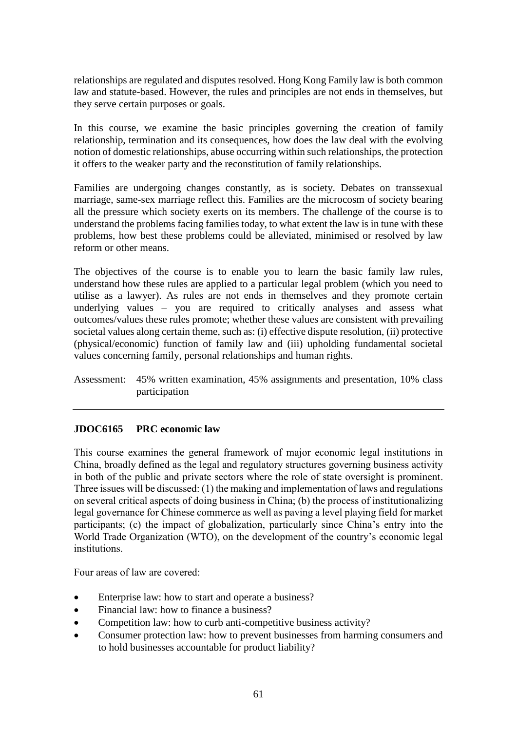relationships are regulated and disputes resolved. Hong Kong Family law is both common law and statute-based. However, the rules and principles are not ends in themselves, but they serve certain purposes or goals.

In this course, we examine the basic principles governing the creation of family relationship, termination and its consequences, how does the law deal with the evolving notion of domestic relationships, abuse occurring within such relationships, the protection it offers to the weaker party and the reconstitution of family relationships.

Families are undergoing changes constantly, as is society. Debates on transsexual marriage, same-sex marriage reflect this. Families are the microcosm of society bearing all the pressure which society exerts on its members. The challenge of the course is to understand the problems facing families today, to what extent the law is in tune with these problems, how best these problems could be alleviated, minimised or resolved by law reform or other means.

The objectives of the course is to enable you to learn the basic family law rules, understand how these rules are applied to a particular legal problem (which you need to utilise as a lawyer). As rules are not ends in themselves and they promote certain underlying values – you are required to critically analyses and assess what outcomes/values these rules promote; whether these values are consistent with prevailing societal values along certain theme, such as: (i) effective dispute resolution, (ii) protective (physical/economic) function of family law and (iii) upholding fundamental societal values concerning family, personal relationships and human rights.

Assessment: 45% written examination, 45% assignments and presentation, 10% class participation

## **JDOC6165 PRC economic law**

This course examines the general framework of major economic legal institutions in China, broadly defined as the legal and regulatory structures governing business activity in both of the public and private sectors where the role of state oversight is prominent. Three issues will be discussed: (1) the making and implementation of laws and regulations on several critical aspects of doing business in China; (b) the process of institutionalizing legal governance for Chinese commerce as well as paving a level playing field for market participants; (c) the impact of globalization, particularly since China's entry into the World Trade Organization (WTO), on the development of the country's economic legal institutions.

Four areas of law are covered:

- Enterprise law: how to start and operate a business?
- Financial law: how to finance a business?
- Competition law: how to curb anti-competitive business activity?
- Consumer protection law: how to prevent businesses from harming consumers and to hold businesses accountable for product liability?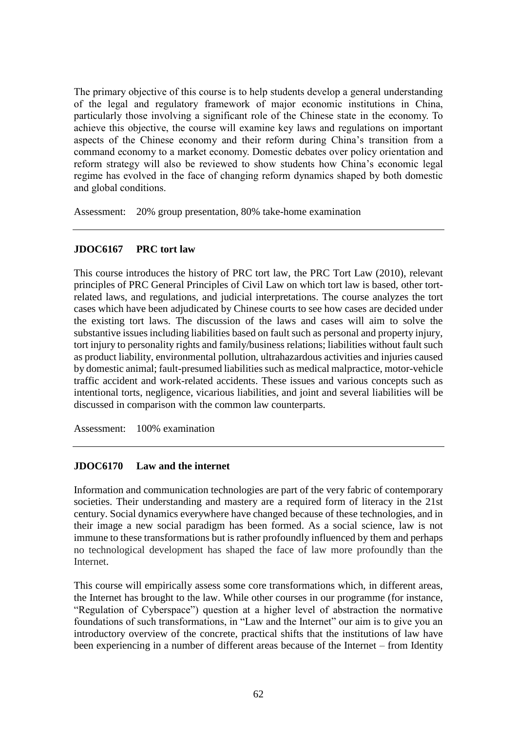The primary objective of this course is to help students develop a general understanding of the legal and regulatory framework of major economic institutions in China, particularly those involving a significant role of the Chinese state in the economy. To achieve this objective, the course will examine key laws and regulations on important aspects of the Chinese economy and their reform during China's transition from a command economy to a market economy. Domestic debates over policy orientation and reform strategy will also be reviewed to show students how China's economic legal regime has evolved in the face of changing reform dynamics shaped by both domestic and global conditions.

Assessment: 20% group presentation, 80% take-home examination

### **JDOC6167 PRC tort law**

This course introduces the history of PRC tort law, the PRC Tort Law (2010), relevant principles of PRC General Principles of Civil Law on which tort law is based, other tortrelated laws, and regulations, and judicial interpretations. The course analyzes the tort cases which have been adjudicated by Chinese courts to see how cases are decided under the existing tort laws. The discussion of the laws and cases will aim to solve the substantive issues including liabilities based on fault such as personal and property injury, tort injury to personality rights and family/business relations; liabilities without fault such as product liability, environmental pollution, ultrahazardous activities and injuries caused by domestic animal; fault-presumed liabilities such as medical malpractice, motor-vehicle traffic accident and work-related accidents. These issues and various concepts such as intentional torts, negligence, vicarious liabilities, and joint and several liabilities will be discussed in comparison with the common law counterparts.

Assessment: 100% examination

## **JDOC6170 Law and the internet**

Information and communication technologies are part of the very fabric of contemporary societies. Their understanding and mastery are a required form of literacy in the 21st century. Social dynamics everywhere have changed because of these technologies, and in their image a new social paradigm has been formed. As a social science, law is not immune to these transformations but is rather profoundly influenced by them and perhaps no technological development has shaped the face of law more profoundly than the **Internet** 

This course will empirically assess some core transformations which, in different areas, the Internet has brought to the law. While other courses in our programme (for instance, "Regulation of Cyberspace") question at a higher level of abstraction the normative foundations of such transformations, in "Law and the Internet" our aim is to give you an introductory overview of the concrete, practical shifts that the institutions of law have been experiencing in a number of different areas because of the Internet – from Identity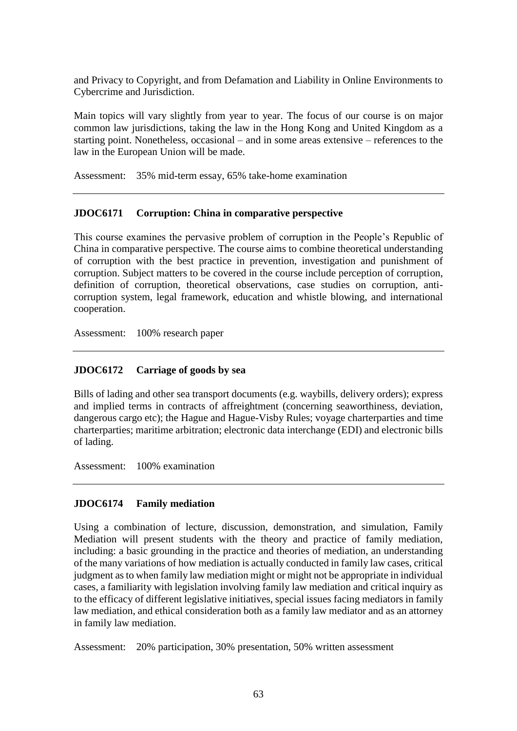and Privacy to Copyright, and from Defamation and Liability in Online Environments to Cybercrime and Jurisdiction.

Main topics will vary slightly from year to year. The focus of our course is on major common law jurisdictions, taking the law in the Hong Kong and United Kingdom as a starting point. Nonetheless, occasional – and in some areas extensive – references to the law in the European Union will be made.

Assessment: 35% mid-term essay, 65% take-home examination

### **JDOC6171 Corruption: China in comparative perspective**

This course examines the pervasive problem of corruption in the People's Republic of China in comparative perspective. The course aims to combine theoretical understanding of corruption with the best practice in prevention, investigation and punishment of corruption. Subject matters to be covered in the course include perception of corruption, definition of corruption, theoretical observations, case studies on corruption, anticorruption system, legal framework, education and whistle blowing, and international cooperation.

Assessment: 100% research paper

## **JDOC6172 Carriage of goods by sea**

Bills of lading and other sea transport documents (e.g. waybills, delivery orders); express and implied terms in contracts of affreightment (concerning seaworthiness, deviation, dangerous cargo etc); the Hague and Hague-Visby Rules; voyage charterparties and time charterparties; maritime arbitration; electronic data interchange (EDI) and electronic bills of lading.

Assessment: 100% examination

## **JDOC6174 Family mediation**

Using a combination of lecture, discussion, demonstration, and simulation, Family Mediation will present students with the theory and practice of family mediation, including: a basic grounding in the practice and theories of mediation, an understanding of the many variations of how mediation is actually conducted in family law cases, critical judgment as to when family law mediation might or might not be appropriate in individual cases, a familiarity with legislation involving family law mediation and critical inquiry as to the efficacy of different legislative initiatives, special issues facing mediators in family law mediation, and ethical consideration both as a family law mediator and as an attorney in family law mediation.

Assessment: 20% participation, 30% presentation, 50% written assessment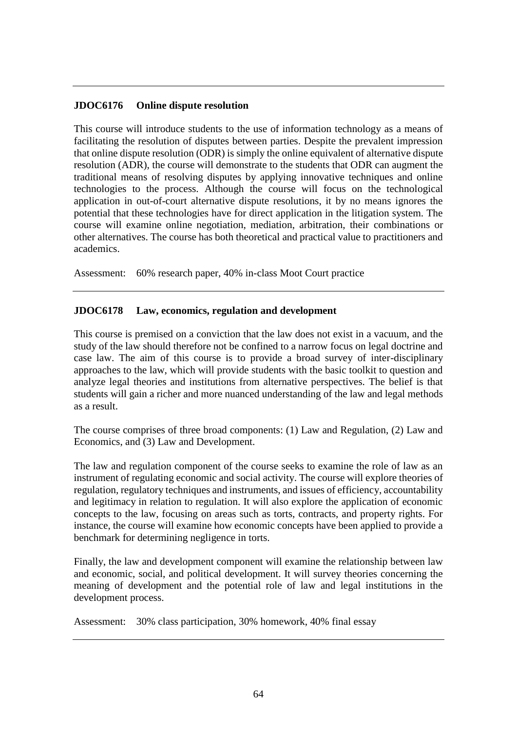### **JDOC6176 Online dispute resolution**

This course will introduce students to the use of information technology as a means of facilitating the resolution of disputes between parties. Despite the prevalent impression that online dispute resolution (ODR) is simply the online equivalent of alternative dispute resolution (ADR), the course will demonstrate to the students that ODR can augment the traditional means of resolving disputes by applying innovative techniques and online technologies to the process. Although the course will focus on the technological application in out-of-court alternative dispute resolutions, it by no means ignores the potential that these technologies have for direct application in the litigation system. The course will examine online negotiation, mediation, arbitration, their combinations or other alternatives. The course has both theoretical and practical value to practitioners and academics.

Assessment: 60% research paper, 40% in-class Moot Court practice

### **JDOC6178 Law, economics, regulation and development**

This course is premised on a conviction that the law does not exist in a vacuum, and the study of the law should therefore not be confined to a narrow focus on legal doctrine and case law. The aim of this course is to provide a broad survey of inter-disciplinary approaches to the law, which will provide students with the basic toolkit to question and analyze legal theories and institutions from alternative perspectives. The belief is that students will gain a richer and more nuanced understanding of the law and legal methods as a result.

The course comprises of three broad components: (1) Law and Regulation, (2) Law and Economics, and (3) Law and Development.

The law and regulation component of the course seeks to examine the role of law as an instrument of regulating economic and social activity. The course will explore theories of regulation, regulatory techniques and instruments, and issues of efficiency, accountability and legitimacy in relation to regulation. It will also explore the application of economic concepts to the law, focusing on areas such as torts, contracts, and property rights. For instance, the course will examine how economic concepts have been applied to provide a benchmark for determining negligence in torts.

Finally, the law and development component will examine the relationship between law and economic, social, and political development. It will survey theories concerning the meaning of development and the potential role of law and legal institutions in the development process.

Assessment: 30% class participation, 30% homework, 40% final essay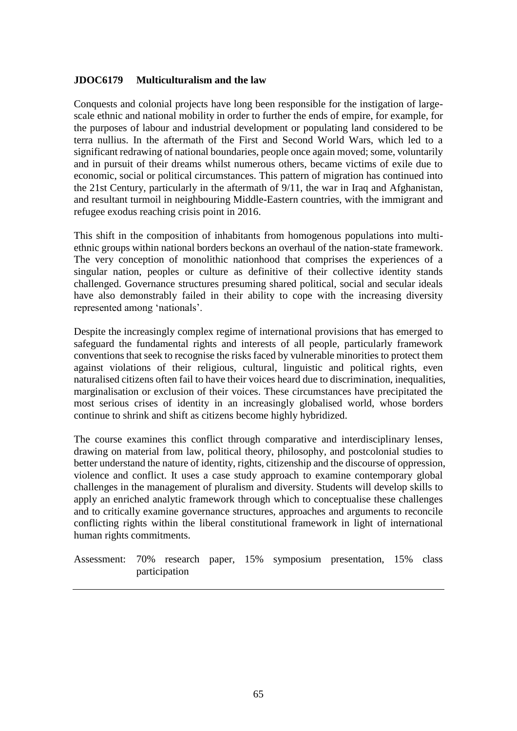### **JDOC6179 Multiculturalism and the law**

Conquests and colonial projects have long been responsible for the instigation of largescale ethnic and national mobility in order to further the ends of empire, for example, for the purposes of labour and industrial development or populating land considered to be terra nullius. In the aftermath of the First and Second World Wars, which led to a significant redrawing of national boundaries, people once again moved; some, voluntarily and in pursuit of their dreams whilst numerous others, became victims of exile due to economic, social or political circumstances. This pattern of migration has continued into the 21st Century, particularly in the aftermath of 9/11, the war in Iraq and Afghanistan, and resultant turmoil in neighbouring Middle-Eastern countries, with the immigrant and refugee exodus reaching crisis point in 2016.

This shift in the composition of inhabitants from homogenous populations into multiethnic groups within national borders beckons an overhaul of the nation-state framework. The very conception of monolithic nationhood that comprises the experiences of a singular nation, peoples or culture as definitive of their collective identity stands challenged. Governance structures presuming shared political, social and secular ideals have also demonstrably failed in their ability to cope with the increasing diversity represented among 'nationals'.

Despite the increasingly complex regime of international provisions that has emerged to safeguard the fundamental rights and interests of all people, particularly framework conventions that seek to recognise the risks faced by vulnerable minorities to protect them against violations of their religious, cultural, linguistic and political rights, even naturalised citizens often fail to have their voices heard due to discrimination, inequalities, marginalisation or exclusion of their voices. These circumstances have precipitated the most serious crises of identity in an increasingly globalised world, whose borders continue to shrink and shift as citizens become highly hybridized.

The course examines this conflict through comparative and interdisciplinary lenses, drawing on material from law, political theory, philosophy, and postcolonial studies to better understand the nature of identity, rights, citizenship and the discourse of oppression, violence and conflict. It uses a case study approach to examine contemporary global challenges in the management of pluralism and diversity. Students will develop skills to apply an enriched analytic framework through which to conceptualise these challenges and to critically examine governance structures, approaches and arguments to reconcile conflicting rights within the liberal constitutional framework in light of international human rights commitments.

Assessment: 70% research paper, 15% symposium presentation, 15% class participation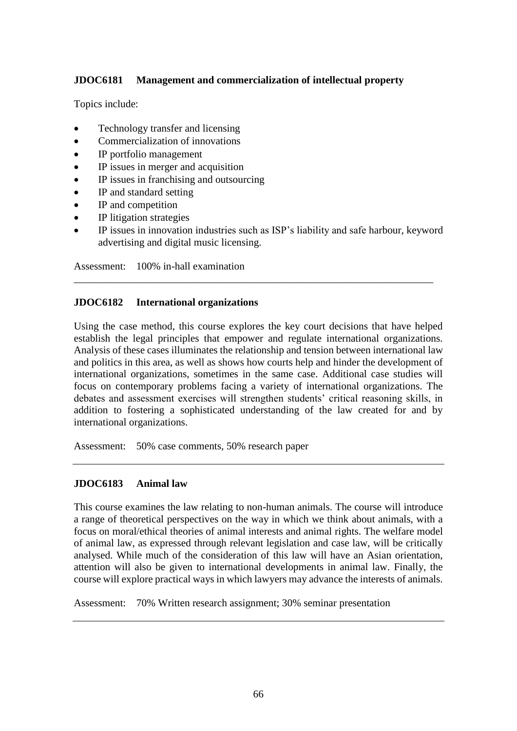# **JDOC6181 Management and commercialization of intellectual property**

Topics include:

- Technology transfer and licensing
- Commercialization of innovations
- IP portfolio management
- IP issues in merger and acquisition
- IP issues in franchising and outsourcing
- IP and standard setting
- IP and competition
- IP litigation strategies
- IP issues in innovation industries such as ISP's liability and safe harbour, keyword advertising and digital music licensing.

\_\_\_\_\_\_\_\_\_\_\_\_\_\_\_\_\_\_\_\_\_\_\_\_\_\_\_\_\_\_\_\_\_\_\_\_\_\_\_\_\_\_\_\_\_\_\_\_\_\_\_\_\_\_\_\_\_\_\_\_\_\_\_\_\_\_\_\_\_

Assessment: 100% in-hall examination

### **JDOC6182 International organizations**

Using the case method, this course explores the key court decisions that have helped establish the legal principles that empower and regulate international organizations. Analysis of these cases illuminates the relationship and tension between international law and politics in this area, as well as shows how courts help and hinder the development of international organizations, sometimes in the same case. Additional case studies will focus on contemporary problems facing a variety of international organizations. The debates and assessment exercises will strengthen students' critical reasoning skills, in addition to fostering a sophisticated understanding of the law created for and by international organizations.

Assessment: 50% case comments, 50% research paper

### **JDOC6183 Animal law**

This course examines the law relating to non-human animals. The course will introduce a range of theoretical perspectives on the way in which we think about animals, with a focus on moral/ethical theories of animal interests and animal rights. The welfare model of animal law, as expressed through relevant legislation and case law, will be critically analysed. While much of the consideration of this law will have an Asian orientation, attention will also be given to international developments in animal law. Finally, the course will explore practical ways in which lawyers may advance the interests of animals.

Assessment: 70% Written research assignment; 30% seminar presentation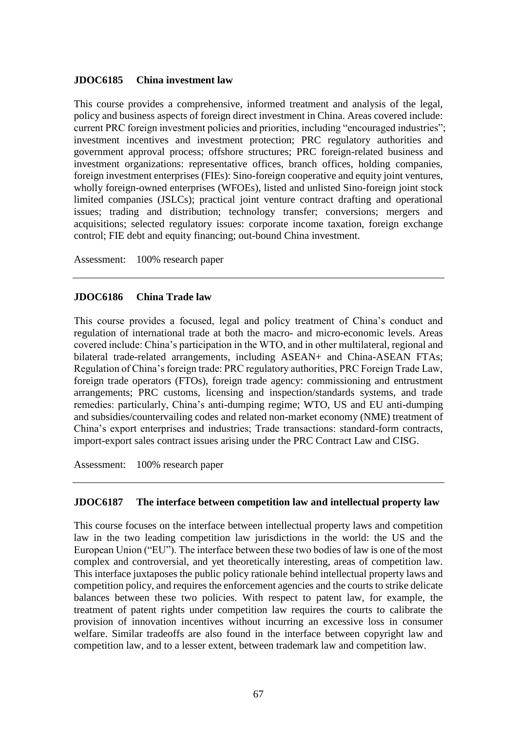### **JDOC6185 China investment law**

This course provides a comprehensive, informed treatment and analysis of the legal, policy and business aspects of foreign direct investment in China. Areas covered include: current PRC foreign investment policies and priorities, including "encouraged industries"; investment incentives and investment protection; PRC regulatory authorities and government approval process; offshore structures; PRC foreign-related business and investment organizations: representative offices, branch offices, holding companies, foreign investment enterprises (FIEs): Sino-foreign cooperative and equity joint ventures, wholly foreign-owned enterprises (WFOEs), listed and unlisted Sino-foreign joint stock limited companies (JSLCs); practical joint venture contract drafting and operational issues; trading and distribution; technology transfer; conversions; mergers and acquisitions; selected regulatory issues: corporate income taxation, foreign exchange control; FIE debt and equity financing; out-bound China investment.

Assessment: 100% research paper

#### **JDOC6186 China Trade law**

This course provides a focused, legal and policy treatment of China's conduct and regulation of international trade at both the macro- and micro-economic levels. Areas covered include: China's participation in the WTO, and in other multilateral, regional and bilateral trade-related arrangements, including ASEAN+ and China-ASEAN FTAs; Regulation of China's foreign trade: PRC regulatory authorities, PRC Foreign Trade Law, foreign trade operators (FTOs), foreign trade agency: commissioning and entrustment arrangements; PRC customs, licensing and inspection/standards systems, and trade remedies: particularly, China's anti-dumping regime; WTO, US and EU anti-dumping and subsidies/countervailing codes and related non-market economy (NME) treatment of China's export enterprises and industries; Trade transactions: standard-form contracts, import-export sales contract issues arising under the PRC Contract Law and CISG.

Assessment: 100% research paper

#### **JDOC6187 The interface between competition law and intellectual property law**

This course focuses on the interface between intellectual property laws and competition law in the two leading competition law jurisdictions in the world: the US and the European Union ("EU"). The interface between these two bodies of law is one of the most complex and controversial, and yet theoretically interesting, areas of competition law. This interface juxtaposes the public policy rationale behind intellectual property laws and competition policy, and requires the enforcement agencies and the courts to strike delicate balances between these two policies. With respect to patent law, for example, the treatment of patent rights under competition law requires the courts to calibrate the provision of innovation incentives without incurring an excessive loss in consumer welfare. Similar tradeoffs are also found in the interface between copyright law and competition law, and to a lesser extent, between trademark law and competition law.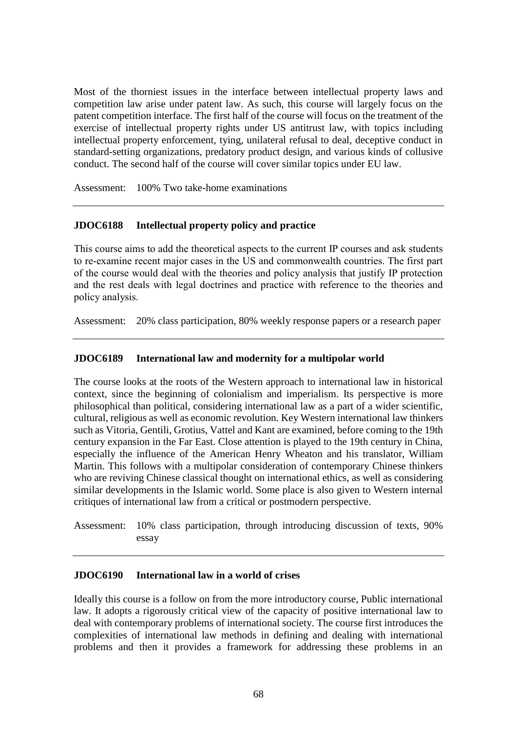Most of the thorniest issues in the interface between intellectual property laws and competition law arise under patent law. As such, this course will largely focus on the patent competition interface. The first half of the course will focus on the treatment of the exercise of intellectual property rights under US antitrust law, with topics including intellectual property enforcement, tying, unilateral refusal to deal, deceptive conduct in standard-setting organizations, predatory product design, and various kinds of collusive conduct. The second half of the course will cover similar topics under EU law.

Assessment: 100% Two take-home examinations

### **JDOC6188 Intellectual property policy and practice**

This course aims to add the theoretical aspects to the current IP courses and ask students to re-examine recent major cases in the US and commonwealth countries. The first part of the course would deal with the theories and policy analysis that justify IP protection and the rest deals with legal doctrines and practice with reference to the theories and policy analysis.

Assessment: 20% class participation, 80% weekly response papers or a research paper

#### **JDOC6189 International law and modernity for a multipolar world**

The course looks at the roots of the Western approach to international law in historical context, since the beginning of colonialism and imperialism. Its perspective is more philosophical than political, considering international law as a part of a wider scientific, cultural, religious as well as economic revolution. Key Western international law thinkers such as Vitoria, Gentili, Grotius, Vattel and Kant are examined, before coming to the 19th century expansion in the Far East. Close attention is played to the 19th century in China, especially the influence of the American Henry Wheaton and his translator, William Martin. This follows with a multipolar consideration of contemporary Chinese thinkers who are reviving Chinese classical thought on international ethics, as well as considering similar developments in the Islamic world. Some place is also given to Western internal critiques of international law from a critical or postmodern perspective.

Assessment: 10% class participation, through introducing discussion of texts, 90% essay

### **JDOC6190 International law in a world of crises**

Ideally this course is a follow on from the more introductory course, Public international law. It adopts a rigorously critical view of the capacity of positive international law to deal with contemporary problems of international society. The course first introduces the complexities of international law methods in defining and dealing with international problems and then it provides a framework for addressing these problems in an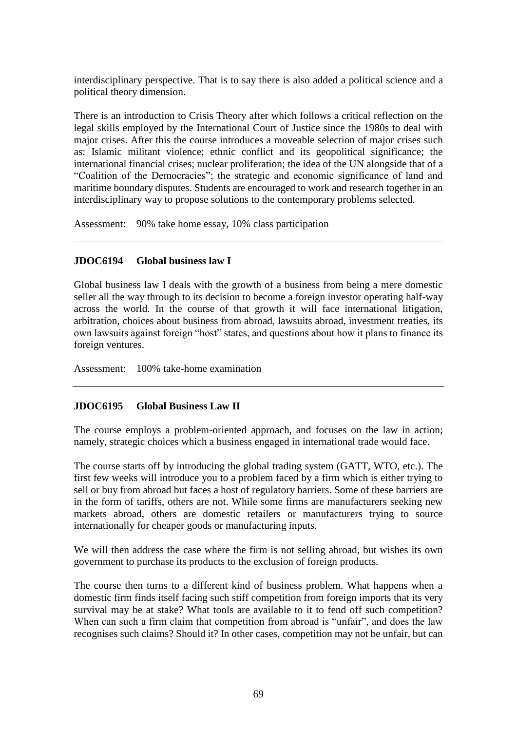interdisciplinary perspective. That is to say there is also added a political science and a political theory dimension.

There is an introduction to Crisis Theory after which follows a critical reflection on the legal skills employed by the International Court of Justice since the 1980s to deal with major crises. After this the course introduces a moveable selection of major crises such as: Islamic militant violence; ethnic conflict and its geopolitical significance; the international financial crises; nuclear proliferation; the idea of the UN alongside that of a "Coalition of the Democracies"; the strategic and economic significance of land and maritime boundary disputes. Students are encouraged to work and research together in an interdisciplinary way to propose solutions to the contemporary problems selected.

Assessment: 90% take home essay, 10% class participation

### **JDOC6194 Global business law I**

Global business law I deals with the growth of a business from being a mere domestic seller all the way through to its decision to become a foreign investor operating half-way across the world. In the course of that growth it will face international litigation, arbitration, choices about business from abroad, lawsuits abroad, investment treaties, its own lawsuits against foreign "host" states, and questions about how it plans to finance its foreign ventures.

Assessment: 100% take-home examination

### **JDOC6195 Global Business Law II**

The course employs a problem-oriented approach, and focuses on the law in action; namely, strategic choices which a business engaged in international trade would face.

The course starts off by introducing the global trading system (GATT, WTO, etc.). The first few weeks will introduce you to a problem faced by a firm which is either trying to sell or buy from abroad but faces a host of regulatory barriers. Some of these barriers are in the form of tariffs, others are not. While some firms are manufacturers seeking new markets abroad, others are domestic retailers or manufacturers trying to source internationally for cheaper goods or manufacturing inputs.

We will then address the case where the firm is not selling abroad, but wishes its own government to purchase its products to the exclusion of foreign products.

The course then turns to a different kind of business problem. What happens when a domestic firm finds itself facing such stiff competition from foreign imports that its very survival may be at stake? What tools are available to it to fend off such competition? When can such a firm claim that competition from abroad is "unfair", and does the law recognises such claims? Should it? In other cases, competition may not be unfair, but can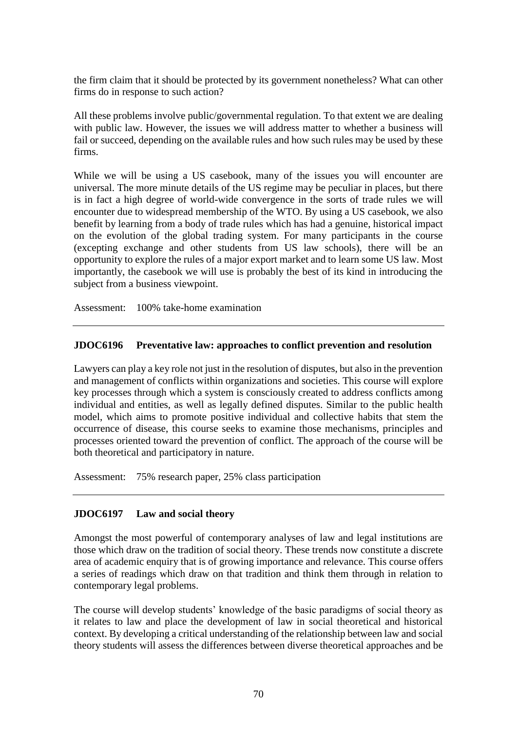the firm claim that it should be protected by its government nonetheless? What can other firms do in response to such action?

All these problems involve public/governmental regulation. To that extent we are dealing with public law. However, the issues we will address matter to whether a business will fail or succeed, depending on the available rules and how such rules may be used by these firms.

While we will be using a US casebook, many of the issues you will encounter are universal. The more minute details of the US regime may be peculiar in places, but there is in fact a high degree of world-wide convergence in the sorts of trade rules we will encounter due to widespread membership of the WTO. By using a US casebook, we also benefit by learning from a body of trade rules which has had a genuine, historical impact on the evolution of the global trading system. For many participants in the course (excepting exchange and other students from US law schools), there will be an opportunity to explore the rules of a major export market and to learn some US law. Most importantly, the casebook we will use is probably the best of its kind in introducing the subject from a business viewpoint.

Assessment: 100% take-home examination

### **JDOC6196 Preventative law: approaches to conflict prevention and resolution**

Lawyers can play a key role not just in the resolution of disputes, but also in the prevention and management of conflicts within organizations and societies. This course will explore key processes through which a system is consciously created to address conflicts among individual and entities, as well as legally defined disputes. Similar to the public health model, which aims to promote positive individual and collective habits that stem the occurrence of disease, this course seeks to examine those mechanisms, principles and processes oriented toward the prevention of conflict. The approach of the course will be both theoretical and participatory in nature.

Assessment: 75% research paper, 25% class participation

## **JDOC6197 Law and social theory**

Amongst the most powerful of contemporary analyses of law and legal institutions are those which draw on the tradition of social theory. These trends now constitute a discrete area of academic enquiry that is of growing importance and relevance. This course offers a series of readings which draw on that tradition and think them through in relation to contemporary legal problems.

The course will develop students' knowledge of the basic paradigms of social theory as it relates to law and place the development of law in social theoretical and historical context. By developing a critical understanding of the relationship between law and social theory students will assess the differences between diverse theoretical approaches and be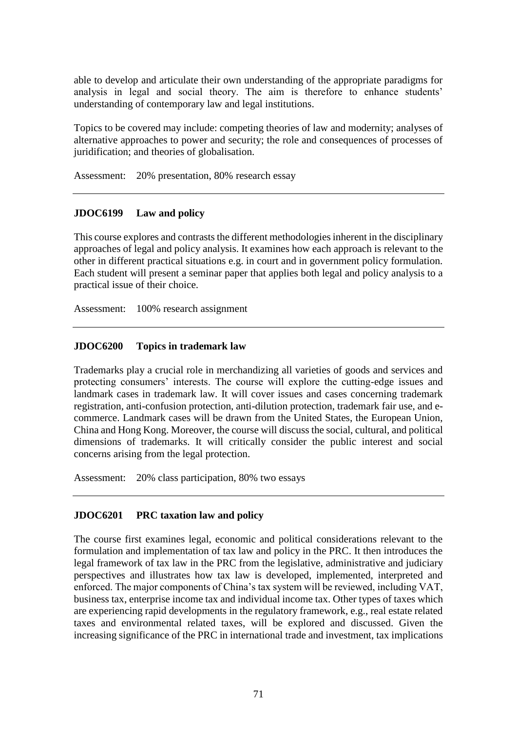able to develop and articulate their own understanding of the appropriate paradigms for analysis in legal and social theory. The aim is therefore to enhance students' understanding of contemporary law and legal institutions.

Topics to be covered may include: competing theories of law and modernity; analyses of alternative approaches to power and security; the role and consequences of processes of juridification; and theories of globalisation.

Assessment: 20% presentation, 80% research essay

### **JDOC6199 Law and policy**

This course explores and contrasts the different methodologies inherent in the disciplinary approaches of legal and policy analysis. It examines how each approach is relevant to the other in different practical situations e.g. in court and in government policy formulation. Each student will present a seminar paper that applies both legal and policy analysis to a practical issue of their choice.

Assessment: 100% research assignment

### **JDOC6200 Topics in trademark law**

Trademarks play a crucial role in merchandizing all varieties of goods and services and protecting consumers' interests. The course will explore the cutting-edge issues and landmark cases in trademark law. It will cover issues and cases concerning trademark registration, anti-confusion protection, anti-dilution protection, trademark fair use, and ecommerce. Landmark cases will be drawn from the United States, the European Union, China and Hong Kong. Moreover, the course will discuss the social, cultural, and political dimensions of trademarks. It will critically consider the public interest and social concerns arising from the legal protection.

Assessment: 20% class participation, 80% two essays

### **JDOC6201 PRC taxation law and policy**

The course first examines legal, economic and political considerations relevant to the formulation and implementation of tax law and policy in the PRC. It then introduces the legal framework of tax law in the PRC from the legislative, administrative and judiciary perspectives and illustrates how tax law is developed, implemented, interpreted and enforced. The major components of China's tax system will be reviewed, including VAT, business tax, enterprise income tax and individual income tax. Other types of taxes which are experiencing rapid developments in the regulatory framework, e.g., real estate related taxes and environmental related taxes, will be explored and discussed. Given the increasing significance of the PRC in international trade and investment, tax implications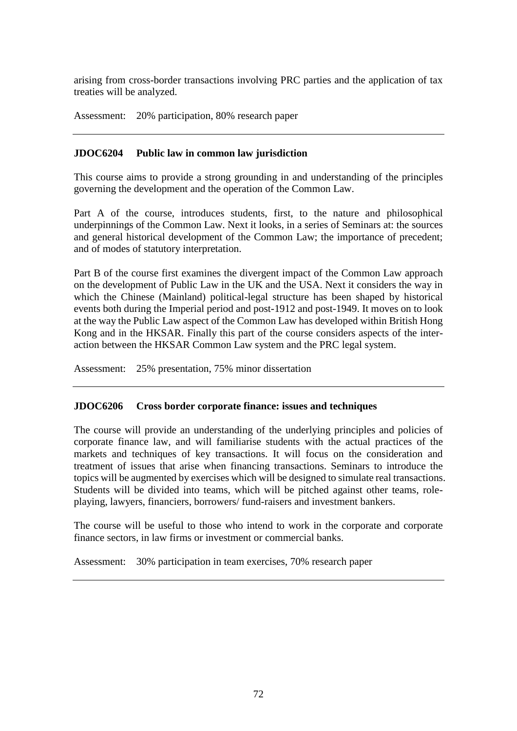arising from cross-border transactions involving PRC parties and the application of tax treaties will be analyzed.

Assessment: 20% participation, 80% research paper

## **JDOC6204 Public law in common law jurisdiction**

This course aims to provide a strong grounding in and understanding of the principles governing the development and the operation of the Common Law.

Part A of the course, introduces students, first, to the nature and philosophical underpinnings of the Common Law. Next it looks, in a series of Seminars at: the sources and general historical development of the Common Law; the importance of precedent; and of modes of statutory interpretation.

Part B of the course first examines the divergent impact of the Common Law approach on the development of Public Law in the UK and the USA. Next it considers the way in which the Chinese (Mainland) political-legal structure has been shaped by historical events both during the Imperial period and post-1912 and post-1949. It moves on to look at the way the Public Law aspect of the Common Law has developed within British Hong Kong and in the HKSAR. Finally this part of the course considers aspects of the interaction between the HKSAR Common Law system and the PRC legal system.

Assessment: 25% presentation, 75% minor dissertation

## **JDOC6206 Cross border corporate finance: issues and techniques**

The course will provide an understanding of the underlying principles and policies of corporate finance law, and will familiarise students with the actual practices of the markets and techniques of key transactions. It will focus on the consideration and treatment of issues that arise when financing transactions. Seminars to introduce the topics will be augmented by exercises which will be designed to simulate real transactions. Students will be divided into teams, which will be pitched against other teams, roleplaying, lawyers, financiers, borrowers/ fund-raisers and investment bankers.

The course will be useful to those who intend to work in the corporate and corporate finance sectors, in law firms or investment or commercial banks.

Assessment: 30% participation in team exercises, 70% research paper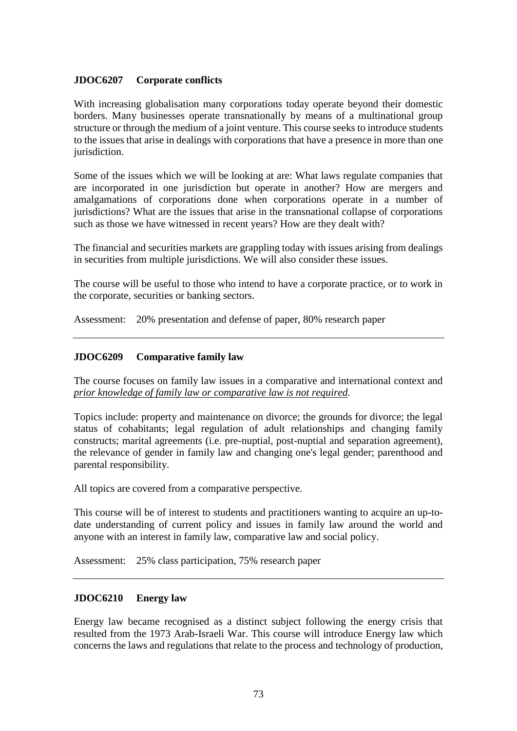## **JDOC6207 Corporate conflicts**

With increasing globalisation many corporations today operate beyond their domestic borders. Many businesses operate transnationally by means of a multinational group structure or through the medium of a joint venture. This course seeks to introduce students to the issues that arise in dealings with corporations that have a presence in more than one jurisdiction.

Some of the issues which we will be looking at are: What laws regulate companies that are incorporated in one jurisdiction but operate in another? How are mergers and amalgamations of corporations done when corporations operate in a number of jurisdictions? What are the issues that arise in the transnational collapse of corporations such as those we have witnessed in recent years? How are they dealt with?

The financial and securities markets are grappling today with issues arising from dealings in securities from multiple jurisdictions. We will also consider these issues.

The course will be useful to those who intend to have a corporate practice, or to work in the corporate, securities or banking sectors.

Assessment: 20% presentation and defense of paper, 80% research paper

## **JDOC6209 Comparative family law**

The course focuses on family law issues in a comparative and international context and *prior knowledge of family law or comparative law is not required.*

Topics include: property and maintenance on divorce; the grounds for divorce; the legal status of cohabitants; legal regulation of adult relationships and changing family constructs; marital agreements (i.e. pre-nuptial, post-nuptial and separation agreement), the relevance of gender in family law and changing one's legal gender; parenthood and parental responsibility.

All topics are covered from a comparative perspective.

This course will be of interest to students and practitioners wanting to acquire an up-todate understanding of current policy and issues in family law around the world and anyone with an interest in family law, comparative law and social policy.

Assessment: 25% class participation, 75% research paper

### **JDOC6210 Energy law**

Energy law became recognised as a distinct subject following the energy crisis that resulted from the 1973 Arab-Israeli War. This course will introduce Energy law which concerns the laws and regulations that relate to the process and technology of production,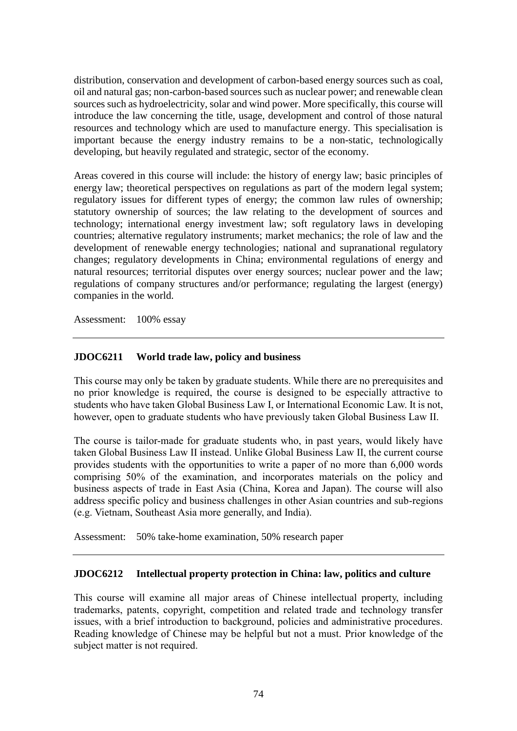distribution, conservation and development of carbon-based energy sources such as coal, oil and natural gas; non-carbon-based sources such as nuclear power; and renewable clean sources such as hydroelectricity, solar and wind power. More specifically, this course will introduce the law concerning the title, usage, development and control of those natural resources and technology which are used to manufacture energy. This specialisation is important because the energy industry remains to be a non-static, technologically developing, but heavily regulated and strategic, sector of the economy.

Areas covered in this course will include: the history of energy law; basic principles of energy law; theoretical perspectives on regulations as part of the modern legal system; regulatory issues for different types of energy; the common law rules of ownership; statutory ownership of sources; the law relating to the development of sources and technology; international energy investment law; soft regulatory laws in developing countries; alternative regulatory instruments; market mechanics; the role of law and the development of renewable energy technologies; national and supranational regulatory changes; regulatory developments in China; environmental regulations of energy and natural resources; territorial disputes over energy sources; nuclear power and the law; regulations of company structures and/or performance; regulating the largest (energy) companies in the world.

Assessment: 100% essay

# **JDOC6211 World trade law, policy and business**

This course may only be taken by graduate students. While there are no prerequisites and no prior knowledge is required, the course is designed to be especially attractive to students who have taken Global Business Law I, or International Economic Law. It is not, however, open to graduate students who have previously taken Global Business Law II.

The course is tailor-made for graduate students who, in past years, would likely have taken Global Business Law II instead. Unlike Global Business Law II, the current course provides students with the opportunities to write a paper of no more than 6,000 words comprising 50% of the examination, and incorporates materials on the policy and business aspects of trade in East Asia (China, Korea and Japan). The course will also address specific policy and business challenges in other Asian countries and sub-regions (e.g. Vietnam, Southeast Asia more generally, and India).

Assessment: 50% take-home examination, 50% research paper

### **JDOC6212 Intellectual property protection in China: law, politics and culture**

This course will examine all major areas of Chinese intellectual property, including trademarks, patents, copyright, competition and related trade and technology transfer issues, with a brief introduction to background, policies and administrative procedures. Reading knowledge of Chinese may be helpful but not a must. Prior knowledge of the subject matter is not required.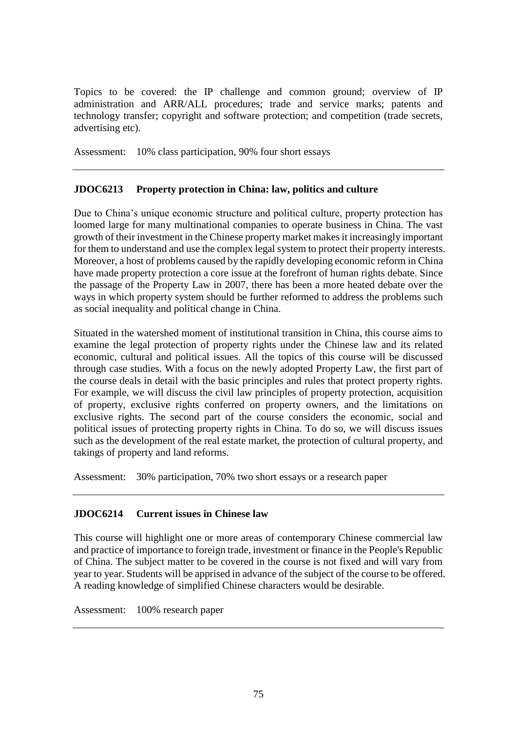Topics to be covered: the IP challenge and common ground; overview of IP administration and ARR/ALL procedures; trade and service marks; patents and technology transfer; copyright and software protection; and competition (trade secrets, advertising etc).

Assessment: 10% class participation, 90% four short essays

# **JDOC6213 Property protection in China: law, politics and culture**

Due to China's unique economic structure and political culture, property protection has loomed large for many multinational companies to operate business in China. The vast growth of their investment in the Chinese property market makes it increasingly important for them to understand and use the complex legal system to protect their property interests. Moreover, a host of problems caused by the rapidly developing economic reform in China have made property protection a core issue at the forefront of human rights debate. Since the passage of the Property Law in 2007, there has been a more heated debate over the ways in which property system should be further reformed to address the problems such as social inequality and political change in China.

Situated in the watershed moment of institutional transition in China, this course aims to examine the legal protection of property rights under the Chinese law and its related economic, cultural and political issues. All the topics of this course will be discussed through case studies. With a focus on the newly adopted Property Law, the first part of the course deals in detail with the basic principles and rules that protect property rights. For example, we will discuss the civil law principles of property protection, acquisition of property, exclusive rights conferred on property owners, and the limitations on exclusive rights. The second part of the course considers the economic, social and political issues of protecting property rights in China. To do so, we will discuss issues such as the development of the real estate market, the protection of cultural property, and takings of property and land reforms.

Assessment: 30% participation, 70% two short essays or a research paper

# **JDOC6214 Current issues in Chinese law**

This course will highlight one or more areas of contemporary Chinese commercial law and practice of importance to foreign trade, investment or finance in the People's Republic of China. The subject matter to be covered in the course is not fixed and will vary from year to year. Students will be apprised in advance of the subject of the course to be offered. A reading knowledge of simplified Chinese characters would be desirable.

Assessment: 100% research paper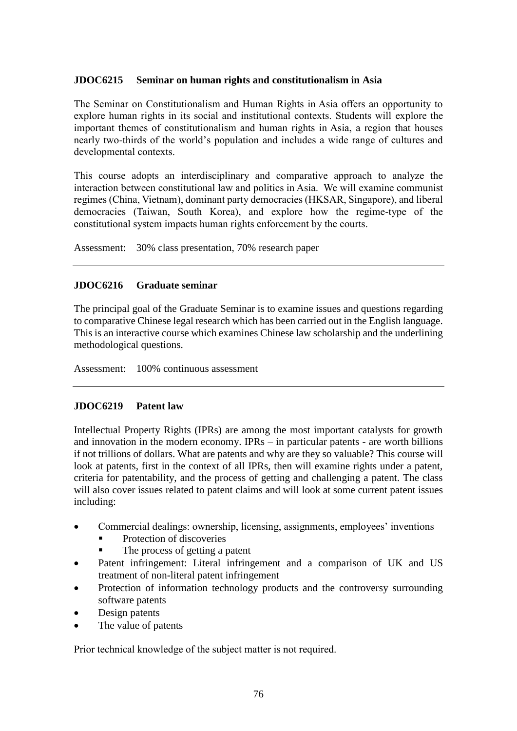## **JDOC6215 Seminar on human rights and constitutionalism in Asia**

The Seminar on Constitutionalism and Human Rights in Asia offers an opportunity to explore human rights in its social and institutional contexts. Students will explore the important themes of constitutionalism and human rights in Asia, a region that houses nearly two-thirds of the world's population and includes a wide range of cultures and developmental contexts.

This course adopts an interdisciplinary and comparative approach to analyze the interaction between constitutional law and politics in Asia. We will examine communist regimes (China, Vietnam), dominant party democracies (HKSAR, Singapore), and liberal democracies (Taiwan, South Korea), and explore how the regime-type of the constitutional system impacts human rights enforcement by the courts.

Assessment: 30% class presentation, 70% research paper

## **JDOC6216 Graduate seminar**

The principal goal of the Graduate Seminar is to examine issues and questions regarding to comparative Chinese legal research which has been carried out in the English language. This is an interactive course which examines Chinese law scholarship and the underlining methodological questions.

Assessment: 100% continuous assessment

### **JDOC6219 Patent law**

Intellectual Property Rights (IPRs) are among the most important catalysts for growth and innovation in the modern economy. IPRs – in particular patents - are worth billions if not trillions of dollars. What are patents and why are they so valuable? This course will look at patents, first in the context of all IPRs, then will examine rights under a patent, criteria for patentability, and the process of getting and challenging a patent. The class will also cover issues related to patent claims and will look at some current patent issues including:

- Commercial dealings: ownership, licensing, assignments, employees' inventions
	- Protection of discoveries
	- The process of getting a patent
- Patent infringement: Literal infringement and a comparison of UK and US treatment of non-literal patent infringement
- Protection of information technology products and the controversy surrounding software patents
- Design patents
- The value of patents

Prior technical knowledge of the subject matter is not required.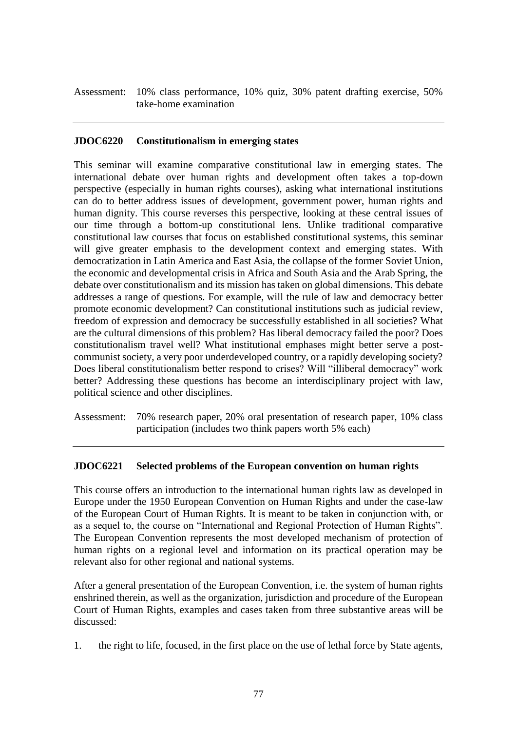Assessment: 10% class performance, 10% quiz, 30% patent drafting exercise, 50% take-home examination

## **JDOC6220 Constitutionalism in emerging states**

This seminar will examine comparative constitutional law in emerging states. The international debate over human rights and development often takes a top-down perspective (especially in human rights courses), asking what international institutions can do to better address issues of development, government power, human rights and human dignity. This course reverses this perspective, looking at these central issues of our time through a bottom-up constitutional lens. Unlike traditional comparative constitutional law courses that focus on established constitutional systems, this seminar will give greater emphasis to the development context and emerging states. With democratization in Latin America and East Asia, the collapse of the former Soviet Union, the economic and developmental crisis in Africa and South Asia and the Arab Spring, the debate over constitutionalism and its mission has taken on global dimensions. This debate addresses a range of questions. For example, will the rule of law and democracy better promote economic development? Can constitutional institutions such as judicial review, freedom of expression and democracy be successfully established in all societies? What are the cultural dimensions of this problem? Has liberal democracy failed the poor? Does constitutionalism travel well? What institutional emphases might better serve a postcommunist society, a very poor underdeveloped country, or a rapidly developing society? Does liberal constitutionalism better respond to crises? Will "illiberal democracy" work better? Addressing these questions has become an interdisciplinary project with law, political science and other disciplines.

Assessment: 70% research paper, 20% oral presentation of research paper, 10% class participation (includes two think papers worth 5% each)

### **JDOC6221 Selected problems of the European convention on human rights**

This course offers an introduction to the international human rights law as developed in Europe under the 1950 European Convention on Human Rights and under the case-law of the European Court of Human Rights. It is meant to be taken in conjunction with, or as a sequel to, the course on "International and Regional Protection of Human Rights". The European Convention represents the most developed mechanism of protection of human rights on a regional level and information on its practical operation may be relevant also for other regional and national systems.

After a general presentation of the European Convention, i.e. the system of human rights enshrined therein, as well as the organization, jurisdiction and procedure of the European Court of Human Rights, examples and cases taken from three substantive areas will be discussed:

1. the right to life, focused, in the first place on the use of lethal force by State agents,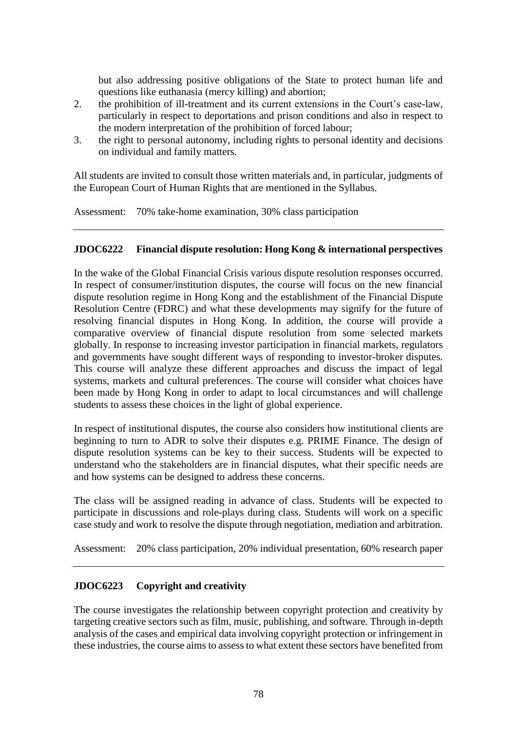but also addressing positive obligations of the State to protect human life and questions like euthanasia (mercy killing) and abortion;

- 2. the prohibition of ill-treatment and its current extensions in the Court's case-law, particularly in respect to deportations and prison conditions and also in respect to the modern interpretation of the prohibition of forced labour;
- 3. the right to personal autonomy, including rights to personal identity and decisions on individual and family matters.

All students are invited to consult those written materials and, in particular, judgments of the European Court of Human Rights that are mentioned in the Syllabus.

Assessment: 70% take-home examination, 30% class participation

## **JDOC6222 Financial dispute resolution: Hong Kong & international perspectives**

In the wake of the Global Financial Crisis various dispute resolution responses occurred. In respect of consumer/institution disputes, the course will focus on the new financial dispute resolution regime in Hong Kong and the establishment of the Financial Dispute Resolution Centre (FDRC) and what these developments may signify for the future of resolving financial disputes in Hong Kong. In addition, the course will provide a comparative overview of financial dispute resolution from some selected markets globally. In response to increasing investor participation in financial markets, regulators and governments have sought different ways of responding to investor-broker disputes. This course will analyze these different approaches and discuss the impact of legal systems, markets and cultural preferences. The course will consider what choices have been made by Hong Kong in order to adapt to local circumstances and will challenge students to assess these choices in the light of global experience.

In respect of institutional disputes, the course also considers how institutional clients are beginning to turn to ADR to solve their disputes e.g. PRIME Finance. The design of dispute resolution systems can be key to their success. Students will be expected to understand who the stakeholders are in financial disputes, what their specific needs are and how systems can be designed to address these concerns.

The class will be assigned reading in advance of class. Students will be expected to participate in discussions and role-plays during class. Students will work on a specific case study and work to resolve the dispute through negotiation, mediation and arbitration.

Assessment: 20% class participation, 20% individual presentation, 60% research paper

# **JDOC6223 Copyright and creativity**

The course investigates the relationship between copyright protection and creativity by targeting creative sectors such as film, music, publishing, and software. Through in-depth analysis of the cases and empirical data involving copyright protection or infringement in these industries, the course aims to assess to what extent these sectors have benefited from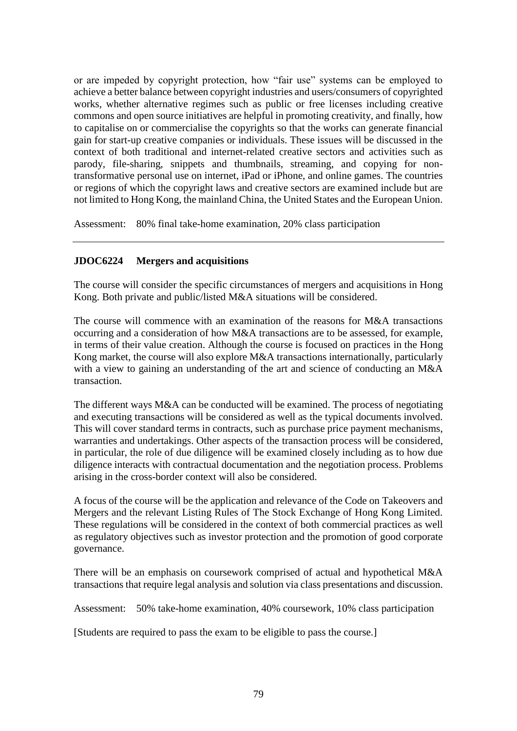or are impeded by copyright protection, how "fair use" systems can be employed to achieve a better balance between copyright industries and users/consumers of copyrighted works, whether alternative regimes such as public or free licenses including creative commons and open source initiatives are helpful in promoting creativity, and finally, how to capitalise on or commercialise the copyrights so that the works can generate financial gain for start-up creative companies or individuals. These issues will be discussed in the context of both traditional and internet-related creative sectors and activities such as parody, file-sharing, snippets and thumbnails, streaming, and copying for nontransformative personal use on internet, iPad or iPhone, and online games. The countries or regions of which the copyright laws and creative sectors are examined include but are not limited to Hong Kong, the mainland China, the United States and the European Union.

Assessment: 80% final take-home examination, 20% class participation

# **JDOC6224 Mergers and acquisitions**

The course will consider the specific circumstances of mergers and acquisitions in Hong Kong. Both private and public/listed M&A situations will be considered.

The course will commence with an examination of the reasons for M&A transactions occurring and a consideration of how M&A transactions are to be assessed, for example, in terms of their value creation. Although the course is focused on practices in the Hong Kong market, the course will also explore M&A transactions internationally, particularly with a view to gaining an understanding of the art and science of conducting an M&A transaction.

The different ways M&A can be conducted will be examined. The process of negotiating and executing transactions will be considered as well as the typical documents involved. This will cover standard terms in contracts, such as purchase price payment mechanisms, warranties and undertakings. Other aspects of the transaction process will be considered, in particular, the role of due diligence will be examined closely including as to how due diligence interacts with contractual documentation and the negotiation process. Problems arising in the cross-border context will also be considered.

A focus of the course will be the application and relevance of the Code on Takeovers and Mergers and the relevant Listing Rules of The Stock Exchange of Hong Kong Limited. These regulations will be considered in the context of both commercial practices as well as regulatory objectives such as investor protection and the promotion of good corporate governance.

There will be an emphasis on coursework comprised of actual and hypothetical M&A transactions that require legal analysis and solution via class presentations and discussion.

Assessment: 50% take-home examination, 40% coursework, 10% class participation

[Students are required to pass the exam to be eligible to pass the course.]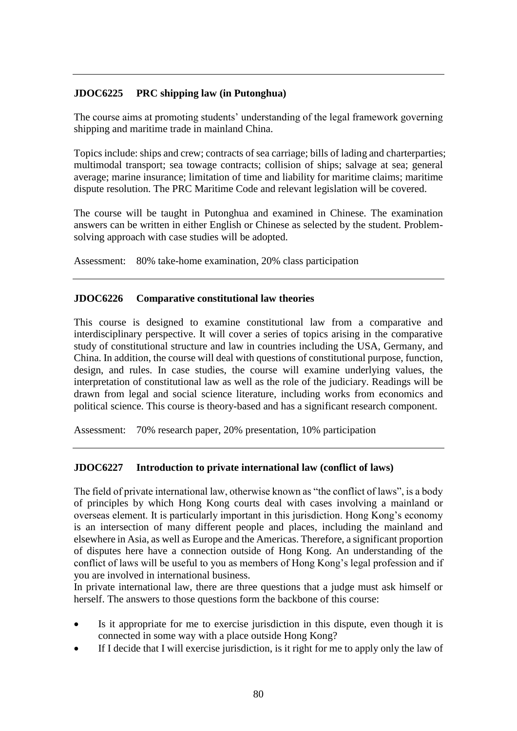# **JDOC6225 PRC shipping law (in Putonghua)**

The course aims at promoting students' understanding of the legal framework governing shipping and maritime trade in mainland China.

Topics include: ships and crew; contracts of sea carriage; bills of lading and charterparties; multimodal transport; sea towage contracts; collision of ships; salvage at sea; general average; marine insurance; limitation of time and liability for maritime claims; maritime dispute resolution. The PRC Maritime Code and relevant legislation will be covered.

The course will be taught in Putonghua and examined in Chinese. The examination answers can be written in either English or Chinese as selected by the student. Problemsolving approach with case studies will be adopted.

Assessment: 80% take-home examination, 20% class participation

## **JDOC6226 Comparative constitutional law theories**

This course is designed to examine constitutional law from a comparative and interdisciplinary perspective. It will cover a series of topics arising in the comparative study of constitutional structure and law in countries including the USA, Germany, and China. In addition, the course will deal with questions of constitutional purpose, function, design, and rules. In case studies, the course will examine underlying values, the interpretation of constitutional law as well as the role of the judiciary. Readings will be drawn from legal and social science literature, including works from economics and political science. This course is theory-based and has a significant research component.

Assessment: 70% research paper, 20% presentation, 10% participation

# **JDOC6227 Introduction to private international law (conflict of laws)**

The field of private international law, otherwise known as "the conflict of laws", is a body of principles by which Hong Kong courts deal with cases involving a mainland or overseas element. It is particularly important in this jurisdiction. Hong Kong's economy is an intersection of many different people and places, including the mainland and elsewhere in Asia, as well as Europe and the Americas. Therefore, a significant proportion of disputes here have a connection outside of Hong Kong. An understanding of the conflict of laws will be useful to you as members of Hong Kong's legal profession and if you are involved in international business.

In private international law, there are three questions that a judge must ask himself or herself. The answers to those questions form the backbone of this course:

- Is it appropriate for me to exercise jurisdiction in this dispute, even though it is connected in some way with a place outside Hong Kong?
- If I decide that I will exercise jurisdiction, is it right for me to apply only the law of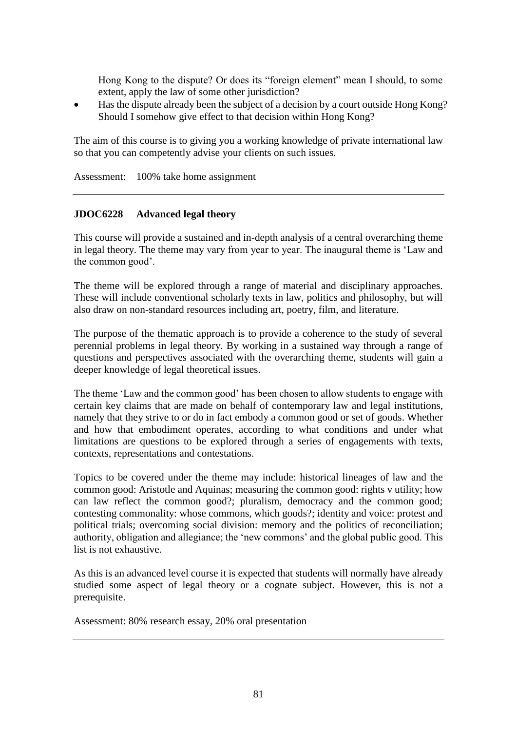Hong Kong to the dispute? Or does its "foreign element" mean I should, to some extent, apply the law of some other jurisdiction?

 Has the dispute already been the subject of a decision by a court outside Hong Kong? Should I somehow give effect to that decision within Hong Kong?

The aim of this course is to giving you a working knowledge of private international law so that you can competently advise your clients on such issues.

Assessment: 100% take home assignment

### **JDOC6228 Advanced legal theory**

This course will provide a sustained and in-depth analysis of a central overarching theme in legal theory. The theme may vary from year to year. The inaugural theme is 'Law and the common good'.

The theme will be explored through a range of material and disciplinary approaches. These will include conventional scholarly texts in law, politics and philosophy, but will also draw on non-standard resources including art, poetry, film, and literature.

The purpose of the thematic approach is to provide a coherence to the study of several perennial problems in legal theory. By working in a sustained way through a range of questions and perspectives associated with the overarching theme, students will gain a deeper knowledge of legal theoretical issues.

The theme 'Law and the common good' has been chosen to allow students to engage with certain key claims that are made on behalf of contemporary law and legal institutions, namely that they strive to or do in fact embody a common good or set of goods. Whether and how that embodiment operates, according to what conditions and under what limitations are questions to be explored through a series of engagements with texts, contexts, representations and contestations.

Topics to be covered under the theme may include: historical lineages of law and the common good: Aristotle and Aquinas; measuring the common good: rights v utility; how can law reflect the common good?; pluralism, democracy and the common good; contesting commonality: whose commons, which goods?; identity and voice: protest and political trials; overcoming social division: memory and the politics of reconciliation; authority, obligation and allegiance; the 'new commons' and the global public good. This list is not exhaustive.

As this is an advanced level course it is expected that students will normally have already studied some aspect of legal theory or a cognate subject. However, this is not a prerequisite.

Assessment: 80% research essay, 20% oral presentation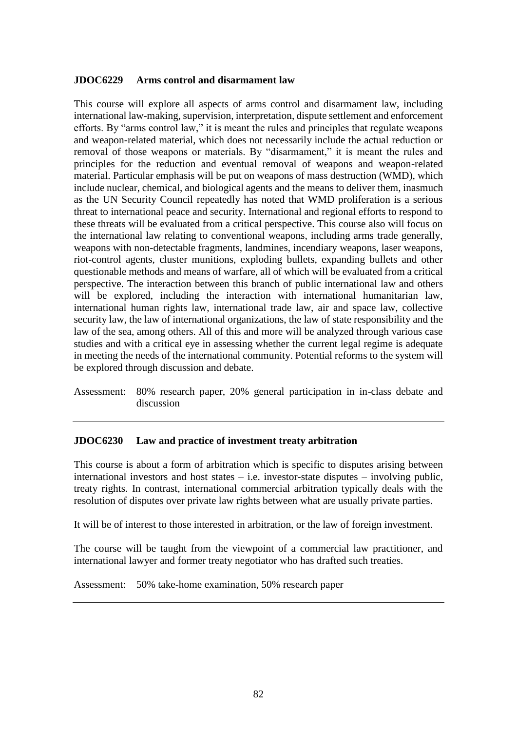### **JDOC6229 Arms control and disarmament law**

This course will explore all aspects of arms control and disarmament law, including international law-making, supervision, interpretation, dispute settlement and enforcement efforts. By "arms control law," it is meant the rules and principles that regulate weapons and weapon-related material, which does not necessarily include the actual reduction or removal of those weapons or materials. By "disarmament," it is meant the rules and principles for the reduction and eventual removal of weapons and weapon-related material. Particular emphasis will be put on weapons of mass destruction (WMD), which include nuclear, chemical, and biological agents and the means to deliver them, inasmuch as the UN Security Council repeatedly has noted that WMD proliferation is a serious threat to international peace and security. International and regional efforts to respond to these threats will be evaluated from a critical perspective. This course also will focus on the international law relating to conventional weapons, including arms trade generally, weapons with non-detectable fragments, landmines, incendiary weapons, laser weapons, riot-control agents, cluster munitions, exploding bullets, expanding bullets and other questionable methods and means of warfare, all of which will be evaluated from a critical perspective. The interaction between this branch of public international law and others will be explored, including the interaction with international humanitarian law, international human rights law, international trade law, air and space law, collective security law, the law of international organizations, the law of state responsibility and the law of the sea, among others. All of this and more will be analyzed through various case studies and with a critical eye in assessing whether the current legal regime is adequate in meeting the needs of the international community. Potential reforms to the system will be explored through discussion and debate.

Assessment: 80% research paper, 20% general participation in in-class debate and discussion

#### **JDOC6230 Law and practice of investment treaty arbitration**

This course is about a form of arbitration which is specific to disputes arising between international investors and host states – i.e. investor-state disputes – involving public, treaty rights. In contrast, international commercial arbitration typically deals with the resolution of disputes over private law rights between what are usually private parties.

It will be of interest to those interested in arbitration, or the law of foreign investment.

The course will be taught from the viewpoint of a commercial law practitioner, and international lawyer and former treaty negotiator who has drafted such treaties.

Assessment: 50% take-home examination, 50% research paper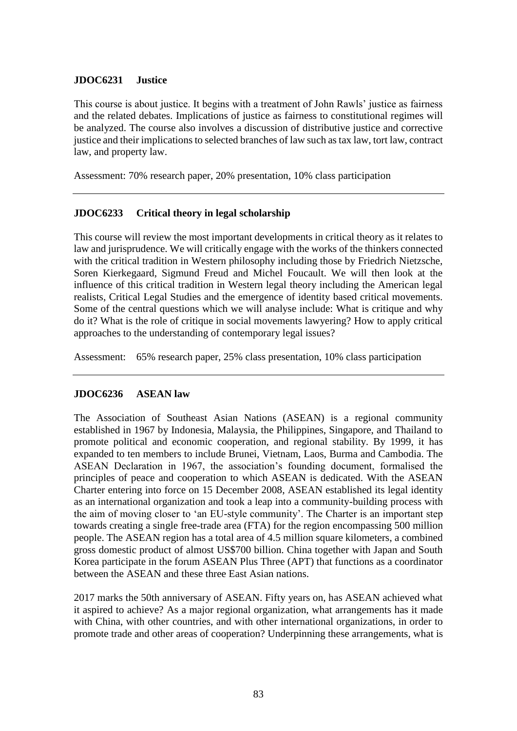## **JDOC6231 Justice**

This course is about justice. It begins with a treatment of John Rawls' justice as fairness and the related debates. Implications of justice as fairness to constitutional regimes will be analyzed. The course also involves a discussion of distributive justice and corrective justice and their implications to selected branches of law such as tax law, tort law, contract law, and property law.

Assessment: 70% research paper, 20% presentation, 10% class participation

# **JDOC6233 Critical theory in legal scholarship**

This course will review the most important developments in critical theory as it relates to law and jurisprudence. We will critically engage with the works of the thinkers connected with the critical tradition in Western philosophy including those by Friedrich Nietzsche, Soren Kierkegaard, Sigmund Freud and Michel Foucault. We will then look at the influence of this critical tradition in Western legal theory including the American legal realists, Critical Legal Studies and the emergence of identity based critical movements. Some of the central questions which we will analyse include: What is critique and why do it? What is the role of critique in social movements lawyering? How to apply critical approaches to the understanding of contemporary legal issues?

Assessment: 65% research paper, 25% class presentation, 10% class participation

# **JDOC6236 ASEAN law**

The Association of Southeast Asian Nations (ASEAN) is a regional community established in 1967 by Indonesia, Malaysia, the Philippines, Singapore, and Thailand to promote political and economic cooperation, and regional stability. By 1999, it has expanded to ten members to include Brunei, Vietnam, Laos, Burma and Cambodia. The ASEAN Declaration in 1967, the association's founding document, formalised the principles of peace and cooperation to which ASEAN is dedicated. With the ASEAN Charter entering into force on 15 December 2008, ASEAN established its legal identity as an international organization and took a leap into a community-building process with the aim of moving closer to 'an EU-style community'. The Charter is an important step towards creating a single free-trade area (FTA) for the region encompassing 500 million people. The ASEAN region has a total area of 4.5 million square kilometers, a combined gross domestic product of almost US\$700 billion. China together with Japan and South Korea participate in the forum ASEAN Plus Three (APT) that functions as a coordinator between the ASEAN and these three East Asian nations.

2017 marks the 50th anniversary of ASEAN. Fifty years on, has ASEAN achieved what it aspired to achieve? As a major regional organization, what arrangements has it made with China, with other countries, and with other international organizations, in order to promote trade and other areas of cooperation? Underpinning these arrangements, what is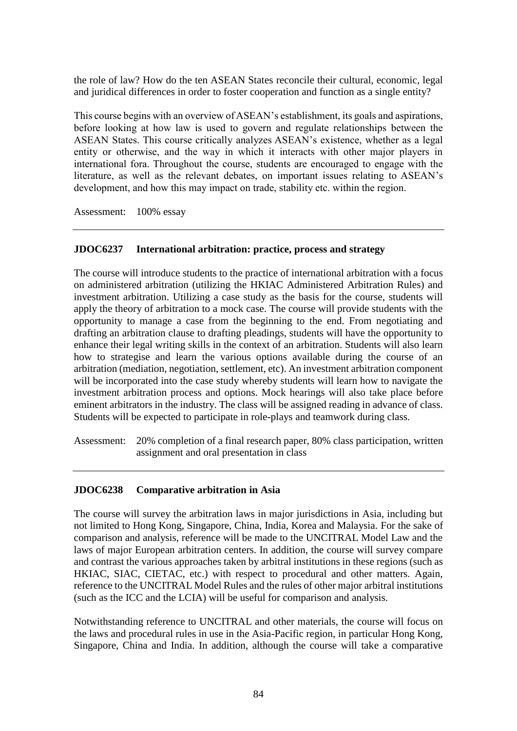the role of law? How do the ten ASEAN States reconcile their cultural, economic, legal and juridical differences in order to foster cooperation and function as a single entity?

This course begins with an overview of ASEAN's establishment, its goals and aspirations, before looking at how law is used to govern and regulate relationships between the ASEAN States. This course critically analyzes ASEAN's existence, whether as a legal entity or otherwise, and the way in which it interacts with other major players in international fora. Throughout the course, students are encouraged to engage with the literature, as well as the relevant debates, on important issues relating to ASEAN's development, and how this may impact on trade, stability etc. within the region.

Assessment: 100% essay

## **JDOC6237 International arbitration: practice, process and strategy**

The course will introduce students to the practice of international arbitration with a focus on administered arbitration (utilizing the HKIAC Administered Arbitration Rules) and investment arbitration. Utilizing a case study as the basis for the course, students will apply the theory of arbitration to a mock case. The course will provide students with the opportunity to manage a case from the beginning to the end. From negotiating and drafting an arbitration clause to drafting pleadings, students will have the opportunity to enhance their legal writing skills in the context of an arbitration. Students will also learn how to strategise and learn the various options available during the course of an arbitration (mediation, negotiation, settlement, etc). An investment arbitration component will be incorporated into the case study whereby students will learn how to navigate the investment arbitration process and options. Mock hearings will also take place before eminent arbitrators in the industry. The class will be assigned reading in advance of class. Students will be expected to participate in role-plays and teamwork during class.

Assessment: 20% completion of a final research paper, 80% class participation, written assignment and oral presentation in class

### **JDOC6238 Comparative arbitration in Asia**

The course will survey the arbitration laws in major jurisdictions in Asia, including but not limited to Hong Kong, Singapore, China, India, Korea and Malaysia. For the sake of comparison and analysis, reference will be made to the UNCITRAL Model Law and the laws of major European arbitration centers. In addition, the course will survey compare and contrast the various approaches taken by arbitral institutions in these regions (such as HKIAC, SIAC, CIETAC, etc.) with respect to procedural and other matters. Again, reference to the UNCITRAL Model Rules and the rules of other major arbitral institutions (such as the ICC and the LCIA) will be useful for comparison and analysis.

Notwithstanding reference to UNCITRAL and other materials, the course will focus on the laws and procedural rules in use in the Asia-Pacific region, in particular Hong Kong, Singapore, China and India. In addition, although the course will take a comparative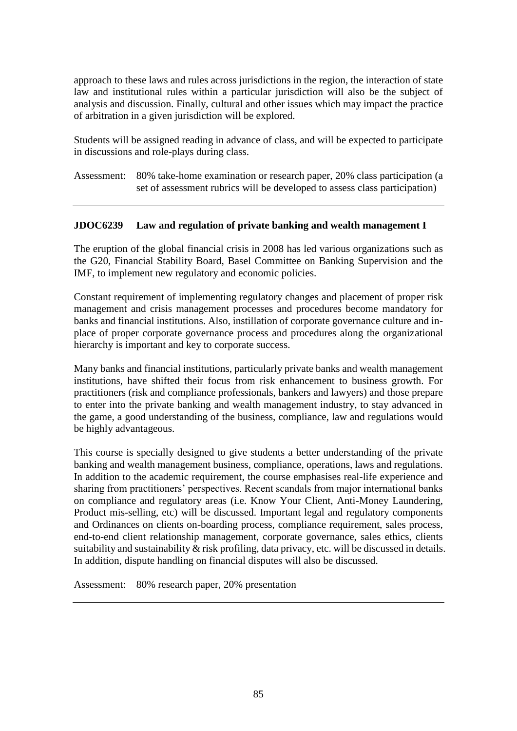approach to these laws and rules across jurisdictions in the region, the interaction of state law and institutional rules within a particular jurisdiction will also be the subject of analysis and discussion. Finally, cultural and other issues which may impact the practice of arbitration in a given jurisdiction will be explored.

Students will be assigned reading in advance of class, and will be expected to participate in discussions and role-plays during class.

Assessment: 80% take-home examination or research paper, 20% class participation (a set of assessment rubrics will be developed to assess class participation)

## **JDOC6239 Law and regulation of private banking and wealth management I**

The eruption of the global financial crisis in 2008 has led various organizations such as the G20, Financial Stability Board, Basel Committee on Banking Supervision and the IMF, to implement new regulatory and economic policies.

Constant requirement of implementing regulatory changes and placement of proper risk management and crisis management processes and procedures become mandatory for banks and financial institutions. Also, instillation of corporate governance culture and inplace of proper corporate governance process and procedures along the organizational hierarchy is important and key to corporate success.

Many banks and financial institutions, particularly private banks and wealth management institutions, have shifted their focus from risk enhancement to business growth. For practitioners (risk and compliance professionals, bankers and lawyers) and those prepare to enter into the private banking and wealth management industry, to stay advanced in the game, a good understanding of the business, compliance, law and regulations would be highly advantageous.

This course is specially designed to give students a better understanding of the private banking and wealth management business, compliance, operations, laws and regulations. In addition to the academic requirement, the course emphasises real-life experience and sharing from practitioners' perspectives. Recent scandals from major international banks on compliance and regulatory areas (i.e. Know Your Client, Anti-Money Laundering, Product mis-selling, etc) will be discussed. Important legal and regulatory components and Ordinances on clients on-boarding process, compliance requirement, sales process, end-to-end client relationship management, corporate governance, sales ethics, clients suitability and sustainability  $\&$  risk profiling, data privacy, etc. will be discussed in details. In addition, dispute handling on financial disputes will also be discussed.

Assessment: 80% research paper, 20% presentation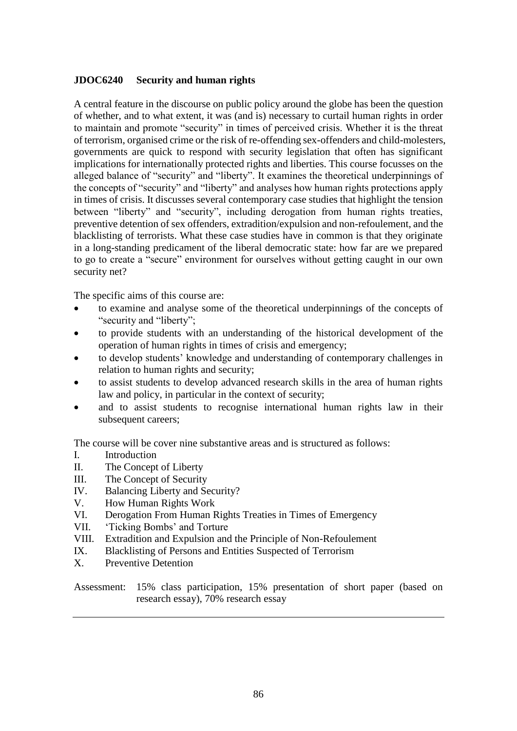## **JDOC6240 Security and human rights**

A central feature in the discourse on public policy around the globe has been the question of whether, and to what extent, it was (and is) necessary to curtail human rights in order to maintain and promote "security" in times of perceived crisis. Whether it is the threat of terrorism, organised crime or the risk of re-offending sex-offenders and child-molesters, governments are quick to respond with security legislation that often has significant implications for internationally protected rights and liberties. This course focusses on the alleged balance of "security" and "liberty". It examines the theoretical underpinnings of the concepts of "security" and "liberty" and analyses how human rights protections apply in times of crisis. It discusses several contemporary case studies that highlight the tension between "liberty" and "security", including derogation from human rights treaties, preventive detention of sex offenders, extradition/expulsion and non-refoulement, and the blacklisting of terrorists. What these case studies have in common is that they originate in a long-standing predicament of the liberal democratic state: how far are we prepared to go to create a "secure" environment for ourselves without getting caught in our own security net?

The specific aims of this course are:

- to examine and analyse some of the theoretical underpinnings of the concepts of "security and "liberty";
- to provide students with an understanding of the historical development of the operation of human rights in times of crisis and emergency;
- to develop students' knowledge and understanding of contemporary challenges in relation to human rights and security;
- to assist students to develop advanced research skills in the area of human rights law and policy, in particular in the context of security;
- and to assist students to recognise international human rights law in their subsequent careers;

The course will be cover nine substantive areas and is structured as follows:

- I. Introduction
- II. The Concept of Liberty
- III. The Concept of Security
- IV. Balancing Liberty and Security?
- V. How Human Rights Work
- VI. Derogation From Human Rights Treaties in Times of Emergency
- VII. 'Ticking Bombs' and Torture
- VIII. Extradition and Expulsion and the Principle of Non-Refoulement
- IX. Blacklisting of Persons and Entities Suspected of Terrorism
- X. Preventive Detention

Assessment: 15% class participation, 15% presentation of short paper (based on research essay), 70% research essay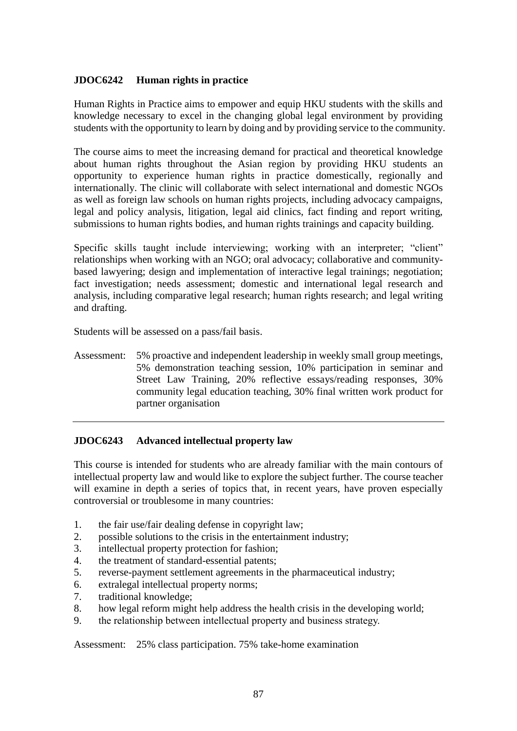# **JDOC6242 Human rights in practice**

Human Rights in Practice aims to empower and equip HKU students with the skills and knowledge necessary to excel in the changing global legal environment by providing students with the opportunity to learn by doing and by providing service to the community.

The course aims to meet the increasing demand for practical and theoretical knowledge about human rights throughout the Asian region by providing HKU students an opportunity to experience human rights in practice domestically, regionally and internationally. The clinic will collaborate with select international and domestic NGOs as well as foreign law schools on human rights projects, including advocacy campaigns, legal and policy analysis, litigation, legal aid clinics, fact finding and report writing, submissions to human rights bodies, and human rights trainings and capacity building.

Specific skills taught include interviewing; working with an interpreter; "client" relationships when working with an NGO; oral advocacy; collaborative and communitybased lawyering; design and implementation of interactive legal trainings; negotiation; fact investigation; needs assessment; domestic and international legal research and analysis, including comparative legal research; human rights research; and legal writing and drafting.

Students will be assessed on a pass/fail basis.

Assessment: 5% proactive and independent leadership in weekly small group meetings, 5% demonstration teaching session, 10% participation in seminar and Street Law Training, 20% reflective essays/reading responses, 30% community legal education teaching, 30% final written work product for partner organisation

# **JDOC6243 Advanced intellectual property law**

This course is intended for students who are already familiar with the main contours of intellectual property law and would like to explore the subject further. The course teacher will examine in depth a series of topics that, in recent years, have proven especially controversial or troublesome in many countries:

- 1. the fair use/fair dealing defense in copyright law;
- 2. possible solutions to the crisis in the entertainment industry;
- 3. intellectual property protection for fashion;
- 4. the treatment of standard-essential patents;
- 5. reverse-payment settlement agreements in the pharmaceutical industry;
- 6. extralegal intellectual property norms;
- 7. traditional knowledge;
- 8. how legal reform might help address the health crisis in the developing world;
- 9. the relationship between intellectual property and business strategy.

Assessment: 25% class participation. 75% take-home examination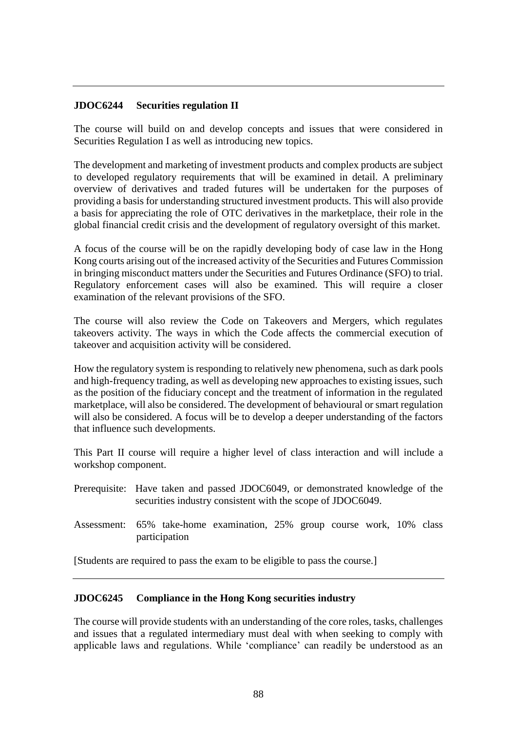## **JDOC6244 Securities regulation II**

The course will build on and develop concepts and issues that were considered in Securities Regulation I as well as introducing new topics.

The development and marketing of investment products and complex products are subject to developed regulatory requirements that will be examined in detail. A preliminary overview of derivatives and traded futures will be undertaken for the purposes of providing a basis for understanding structured investment products. This will also provide a basis for appreciating the role of OTC derivatives in the marketplace, their role in the global financial credit crisis and the development of regulatory oversight of this market.

A focus of the course will be on the rapidly developing body of case law in the Hong Kong courts arising out of the increased activity of the Securities and Futures Commission in bringing misconduct matters under the Securities and Futures Ordinance (SFO) to trial. Regulatory enforcement cases will also be examined. This will require a closer examination of the relevant provisions of the SFO.

The course will also review the Code on Takeovers and Mergers, which regulates takeovers activity. The ways in which the Code affects the commercial execution of takeover and acquisition activity will be considered.

How the regulatory system is responding to relatively new phenomena, such as dark pools and high-frequency trading, as well as developing new approaches to existing issues, such as the position of the fiduciary concept and the treatment of information in the regulated marketplace, will also be considered. The development of behavioural or smart regulation will also be considered. A focus will be to develop a deeper understanding of the factors that influence such developments.

This Part II course will require a higher level of class interaction and will include a workshop component.

- Prerequisite: Have taken and passed JDOC6049, or demonstrated knowledge of the securities industry consistent with the scope of JDOC6049.
- Assessment: 65% take-home examination, 25% group course work, 10% class participation

[Students are required to pass the exam to be eligible to pass the course.]

### **JDOC6245 Compliance in the Hong Kong securities industry**

The course will provide students with an understanding of the core roles, tasks, challenges and issues that a regulated intermediary must deal with when seeking to comply with applicable laws and regulations. While 'compliance' can readily be understood as an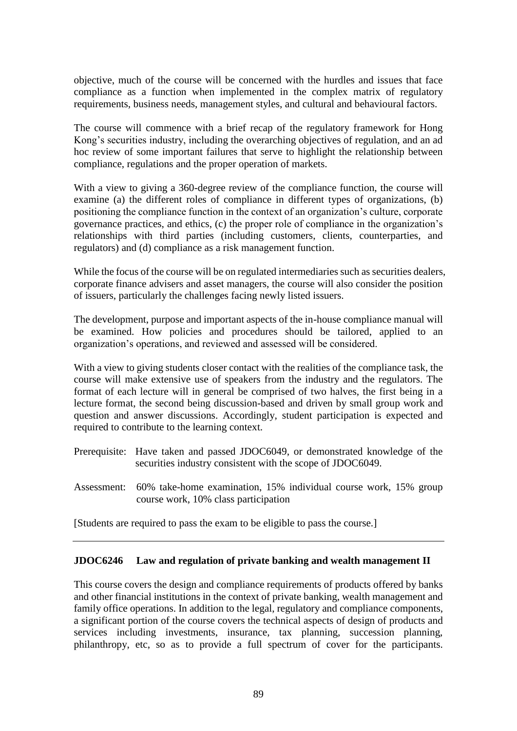objective, much of the course will be concerned with the hurdles and issues that face compliance as a function when implemented in the complex matrix of regulatory requirements, business needs, management styles, and cultural and behavioural factors.

The course will commence with a brief recap of the regulatory framework for Hong Kong's securities industry, including the overarching objectives of regulation, and an ad hoc review of some important failures that serve to highlight the relationship between compliance, regulations and the proper operation of markets.

With a view to giving a 360-degree review of the compliance function, the course will examine (a) the different roles of compliance in different types of organizations, (b) positioning the compliance function in the context of an organization's culture, corporate governance practices, and ethics, (c) the proper role of compliance in the organization's relationships with third parties (including customers, clients, counterparties, and regulators) and (d) compliance as a risk management function.

While the focus of the course will be on regulated intermediaries such as securities dealers, corporate finance advisers and asset managers, the course will also consider the position of issuers, particularly the challenges facing newly listed issuers.

The development, purpose and important aspects of the in-house compliance manual will be examined. How policies and procedures should be tailored, applied to an organization's operations, and reviewed and assessed will be considered.

With a view to giving students closer contact with the realities of the compliance task, the course will make extensive use of speakers from the industry and the regulators. The format of each lecture will in general be comprised of two halves, the first being in a lecture format, the second being discussion-based and driven by small group work and question and answer discussions. Accordingly, student participation is expected and required to contribute to the learning context.

- Prerequisite: Have taken and passed JDOC6049, or demonstrated knowledge of the securities industry consistent with the scope of JDOC6049.
- Assessment: 60% take-home examination, 15% individual course work, 15% group course work, 10% class participation

[Students are required to pass the exam to be eligible to pass the course.]

### **JDOC6246 Law and regulation of private banking and wealth management II**

This course covers the design and compliance requirements of products offered by banks and other financial institutions in the context of private banking, wealth management and family office operations. In addition to the legal, regulatory and compliance components, a significant portion of the course covers the technical aspects of design of products and services including investments, insurance, tax planning, succession planning, philanthropy, etc, so as to provide a full spectrum of cover for the participants.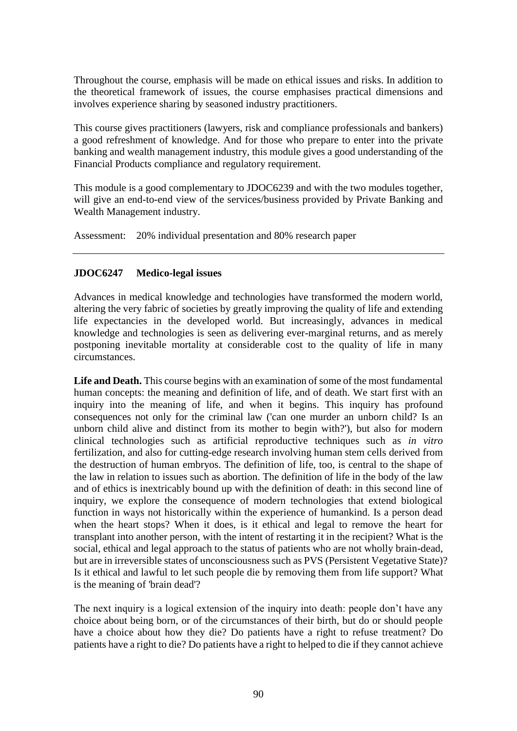Throughout the course, emphasis will be made on ethical issues and risks. In addition to the theoretical framework of issues, the course emphasises practical dimensions and involves experience sharing by seasoned industry practitioners.

This course gives practitioners (lawyers, risk and compliance professionals and bankers) a good refreshment of knowledge. And for those who prepare to enter into the private banking and wealth management industry, this module gives a good understanding of the Financial Products compliance and regulatory requirement.

This module is a good complementary to JDOC6239 and with the two modules together, will give an end-to-end view of the services/business provided by Private Banking and Wealth Management industry.

Assessment: 20% individual presentation and 80% research paper

# **JDOC6247 Medico-legal issues**

Advances in medical knowledge and technologies have transformed the modern world, altering the very fabric of societies by greatly improving the quality of life and extending life expectancies in the developed world. But increasingly, advances in medical knowledge and technologies is seen as delivering ever-marginal returns, and as merely postponing inevitable mortality at considerable cost to the quality of life in many circumstances.

Life and Death. This course begins with an examination of some of the most fundamental human concepts: the meaning and definition of life, and of death. We start first with an inquiry into the meaning of life, and when it begins. This inquiry has profound consequences not only for the criminal law ('can one murder an unborn child? Is an unborn child alive and distinct from its mother to begin with?'), but also for modern clinical technologies such as artificial reproductive techniques such as *in vitro* fertilization, and also for cutting-edge research involving human stem cells derived from the destruction of human embryos. The definition of life, too, is central to the shape of the law in relation to issues such as abortion. The definition of life in the body of the law and of ethics is inextricably bound up with the definition of death: in this second line of inquiry, we explore the consequence of modern technologies that extend biological function in ways not historically within the experience of humankind. Is a person dead when the heart stops? When it does, is it ethical and legal to remove the heart for transplant into another person, with the intent of restarting it in the recipient? What is the social, ethical and legal approach to the status of patients who are not wholly brain-dead, but are in irreversible states of unconsciousness such as PVS (Persistent Vegetative State)? Is it ethical and lawful to let such people die by removing them from life support? What is the meaning of 'brain dead'?

The next inquiry is a logical extension of the inquiry into death: people don't have any choice about being born, or of the circumstances of their birth, but do or should people have a choice about how they die? Do patients have a right to refuse treatment? Do patients have a right to die? Do patients have a right to helped to die if they cannot achieve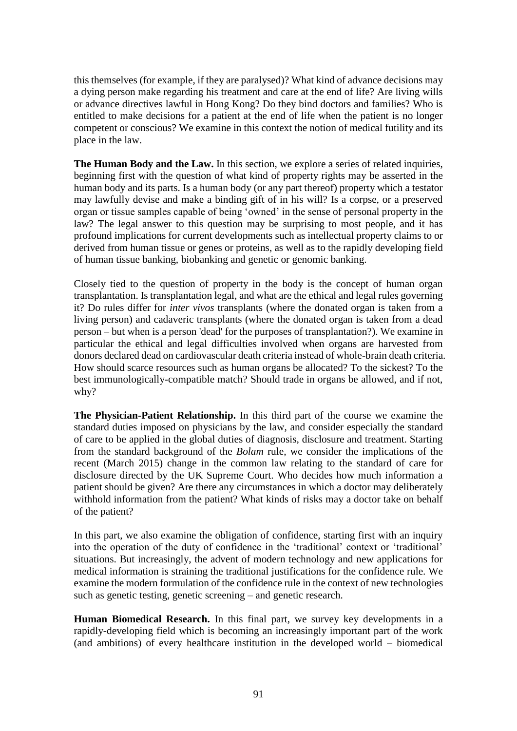this themselves (for example, if they are paralysed)? What kind of advance decisions may a dying person make regarding his treatment and care at the end of life? Are living wills or advance directives lawful in Hong Kong? Do they bind doctors and families? Who is entitled to make decisions for a patient at the end of life when the patient is no longer competent or conscious? We examine in this context the notion of medical futility and its place in the law.

**The Human Body and the Law.** In this section, we explore a series of related inquiries, beginning first with the question of what kind of property rights may be asserted in the human body and its parts. Is a human body (or any part thereof) property which a testator may lawfully devise and make a binding gift of in his will? Is a corpse, or a preserved organ or tissue samples capable of being 'owned' in the sense of personal property in the law? The legal answer to this question may be surprising to most people, and it has profound implications for current developments such as intellectual property claims to or derived from human tissue or genes or proteins, as well as to the rapidly developing field of human tissue banking, biobanking and genetic or genomic banking.

Closely tied to the question of property in the body is the concept of human organ transplantation. Is transplantation legal, and what are the ethical and legal rules governing it? Do rules differ for *inter vivos* transplants (where the donated organ is taken from a living person) and cadaveric transplants (where the donated organ is taken from a dead person – but when is a person 'dead' for the purposes of transplantation?). We examine in particular the ethical and legal difficulties involved when organs are harvested from donors declared dead on cardiovascular death criteria instead of whole-brain death criteria. How should scarce resources such as human organs be allocated? To the sickest? To the best immunologically-compatible match? Should trade in organs be allowed, and if not, why?

**The Physician-Patient Relationship.** In this third part of the course we examine the standard duties imposed on physicians by the law, and consider especially the standard of care to be applied in the global duties of diagnosis, disclosure and treatment. Starting from the standard background of the *Bolam* rule, we consider the implications of the recent (March 2015) change in the common law relating to the standard of care for disclosure directed by the UK Supreme Court. Who decides how much information a patient should be given? Are there any circumstances in which a doctor may deliberately withhold information from the patient? What kinds of risks may a doctor take on behalf of the patient?

In this part, we also examine the obligation of confidence, starting first with an inquiry into the operation of the duty of confidence in the 'traditional' context or 'traditional' situations. But increasingly, the advent of modern technology and new applications for medical information is straining the traditional justifications for the confidence rule. We examine the modern formulation of the confidence rule in the context of new technologies such as genetic testing, genetic screening – and genetic research.

**Human Biomedical Research.** In this final part, we survey key developments in a rapidly-developing field which is becoming an increasingly important part of the work (and ambitions) of every healthcare institution in the developed world – biomedical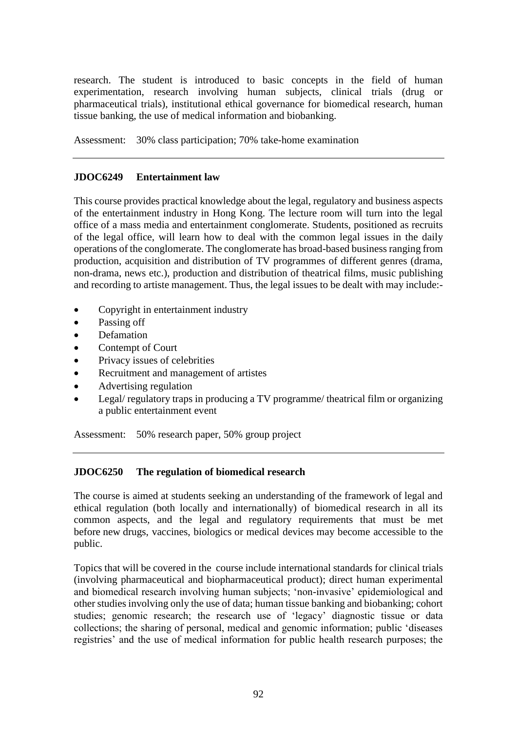research. The student is introduced to basic concepts in the field of human experimentation, research involving human subjects, clinical trials (drug or pharmaceutical trials), institutional ethical governance for biomedical research, human tissue banking, the use of medical information and biobanking.

Assessment: 30% class participation; 70% take-home examination

## **JDOC6249 Entertainment law**

This course provides practical knowledge about the legal, regulatory and business aspects of the entertainment industry in Hong Kong. The lecture room will turn into the legal office of a mass media and entertainment conglomerate. Students, positioned as recruits of the legal office, will learn how to deal with the common legal issues in the daily operations of the conglomerate. The conglomerate has broad-based business ranging from production, acquisition and distribution of TV programmes of different genres (drama, non-drama, news etc.), production and distribution of theatrical films, music publishing and recording to artiste management. Thus, the legal issues to be dealt with may include:-

- Copyright in entertainment industry
- Passing off
- Defamation
- Contempt of Court
- Privacy issues of celebrities
- Recruitment and management of artistes
- Advertising regulation
- Legal/ regulatory traps in producing a TV programme/ theatrical film or organizing a public entertainment event

Assessment: 50% research paper, 50% group project

### **JDOC6250 The regulation of biomedical research**

The course is aimed at students seeking an understanding of the framework of legal and ethical regulation (both locally and internationally) of biomedical research in all its common aspects, and the legal and regulatory requirements that must be met before new drugs, vaccines, biologics or medical devices may become accessible to the public.

Topics that will be covered in the course include international standards for clinical trials (involving pharmaceutical and biopharmaceutical product); direct human experimental and biomedical research involving human subjects; 'non-invasive' epidemiological and other studies involving only the use of data; human tissue banking and biobanking; cohort studies; genomic research; the research use of 'legacy' diagnostic tissue or data collections; the sharing of personal, medical and genomic information; public 'diseases registries' and the use of medical information for public health research purposes; the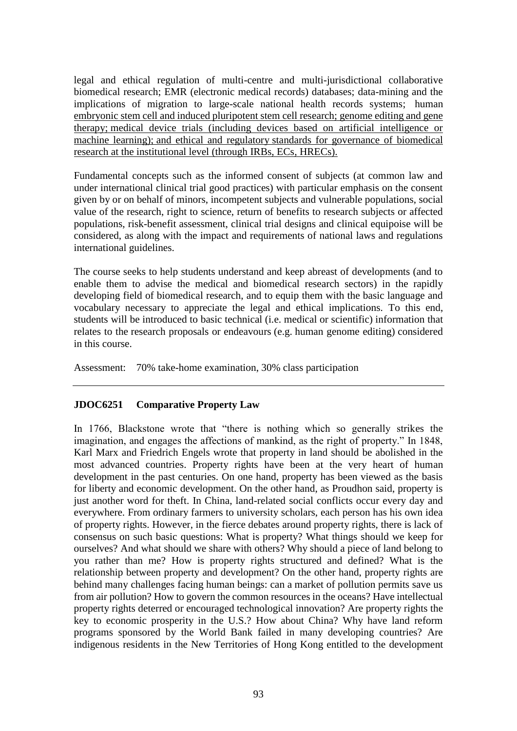legal and ethical regulation of multi-centre and multi-jurisdictional collaborative biomedical research; EMR (electronic medical records) databases; data-mining and the implications of migration to large-scale national health records systems; human embryonic stem cell and induced pluripotent stem cell research; genome editing and gene therapy; medical device trials (including devices based on artificial intelligence or machine learning); and ethical and regulatory standards for governance of biomedical research at the institutional level (through IRBs, ECs, HRECs).

Fundamental concepts such as the informed consent of subjects (at common law and under international clinical trial good practices) with particular emphasis on the consent given by or on behalf of minors, incompetent subjects and vulnerable populations, social value of the research, right to science, return of benefits to research subjects or affected populations, risk-benefit assessment, clinical trial designs and clinical equipoise will be considered, as along with the impact and requirements of national laws and regulations international guidelines.

The course seeks to help students understand and keep abreast of developments (and to enable them to advise the medical and biomedical research sectors) in the rapidly developing field of biomedical research, and to equip them with the basic language and vocabulary necessary to appreciate the legal and ethical implications. To this end, students will be introduced to basic technical (i.e. medical or scientific) information that relates to the research proposals or endeavours (e.g. human genome editing) considered in this course.

Assessment: 70% take-home examination, 30% class participation

# **JDOC6251 Comparative Property Law**

In 1766, Blackstone wrote that "there is nothing which so generally strikes the imagination, and engages the affections of mankind, as the right of property." In 1848, Karl Marx and Friedrich Engels wrote that property in land should be abolished in the most advanced countries. Property rights have been at the very heart of human development in the past centuries. On one hand, property has been viewed as the basis for liberty and economic development. On the other hand, as Proudhon said, property is just another word for theft. In China, land-related social conflicts occur every day and everywhere. From ordinary farmers to university scholars, each person has his own idea of property rights. However, in the fierce debates around property rights, there is lack of consensus on such basic questions: What is property? What things should we keep for ourselves? And what should we share with others? Why should a piece of land belong to you rather than me? How is property rights structured and defined? What is the relationship between property and development? On the other hand, property rights are behind many challenges facing human beings: can a market of pollution permits save us from air pollution? How to govern the common resources in the oceans? Have intellectual property rights deterred or encouraged technological innovation? Are property rights the key to economic prosperity in the U.S.? How about China? Why have land reform programs sponsored by the World Bank failed in many developing countries? Are indigenous residents in the New Territories of Hong Kong entitled to the development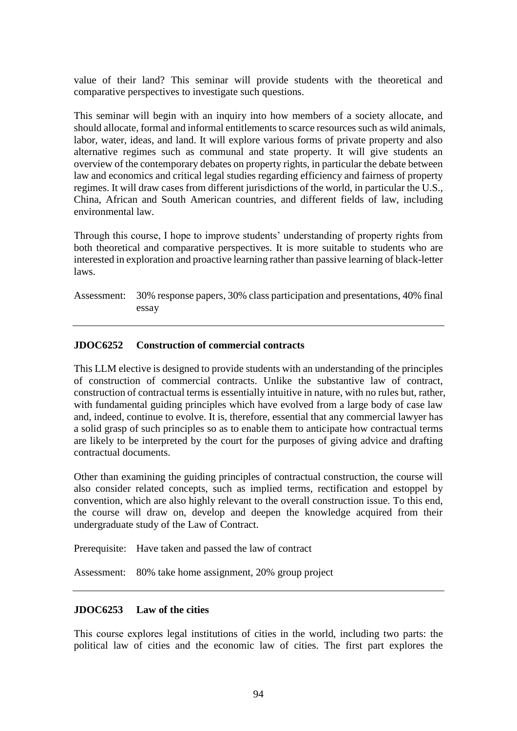value of their land? This seminar will provide students with the theoretical and comparative perspectives to investigate such questions.

This seminar will begin with an inquiry into how members of a society allocate, and should allocate, formal and informal entitlements to scarce resources such as wild animals, labor, water, ideas, and land. It will explore various forms of private property and also alternative regimes such as communal and state property. It will give students an overview of the contemporary debates on property rights, in particular the debate between law and economics and critical legal studies regarding efficiency and fairness of property regimes. It will draw cases from different jurisdictions of the world, in particular the U.S., China, African and South American countries, and different fields of law, including environmental law.

Through this course, I hope to improve students' understanding of property rights from both theoretical and comparative perspectives. It is more suitable to students who are interested in exploration and proactive learning rather than passive learning of black-letter laws.

Assessment: 30% response papers, 30% class participation and presentations, 40% final essay

# **JDOC6252 Construction of commercial contracts**

This LLM elective is designed to provide students with an understanding of the principles of construction of commercial contracts. Unlike the substantive law of contract, construction of contractual terms is essentially intuitive in nature, with no rules but, rather, with fundamental guiding principles which have evolved from a large body of case law and, indeed, continue to evolve. It is, therefore, essential that any commercial lawyer has a solid grasp of such principles so as to enable them to anticipate how contractual terms are likely to be interpreted by the court for the purposes of giving advice and drafting contractual documents.

Other than examining the guiding principles of contractual construction, the course will also consider related concepts, such as implied terms, rectification and estoppel by convention, which are also highly relevant to the overall construction issue. To this end, the course will draw on, develop and deepen the knowledge acquired from their undergraduate study of the Law of Contract.

Prerequisite: Have taken and passed the law of contract

Assessment: 80% take home assignment, 20% group project

### **JDOC6253 Law of the cities**

This course explores legal institutions of cities in the world, including two parts: the political law of cities and the economic law of cities. The first part explores the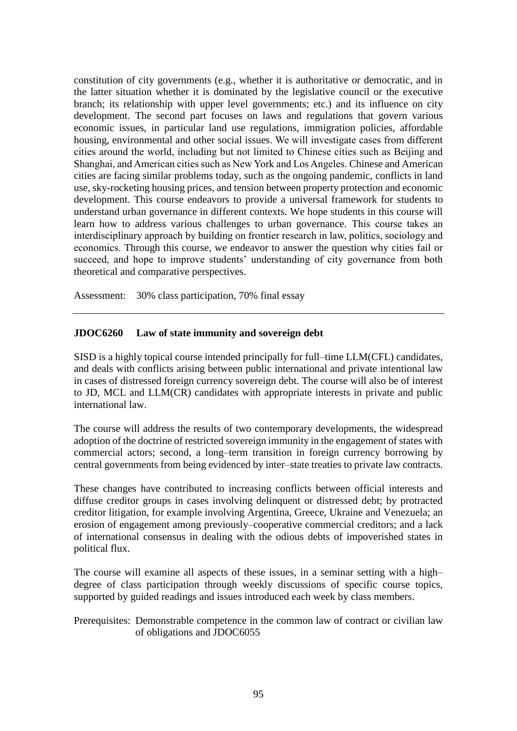constitution of city governments (e.g., whether it is authoritative or democratic, and in the latter situation whether it is dominated by the legislative council or the executive branch; its relationship with upper level governments; etc.) and its influence on city development. The second part focuses on laws and regulations that govern various economic issues, in particular land use regulations, immigration policies, affordable housing, environmental and other social issues. We will investigate cases from different cities around the world, including but not limited to Chinese cities such as Beijing and Shanghai, and American cities such as New York and Los Angeles. Chinese and American cities are facing similar problems today, such as the ongoing pandemic, conflicts in land use, sky-rocketing housing prices, and tension between property protection and economic development. This course endeavors to provide a universal framework for students to understand urban governance in different contexts. We hope students in this course will learn how to address various challenges to urban governance. This course takes an interdisciplinary approach by building on frontier research in law, politics, sociology and economics. Through this course, we endeavor to answer the question why cities fail or succeed, and hope to improve students' understanding of city governance from both theoretical and comparative perspectives.

Assessment: 30% class participation, 70% final essay

## **JDOC6260 Law of state immunity and sovereign debt**

SISD is a highly topical course intended principally for full–time LLM(CFL) candidates, and deals with conflicts arising between public international and private intentional law in cases of distressed foreign currency sovereign debt. The course will also be of interest to JD, MCL and LLM(CR) candidates with appropriate interests in private and public international law.

The course will address the results of two contemporary developments, the widespread adoption of the doctrine of restricted sovereign immunity in the engagement of states with commercial actors; second, a long–term transition in foreign currency borrowing by central governments from being evidenced by inter–state treaties to private law contracts.

These changes have contributed to increasing conflicts between official interests and diffuse creditor groups in cases involving delinquent or distressed debt; by protracted creditor litigation, for example involving Argentina, Greece, Ukraine and Venezuela; an erosion of engagement among previously–cooperative commercial creditors; and a lack of international consensus in dealing with the odious debts of impoverished states in political flux.

The course will examine all aspects of these issues, in a seminar setting with a high– degree of class participation through weekly discussions of specific course topics, supported by guided readings and issues introduced each week by class members.

## Prerequisites: Demonstrable competence in the common law of contract or civilian law of obligations and JDOC6055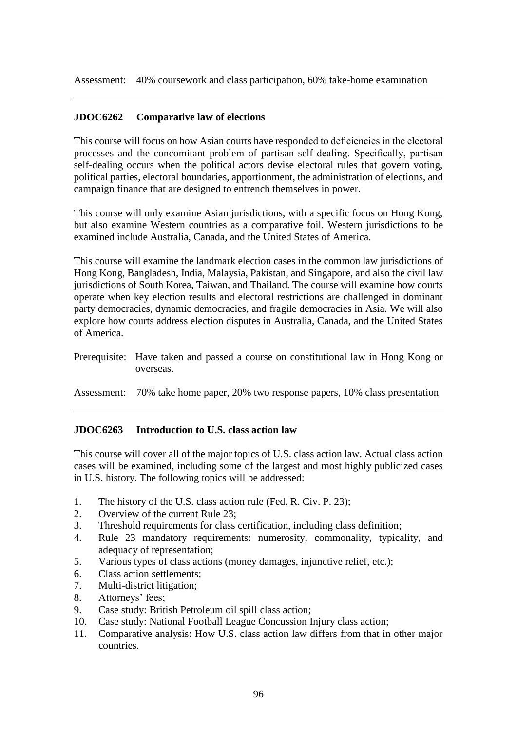Assessment: 40% coursework and class participation, 60% take-home examination

### **JDOC6262 Comparative law of elections**

This course will focus on how Asian courts have responded to deficiencies in the electoral processes and the concomitant problem of partisan self-dealing. Specifically, partisan self-dealing occurs when the political actors devise electoral rules that govern voting, political parties, electoral boundaries, apportionment, the administration of elections, and campaign finance that are designed to entrench themselves in power.

This course will only examine Asian jurisdictions, with a specific focus on Hong Kong, but also examine Western countries as a comparative foil. Western jurisdictions to be examined include Australia, Canada, and the United States of America.

This course will examine the landmark election cases in the common law jurisdictions of Hong Kong, Bangladesh, India, Malaysia, Pakistan, and Singapore, and also the civil law jurisdictions of South Korea, Taiwan, and Thailand. The course will examine how courts operate when key election results and electoral restrictions are challenged in dominant party democracies, dynamic democracies, and fragile democracies in Asia. We will also explore how courts address election disputes in Australia, Canada, and the United States of America.

Prerequisite: Have taken and passed a course on constitutional law in Hong Kong or overseas.

Assessment: 70% take home paper, 20% two response papers, 10% class presentation

### **JDOC6263 Introduction to U.S. class action law**

This course will cover all of the major topics of U.S. class action law. Actual class action cases will be examined, including some of the largest and most highly publicized cases in U.S. history. The following topics will be addressed:

- 1. The history of the U.S. class action rule (Fed. R. Civ. P. 23);
- 2. Overview of the current Rule 23;
- 3. Threshold requirements for class certification, including class definition;
- 4. Rule 23 mandatory requirements: numerosity, commonality, typicality, and adequacy of representation;
- 5. Various types of class actions (money damages, injunctive relief, etc.);
- 6. Class action settlements;
- 7. Multi-district litigation;
- 8. Attorneys' fees;
- 9. Case study: British Petroleum oil spill class action;
- 10. Case study: National Football League Concussion Injury class action;
- 11. Comparative analysis: How U.S. class action law differs from that in other major countries.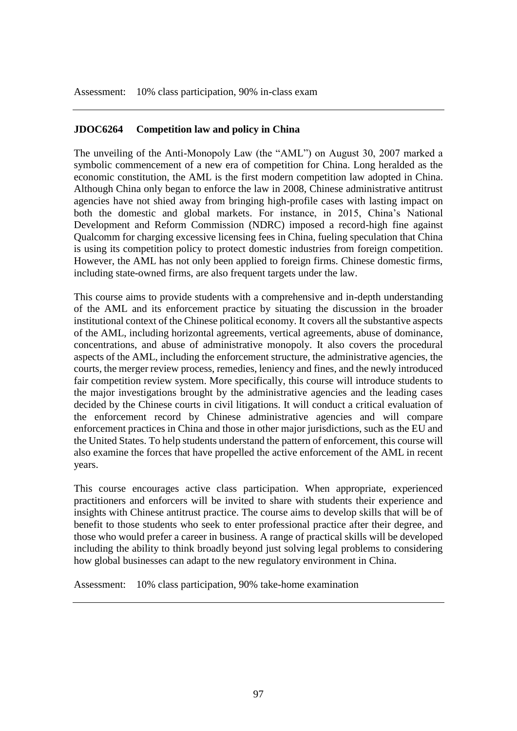Assessment: 10% class participation, 90% in-class exam

## **JDOC6264 Competition law and policy in China**

The unveiling of the Anti-Monopoly Law (the "AML") on August 30, 2007 marked a symbolic commencement of a new era of competition for China. Long heralded as the economic constitution, the AML is the first modern competition law adopted in China. Although China only began to enforce the law in 2008, Chinese administrative antitrust agencies have not shied away from bringing high-profile cases with lasting impact on both the domestic and global markets. For instance, in 2015, China's National Development and Reform Commission (NDRC) imposed a record-high fine against Qualcomm for charging excessive licensing fees in China, fueling speculation that China is using its competition policy to protect domestic industries from foreign competition. However, the AML has not only been applied to foreign firms. Chinese domestic firms, including state-owned firms, are also frequent targets under the law.

This course aims to provide students with a comprehensive and in-depth understanding of the AML and its enforcement practice by situating the discussion in the broader institutional context of the Chinese political economy. It covers all the substantive aspects of the AML, including horizontal agreements, vertical agreements, abuse of dominance, concentrations, and abuse of administrative monopoly. It also covers the procedural aspects of the AML, including the enforcement structure, the administrative agencies, the courts, the merger review process, remedies, leniency and fines, and the newly introduced fair competition review system. More specifically, this course will introduce students to the major investigations brought by the administrative agencies and the leading cases decided by the Chinese courts in civil litigations. It will conduct a critical evaluation of the enforcement record by Chinese administrative agencies and will compare enforcement practices in China and those in other major jurisdictions, such as the EU and the United States. To help students understand the pattern of enforcement, this course will also examine the forces that have propelled the active enforcement of the AML in recent years.

This course encourages active class participation. When appropriate, experienced practitioners and enforcers will be invited to share with students their experience and insights with Chinese antitrust practice. The course aims to develop skills that will be of benefit to those students who seek to enter professional practice after their degree, and those who would prefer a career in business. A range of practical skills will be developed including the ability to think broadly beyond just solving legal problems to considering how global businesses can adapt to the new regulatory environment in China.

Assessment: 10% class participation, 90% take-home examination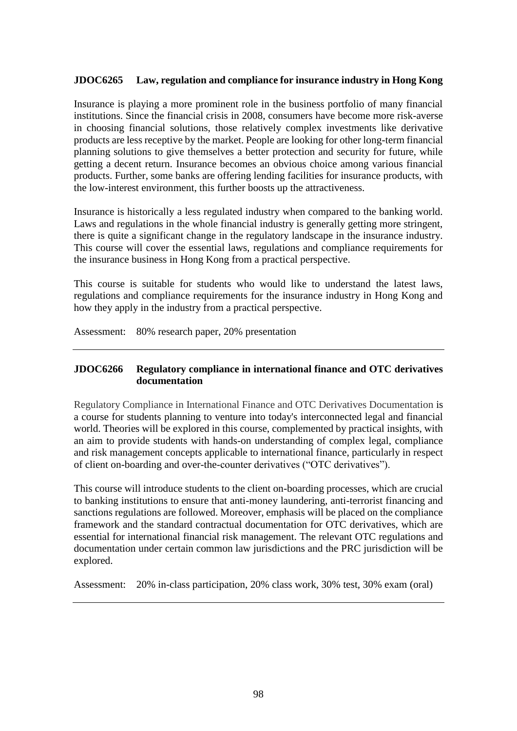## **JDOC6265 Law, regulation and compliance for insurance industry in Hong Kong**

Insurance is playing a more prominent role in the business portfolio of many financial institutions. Since the financial crisis in 2008, consumers have become more risk-averse in choosing financial solutions, those relatively complex investments like derivative products are less receptive by the market. People are looking for other long-term financial planning solutions to give themselves a better protection and security for future, while getting a decent return. Insurance becomes an obvious choice among various financial products. Further, some banks are offering lending facilities for insurance products, with the low-interest environment, this further boosts up the attractiveness.

Insurance is historically a less regulated industry when compared to the banking world. Laws and regulations in the whole financial industry is generally getting more stringent. there is quite a significant change in the regulatory landscape in the insurance industry. This course will cover the essential laws, regulations and compliance requirements for the insurance business in Hong Kong from a practical perspective.

This course is suitable for students who would like to understand the latest laws, regulations and compliance requirements for the insurance industry in Hong Kong and how they apply in the industry from a practical perspective.

Assessment: 80% research paper, 20% presentation

## **JDOC6266 Regulatory compliance in international finance and OTC derivatives documentation**

Regulatory Compliance in International Finance and OTC Derivatives Documentation is a course for students planning to venture into today's interconnected legal and financial world. Theories will be explored in this course, complemented by practical insights, with an aim to provide students with hands-on understanding of complex legal, compliance and risk management concepts applicable to international finance, particularly in respect of client on-boarding and over-the-counter derivatives ("OTC derivatives").

This course will introduce students to the client on-boarding processes, which are crucial to banking institutions to ensure that anti-money laundering, anti-terrorist financing and sanctions regulations are followed. Moreover, emphasis will be placed on the compliance framework and the standard contractual documentation for OTC derivatives, which are essential for international financial risk management. The relevant OTC regulations and documentation under certain common law jurisdictions and the PRC jurisdiction will be explored.

Assessment: 20% in-class participation, 20% class work, 30% test, 30% exam (oral)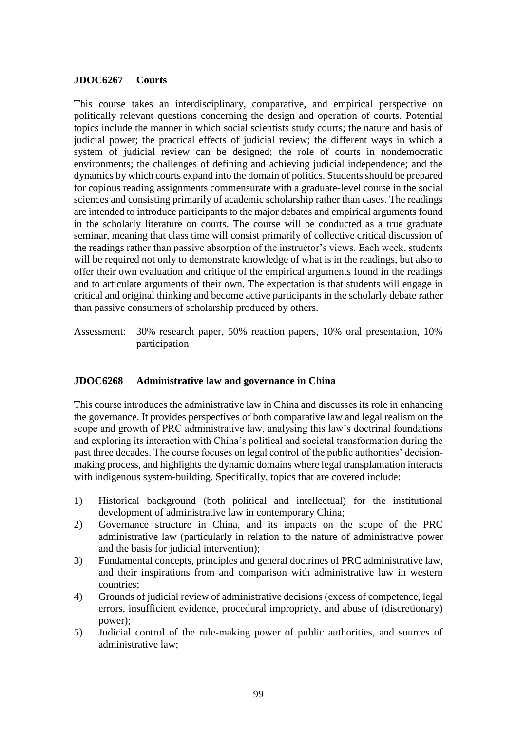### **JDOC6267 Courts**

This course takes an interdisciplinary, comparative, and empirical perspective on politically relevant questions concerning the design and operation of courts. Potential topics include the manner in which social scientists study courts; the nature and basis of judicial power; the practical effects of judicial review; the different ways in which a system of judicial review can be designed; the role of courts in nondemocratic environments; the challenges of defining and achieving judicial independence; and the dynamics by which courts expand into the domain of politics. Students should be prepared for copious reading assignments commensurate with a graduate-level course in the social sciences and consisting primarily of academic scholarship rather than cases. The readings are intended to introduce participants to the major debates and empirical arguments found in the scholarly literature on courts. The course will be conducted as a true graduate seminar, meaning that class time will consist primarily of collective critical discussion of the readings rather than passive absorption of the instructor's views. Each week, students will be required not only to demonstrate knowledge of what is in the readings, but also to offer their own evaluation and critique of the empirical arguments found in the readings and to articulate arguments of their own. The expectation is that students will engage in critical and original thinking and become active participants in the scholarly debate rather than passive consumers of scholarship produced by others.

Assessment: 30% research paper, 50% reaction papers, 10% oral presentation, 10% participation

### **JDOC6268 Administrative law and governance in China**

This course introduces the administrative law in China and discusses its role in enhancing the governance. It provides perspectives of both comparative law and legal realism on the scope and growth of PRC administrative law, analysing this law's doctrinal foundations and exploring its interaction with China's political and societal transformation during the past three decades. The course focuses on legal control of the public authorities' decisionmaking process, and highlights the dynamic domains where legal transplantation interacts with indigenous system-building. Specifically, topics that are covered include:

- 1) Historical background (both political and intellectual) for the institutional development of administrative law in contemporary China;
- 2) Governance structure in China, and its impacts on the scope of the PRC administrative law (particularly in relation to the nature of administrative power and the basis for judicial intervention);
- 3) Fundamental concepts, principles and general doctrines of PRC administrative law, and their inspirations from and comparison with administrative law in western countries;
- 4) Grounds of judicial review of administrative decisions (excess of competence, legal errors, insufficient evidence, procedural impropriety, and abuse of (discretionary) power);
- 5) Judicial control of the rule-making power of public authorities, and sources of administrative law;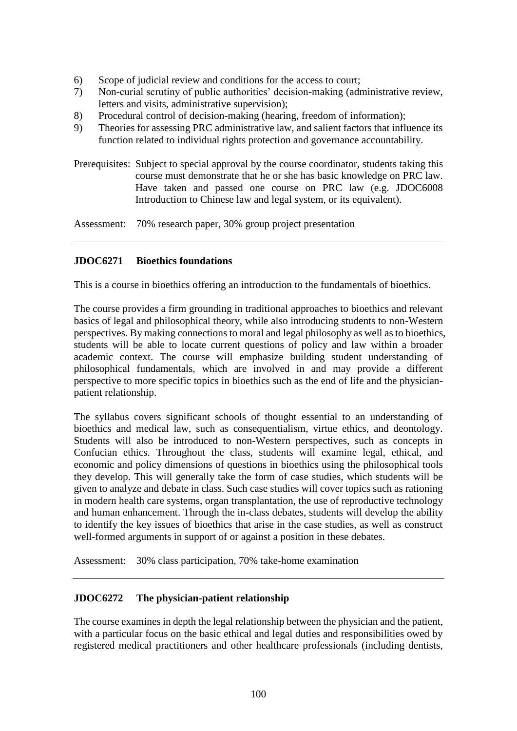- 6) Scope of judicial review and conditions for the access to court;
- 7) Non-curial scrutiny of public authorities' decision-making (administrative review, letters and visits, administrative supervision);
- 8) Procedural control of decision-making (hearing, freedom of information);
- 9) Theories for assessing PRC administrative law, and salient factors that influence its function related to individual rights protection and governance accountability.
- Prerequisites: Subject to special approval by the course coordinator, students taking this course must demonstrate that he or she has basic knowledge on PRC law. Have taken and passed one course on PRC law (e.g. JDOC6008 Introduction to Chinese law and legal system, or its equivalent).

Assessment: 70% research paper, 30% group project presentation

# **JDOC6271 Bioethics foundations**

This is a course in bioethics offering an introduction to the fundamentals of bioethics.

The course provides a firm grounding in traditional approaches to bioethics and relevant basics of legal and philosophical theory, while also introducing students to non-Western perspectives. By making connections to moral and legal philosophy as well as to bioethics, students will be able to locate current questions of policy and law within a broader academic context. The course will emphasize building student understanding of philosophical fundamentals, which are involved in and may provide a different perspective to more specific topics in bioethics such as the end of life and the physicianpatient relationship.

The syllabus covers significant schools of thought essential to an understanding of bioethics and medical law, such as consequentialism, virtue ethics, and deontology. Students will also be introduced to non-Western perspectives, such as concepts in Confucian ethics. Throughout the class, students will examine legal, ethical, and economic and policy dimensions of questions in bioethics using the philosophical tools they develop. This will generally take the form of case studies, which students will be given to analyze and debate in class. Such case studies will cover topics such as rationing in modern health care systems, organ transplantation, the use of reproductive technology and human enhancement. Through the in-class debates, students will develop the ability to identify the key issues of bioethics that arise in the case studies, as well as construct well-formed arguments in support of or against a position in these debates.

Assessment: 30% class participation, 70% take-home examination

# **JDOC6272 The physician-patient relationship**

The course examines in depth the legal relationship between the physician and the patient, with a particular focus on the basic ethical and legal duties and responsibilities owed by registered medical practitioners and other healthcare professionals (including dentists,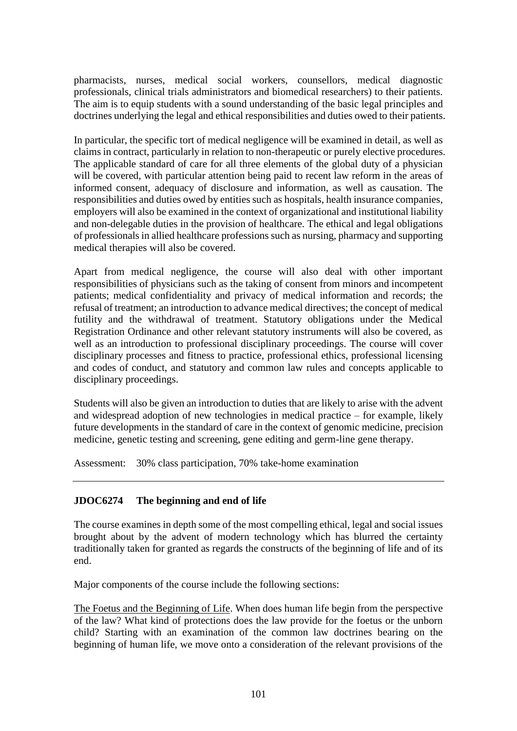pharmacists, nurses, medical social workers, counsellors, medical diagnostic professionals, clinical trials administrators and biomedical researchers) to their patients. The aim is to equip students with a sound understanding of the basic legal principles and doctrines underlying the legal and ethical responsibilities and duties owed to their patients.

In particular, the specific tort of medical negligence will be examined in detail, as well as claims in contract, particularly in relation to non-therapeutic or purely elective procedures. The applicable standard of care for all three elements of the global duty of a physician will be covered, with particular attention being paid to recent law reform in the areas of informed consent, adequacy of disclosure and information, as well as causation. The responsibilities and duties owed by entities such as hospitals, health insurance companies, employers will also be examined in the context of organizational and institutional liability and non-delegable duties in the provision of healthcare. The ethical and legal obligations of professionals in allied healthcare professions such as nursing, pharmacy and supporting medical therapies will also be covered.

Apart from medical negligence, the course will also deal with other important responsibilities of physicians such as the taking of consent from minors and incompetent patients; medical confidentiality and privacy of medical information and records; the refusal of treatment; an introduction to advance medical directives; the concept of medical futility and the withdrawal of treatment. Statutory obligations under the Medical Registration Ordinance and other relevant statutory instruments will also be covered, as well as an introduction to professional disciplinary proceedings. The course will cover disciplinary processes and fitness to practice, professional ethics, professional licensing and codes of conduct, and statutory and common law rules and concepts applicable to disciplinary proceedings.

Students will also be given an introduction to duties that are likely to arise with the advent and widespread adoption of new technologies in medical practice – for example, likely future developments in the standard of care in the context of genomic medicine, precision medicine, genetic testing and screening, gene editing and germ-line gene therapy.

Assessment: 30% class participation, 70% take-home examination

# **JDOC6274 The beginning and end of life**

The course examines in depth some of the most compelling ethical, legal and social issues brought about by the advent of modern technology which has blurred the certainty traditionally taken for granted as regards the constructs of the beginning of life and of its end.

Major components of the course include the following sections:

The Foetus and the Beginning of Life. When does human life begin from the perspective of the law? What kind of protections does the law provide for the foetus or the unborn child? Starting with an examination of the common law doctrines bearing on the beginning of human life, we move onto a consideration of the relevant provisions of the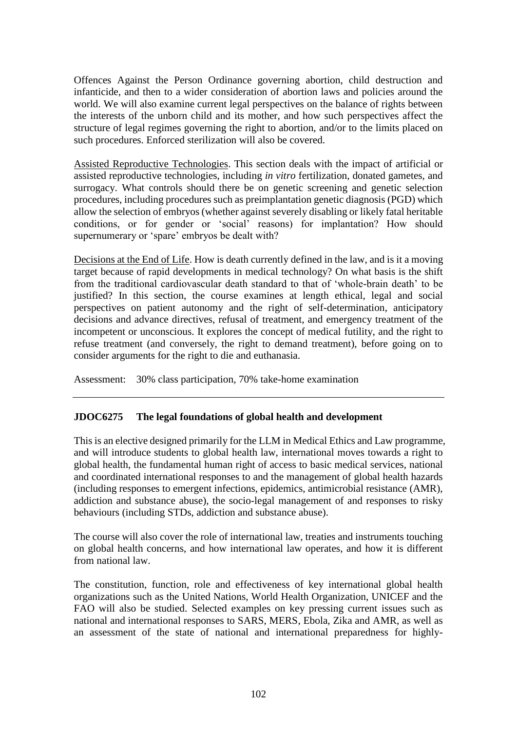Offences Against the Person Ordinance governing abortion, child destruction and infanticide, and then to a wider consideration of abortion laws and policies around the world. We will also examine current legal perspectives on the balance of rights between the interests of the unborn child and its mother, and how such perspectives affect the structure of legal regimes governing the right to abortion, and/or to the limits placed on such procedures. Enforced sterilization will also be covered.

Assisted Reproductive Technologies. This section deals with the impact of artificial or assisted reproductive technologies, including *in vitro* fertilization, donated gametes, and surrogacy. What controls should there be on genetic screening and genetic selection procedures, including procedures such as preimplantation genetic diagnosis (PGD) which allow the selection of embryos (whether against severely disabling or likely fatal heritable conditions, or for gender or 'social' reasons) for implantation? How should supernumerary or 'spare' embryos be dealt with?

Decisions at the End of Life. How is death currently defined in the law, and is it a moving target because of rapid developments in medical technology? On what basis is the shift from the traditional cardiovascular death standard to that of 'whole-brain death' to be justified? In this section, the course examines at length ethical, legal and social perspectives on patient autonomy and the right of self-determination, anticipatory decisions and advance directives, refusal of treatment, and emergency treatment of the incompetent or unconscious. It explores the concept of medical futility, and the right to refuse treatment (and conversely, the right to demand treatment), before going on to consider arguments for the right to die and euthanasia.

Assessment: 30% class participation, 70% take-home examination

# **JDOC6275 The legal foundations of global health and development**

This is an elective designed primarily for the LLM in Medical Ethics and Law programme, and will introduce students to global health law, international moves towards a right to global health, the fundamental human right of access to basic medical services, national and coordinated international responses to and the management of global health hazards (including responses to emergent infections, epidemics, antimicrobial resistance (AMR), addiction and substance abuse), the socio-legal management of and responses to risky behaviours (including STDs, addiction and substance abuse).

The course will also cover the role of international law, treaties and instruments touching on global health concerns, and how international law operates, and how it is different from national law.

The constitution, function, role and effectiveness of key international global health organizations such as the United Nations, World Health Organization, UNICEF and the FAO will also be studied. Selected examples on key pressing current issues such as national and international responses to SARS, MERS, Ebola, Zika and AMR, as well as an assessment of the state of national and international preparedness for highly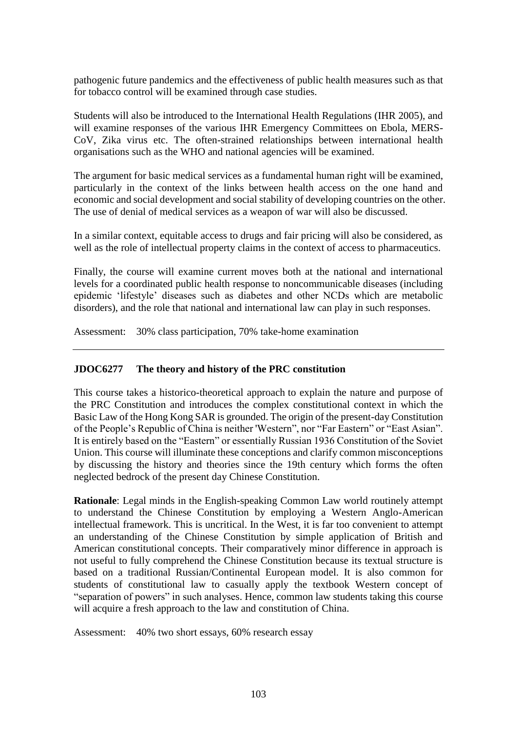pathogenic future pandemics and the effectiveness of public health measures such as that for tobacco control will be examined through case studies.

Students will also be introduced to the International Health Regulations (IHR 2005), and will examine responses of the various IHR Emergency Committees on Ebola, MERS-CoV, Zika virus etc. The often-strained relationships between international health organisations such as the WHO and national agencies will be examined.

The argument for basic medical services as a fundamental human right will be examined, particularly in the context of the links between health access on the one hand and economic and social development and social stability of developing countries on the other. The use of denial of medical services as a weapon of war will also be discussed.

In a similar context, equitable access to drugs and fair pricing will also be considered, as well as the role of intellectual property claims in the context of access to pharmaceutics.

Finally, the course will examine current moves both at the national and international levels for a coordinated public health response to noncommunicable diseases (including epidemic 'lifestyle' diseases such as diabetes and other NCDs which are metabolic disorders), and the role that national and international law can play in such responses.

Assessment: 30% class participation, 70% take-home examination

# **JDOC6277 The theory and history of the PRC constitution**

This course takes a historico-theoretical approach to explain the nature and purpose of the PRC Constitution and introduces the complex constitutional context in which the Basic Law of the Hong Kong SAR is grounded. The origin of the present-day Constitution of the People's Republic of China is neither 'Western", nor "Far Eastern" or "East Asian". It is entirely based on the "Eastern" or essentially Russian 1936 Constitution of the Soviet Union. This course will illuminate these conceptions and clarify common misconceptions by discussing the history and theories since the 19th century which forms the often neglected bedrock of the present day Chinese Constitution.

**Rationale**: Legal minds in the English-speaking Common Law world routinely attempt to understand the Chinese Constitution by employing a Western Anglo-American intellectual framework. This is uncritical. In the West, it is far too convenient to attempt an understanding of the Chinese Constitution by simple application of British and American constitutional concepts. Their comparatively minor difference in approach is not useful to fully comprehend the Chinese Constitution because its textual structure is based on a traditional Russian/Continental European model. It is also common for students of constitutional law to casually apply the textbook Western concept of "separation of powers" in such analyses. Hence, common law students taking this course will acquire a fresh approach to the law and constitution of China.

Assessment: 40% two short essays, 60% research essay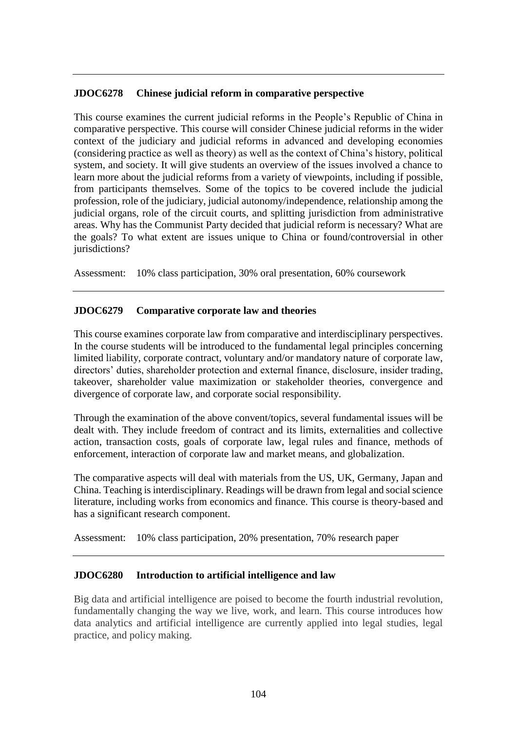## **JDOC6278 Chinese judicial reform in comparative perspective**

This course examines the current judicial reforms in the People's Republic of China in comparative perspective. This course will consider Chinese judicial reforms in the wider context of the judiciary and judicial reforms in advanced and developing economies (considering practice as well as theory) as well as the context of China's history, political system, and society. It will give students an overview of the issues involved a chance to learn more about the judicial reforms from a variety of viewpoints, including if possible, from participants themselves. Some of the topics to be covered include the judicial profession, role of the judiciary, judicial autonomy/independence, relationship among the judicial organs, role of the circuit courts, and splitting jurisdiction from administrative areas. Why has the Communist Party decided that judicial reform is necessary? What are the goals? To what extent are issues unique to China or found/controversial in other jurisdictions?

Assessment: 10% class participation, 30% oral presentation, 60% coursework

## **JDOC6279 Comparative corporate law and theories**

This course examines corporate law from comparative and interdisciplinary perspectives. In the course students will be introduced to the fundamental legal principles concerning limited liability, corporate contract, voluntary and/or mandatory nature of corporate law, directors' duties, shareholder protection and external finance, disclosure, insider trading, takeover, shareholder value maximization or stakeholder theories, convergence and divergence of corporate law, and corporate social responsibility.

Through the examination of the above convent/topics, several fundamental issues will be dealt with. They include freedom of contract and its limits, externalities and collective action, transaction costs, goals of corporate law, legal rules and finance, methods of enforcement, interaction of corporate law and market means, and globalization.

The comparative aspects will deal with materials from the US, UK, Germany, Japan and China. Teaching is interdisciplinary. Readings will be drawn from legal and social science literature, including works from economics and finance. This course is theory-based and has a significant research component.

Assessment: 10% class participation, 20% presentation, 70% research paper

### **JDOC6280 Introduction to artificial intelligence and law**

Big data and artificial intelligence are poised to become the fourth industrial revolution, fundamentally changing the way we live, work, and learn. This course introduces how data analytics and artificial intelligence are currently applied into legal studies, legal practice, and policy making.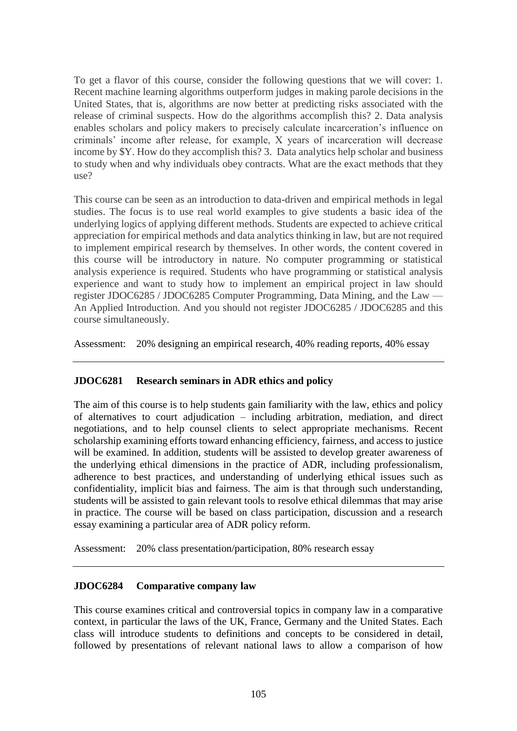To get a flavor of this course, consider the following questions that we will cover: 1. Recent machine learning algorithms outperform judges in making parole decisions in the United States, that is, algorithms are now better at predicting risks associated with the release of criminal suspects. How do the algorithms accomplish this? 2. Data analysis enables scholars and policy makers to precisely calculate incarceration's influence on criminals' income after release, for example, X years of incarceration will decrease income by \$Y. How do they accomplish this? 3. Data analytics help scholar and business to study when and why individuals obey contracts. What are the exact methods that they use?

This course can be seen as an introduction to data-driven and empirical methods in legal studies. The focus is to use real world examples to give students a basic idea of the underlying logics of applying different methods. Students are expected to achieve critical appreciation for empirical methods and data analytics thinking in law, but are not required to implement empirical research by themselves. In other words, the content covered in this course will be introductory in nature. No computer programming or statistical analysis experience is required. Students who have programming or statistical analysis experience and want to study how to implement an empirical project in law should register JDOC6285 / JDOC6285 Computer Programming, Data Mining, and the Law — An Applied Introduction. And you should not register JDOC6285 / JDOC6285 and this course simultaneously.

Assessment: 20% designing an empirical research, 40% reading reports, 40% essay

# **JDOC6281 Research seminars in ADR ethics and policy**

The aim of this course is to help students gain familiarity with the law, ethics and policy of alternatives to court adjudication – including arbitration, mediation, and direct negotiations, and to help counsel clients to select appropriate mechanisms. Recent scholarship examining efforts toward enhancing efficiency, fairness, and access to justice will be examined. In addition, students will be assisted to develop greater awareness of the underlying ethical dimensions in the practice of ADR, including professionalism, adherence to best practices, and understanding of underlying ethical issues such as confidentiality, implicit bias and fairness. The aim is that through such understanding, students will be assisted to gain relevant tools to resolve ethical dilemmas that may arise in practice. The course will be based on class participation, discussion and a research essay examining a particular area of ADR policy reform.

Assessment: 20% class presentation/participation, 80% research essay

### **JDOC6284 Comparative company law**

This course examines critical and controversial topics in company law in a comparative context, in particular the laws of the UK, France, Germany and the United States. Each class will introduce students to definitions and concepts to be considered in detail, followed by presentations of relevant national laws to allow a comparison of how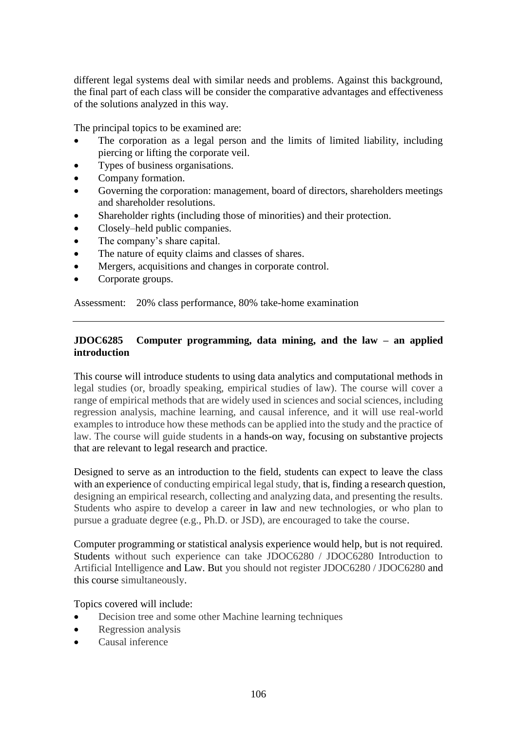different legal systems deal with similar needs and problems. Against this background, the final part of each class will be consider the comparative advantages and effectiveness of the solutions analyzed in this way.

The principal topics to be examined are:

- The corporation as a legal person and the limits of limited liability, including piercing or lifting the corporate veil.
- Types of business organisations.
- Company formation.
- Governing the corporation: management, board of directors, shareholders meetings and shareholder resolutions.
- Shareholder rights (including those of minorities) and their protection.
- Closely–held public companies.
- The company's share capital.
- The nature of equity claims and classes of shares.
- Mergers, acquisitions and changes in corporate control.
- Corporate groups.

Assessment: 20% class performance, 80% take-home examination

# **JDOC6285 Computer programming, data mining, and the law – an applied introduction**

This course will introduce students to using data analytics and computational methods in legal studies (or, broadly speaking, empirical studies of law). The course will cover a range of empirical methods that are widely used in sciences and social sciences, including regression analysis, machine learning, and causal inference, and it will use real-world examples to introduce how these methods can be applied into the study and the practice of law. The course will guide students in a hands-on way, focusing on substantive projects that are relevant to legal research and practice.

Designed to serve as an introduction to the field, students can expect to leave the class with an experience of conducting empirical legal study, that is, finding a research question, designing an empirical research, collecting and analyzing data, and presenting the results. Students who aspire to develop a career in law and new technologies, or who plan to pursue a graduate degree (e.g., Ph.D. or JSD), are encouraged to take the course.

Computer programming or statistical analysis experience would help, but is not required. Students without such experience can take JDOC6280 / JDOC6280 Introduction to Artificial Intelligence and Law. But you should not register JDOC6280 / JDOC6280 and this course simultaneously.

Topics covered will include:

- Decision tree and some other Machine learning techniques
- Regression analysis
- Causal inference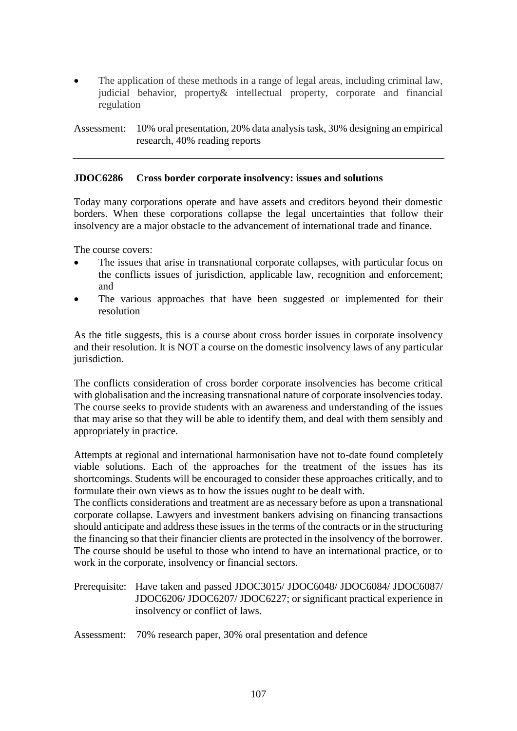The application of these methods in a range of legal areas, including criminal law, judicial behavior, property& intellectual property, corporate and financial regulation

Assessment: 10% oral presentation, 20% data analysis task, 30% designing an empirical research, 40% reading reports

## **JDOC6286 Cross border corporate insolvency: issues and solutions**

Today many corporations operate and have assets and creditors beyond their domestic borders. When these corporations collapse the legal uncertainties that follow their insolvency are a major obstacle to the advancement of international trade and finance.

The course covers:

- The issues that arise in transnational corporate collapses, with particular focus on the conflicts issues of jurisdiction, applicable law, recognition and enforcement; and
- The various approaches that have been suggested or implemented for their resolution

As the title suggests, this is a course about cross border issues in corporate insolvency and their resolution. It is NOT a course on the domestic insolvency laws of any particular jurisdiction.

The conflicts consideration of cross border corporate insolvencies has become critical with globalisation and the increasing transnational nature of corporate insolvencies today. The course seeks to provide students with an awareness and understanding of the issues that may arise so that they will be able to identify them, and deal with them sensibly and appropriately in practice.

Attempts at regional and international harmonisation have not to-date found completely viable solutions. Each of the approaches for the treatment of the issues has its shortcomings. Students will be encouraged to consider these approaches critically, and to formulate their own views as to how the issues ought to be dealt with.

The conflicts considerations and treatment are as necessary before as upon a transnational corporate collapse. Lawyers and investment bankers advising on financing transactions should anticipate and address these issues in the terms of the contracts or in the structuring the financing so that their financier clients are protected in the insolvency of the borrower. The course should be useful to those who intend to have an international practice, or to work in the corporate, insolvency or financial sectors.

- Prerequisite: Have taken and passed JDOC3015/ JDOC6048/ JDOC6084/ JDOC6087/ JDOC6206/ JDOC6207/ JDOC6227; or significant practical experience in insolvency or conflict of laws.
- Assessment: 70% research paper, 30% oral presentation and defence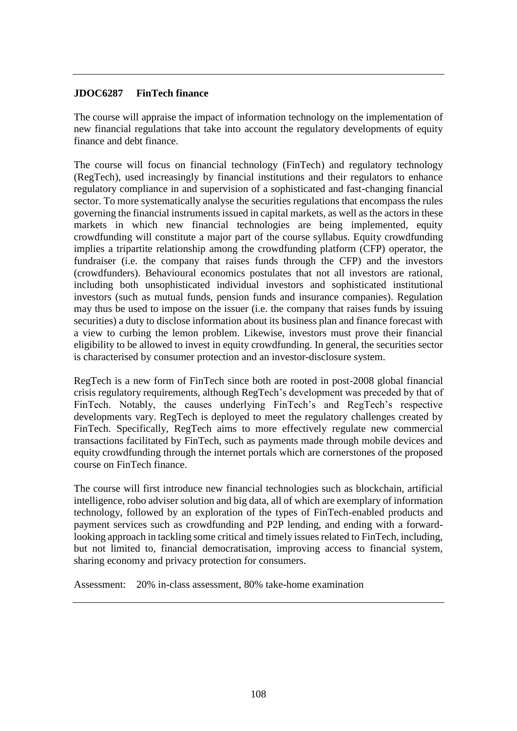# **JDOC6287 FinTech finance**

The course will appraise the impact of information technology on the implementation of new financial regulations that take into account the regulatory developments of equity finance and debt finance.

The course will focus on financial technology (FinTech) and regulatory technology (RegTech), used increasingly by financial institutions and their regulators to enhance regulatory compliance in and supervision of a sophisticated and fast-changing financial sector. To more systematically analyse the securities regulations that encompass the rules governing the financial instruments issued in capital markets, as well as the actors in these markets in which new financial technologies are being implemented, equity crowdfunding will constitute a major part of the course syllabus. Equity crowdfunding implies a tripartite relationship among the crowdfunding platform (CFP) operator, the fundraiser (i.e. the company that raises funds through the CFP) and the investors (crowdfunders). Behavioural economics postulates that not all investors are rational, including both unsophisticated individual investors and sophisticated institutional investors (such as mutual funds, pension funds and insurance companies). Regulation may thus be used to impose on the issuer (i.e. the company that raises funds by issuing securities) a duty to disclose information about its business plan and finance forecast with a view to curbing the lemon problem. Likewise, investors must prove their financial eligibility to be allowed to invest in equity crowdfunding. In general, the securities sector is characterised by consumer protection and an investor-disclosure system.

RegTech is a new form of FinTech since both are rooted in post-2008 global financial crisis regulatory requirements, although RegTech's development was preceded by that of FinTech. Notably, the causes underlying FinTech's and RegTech's respective developments vary. RegTech is deployed to meet the regulatory challenges created by FinTech. Specifically, RegTech aims to more effectively regulate new commercial transactions facilitated by FinTech, such as payments made through mobile devices and equity crowdfunding through the internet portals which are cornerstones of the proposed course on FinTech finance.

The course will first introduce new financial technologies such as blockchain, artificial intelligence, robo adviser solution and big data, all of which are exemplary of information technology, followed by an exploration of the types of FinTech-enabled products and payment services such as crowdfunding and P2P lending, and ending with a forwardlooking approach in tackling some critical and timely issues related to FinTech, including, but not limited to, financial democratisation, improving access to financial system, sharing economy and privacy protection for consumers.

Assessment: 20% in-class assessment, 80% take-home examination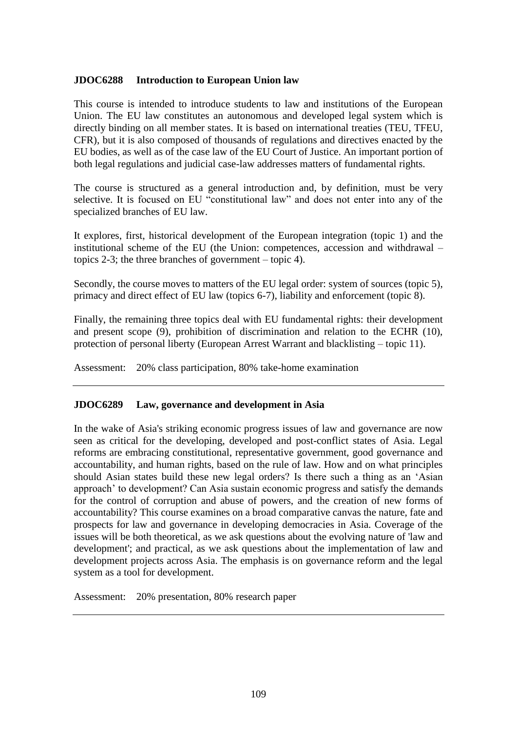### **JDOC6288 Introduction to European Union law**

This course is intended to introduce students to law and institutions of the European Union. The EU law constitutes an autonomous and developed legal system which is directly binding on all member states. It is based on international treaties (TEU, TFEU, CFR), but it is also composed of thousands of regulations and directives enacted by the EU bodies, as well as of the case law of the EU Court of Justice. An important portion of both legal regulations and judicial case-law addresses matters of fundamental rights.

The course is structured as a general introduction and, by definition, must be very selective. It is focused on EU "constitutional law" and does not enter into any of the specialized branches of EU law.

It explores, first, historical development of the European integration (topic 1) and the institutional scheme of the EU (the Union: competences, accession and withdrawal – topics 2-3; the three branches of government – topic 4).

Secondly, the course moves to matters of the EU legal order: system of sources (topic 5), primacy and direct effect of EU law (topics 6-7), liability and enforcement (topic 8).

Finally, the remaining three topics deal with EU fundamental rights: their development and present scope (9), prohibition of discrimination and relation to the ECHR (10), protection of personal liberty (European Arrest Warrant and blacklisting – topic 11).

Assessment: 20% class participation, 80% take-home examination

## **JDOC6289 Law, governance and development in Asia**

In the wake of Asia's striking economic progress issues of law and governance are now seen as critical for the developing, developed and post-conflict states of Asia. Legal reforms are embracing constitutional, representative government, good governance and accountability, and human rights, based on the rule of law. How and on what principles should Asian states build these new legal orders? Is there such a thing as an 'Asian approach' to development? Can Asia sustain economic progress and satisfy the demands for the control of corruption and abuse of powers, and the creation of new forms of accountability? This course examines on a broad comparative canvas the nature, fate and prospects for law and governance in developing democracies in Asia. Coverage of the issues will be both theoretical, as we ask questions about the evolving nature of 'law and development'; and practical, as we ask questions about the implementation of law and development projects across Asia. The emphasis is on governance reform and the legal system as a tool for development.

Assessment: 20% presentation, 80% research paper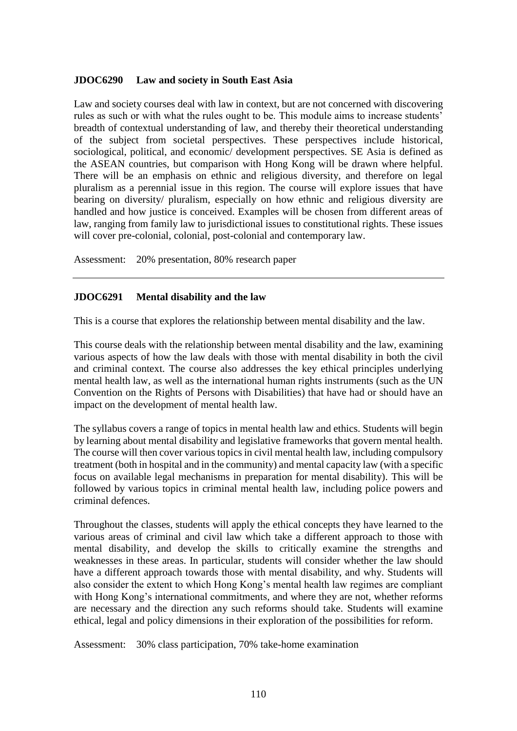#### **JDOC6290 Law and society in South East Asia**

Law and society courses deal with law in context, but are not concerned with discovering rules as such or with what the rules ought to be. This module aims to increase students' breadth of contextual understanding of law, and thereby their theoretical understanding of the subject from societal perspectives. These perspectives include historical, sociological, political, and economic/ development perspectives. SE Asia is defined as the ASEAN countries, but comparison with Hong Kong will be drawn where helpful. There will be an emphasis on ethnic and religious diversity, and therefore on legal pluralism as a perennial issue in this region. The course will explore issues that have bearing on diversity/ pluralism, especially on how ethnic and religious diversity are handled and how justice is conceived. Examples will be chosen from different areas of law, ranging from family law to jurisdictional issues to constitutional rights. These issues will cover pre-colonial, colonial, post-colonial and contemporary law.

Assessment: 20% presentation, 80% research paper

### **JDOC6291 Mental disability and the law**

This is a course that explores the relationship between mental disability and the law.

This course deals with the relationship between mental disability and the law, examining various aspects of how the law deals with those with mental disability in both the civil and criminal context. The course also addresses the key ethical principles underlying mental health law, as well as the international human rights instruments (such as the UN Convention on the Rights of Persons with Disabilities) that have had or should have an impact on the development of mental health law.

The syllabus covers a range of topics in mental health law and ethics. Students will begin by learning about mental disability and legislative frameworks that govern mental health. The course will then cover various topics in civil mental health law, including compulsory treatment (both in hospital and in the community) and mental capacity law (with a specific focus on available legal mechanisms in preparation for mental disability). This will be followed by various topics in criminal mental health law, including police powers and criminal defences.

Throughout the classes, students will apply the ethical concepts they have learned to the various areas of criminal and civil law which take a different approach to those with mental disability, and develop the skills to critically examine the strengths and weaknesses in these areas. In particular, students will consider whether the law should have a different approach towards those with mental disability, and why. Students will also consider the extent to which Hong Kong's mental health law regimes are compliant with Hong Kong's international commitments, and where they are not, whether reforms are necessary and the direction any such reforms should take. Students will examine ethical, legal and policy dimensions in their exploration of the possibilities for reform.

Assessment: 30% class participation, 70% take-home examination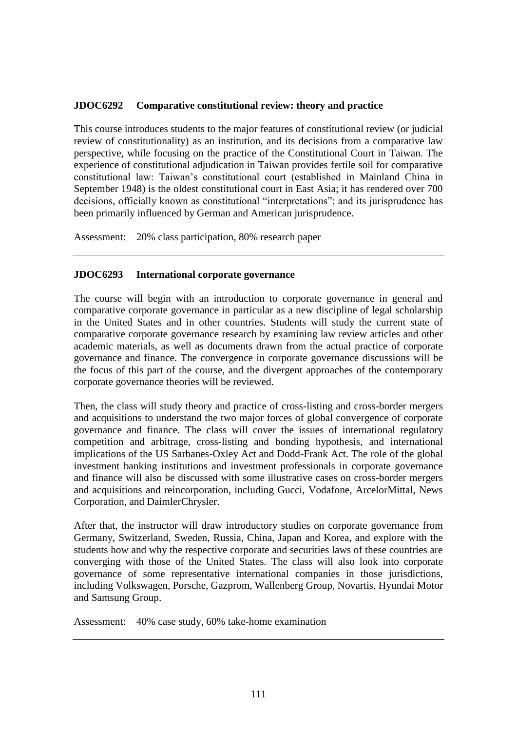### **JDOC6292 Comparative constitutional review: theory and practice**

This course introduces students to the major features of constitutional review (or judicial review of constitutionality) as an institution, and its decisions from a comparative law perspective, while focusing on the practice of the Constitutional Court in Taiwan. The experience of constitutional adjudication in Taiwan provides fertile soil for comparative constitutional law: Taiwan's constitutional court (established in Mainland China in September 1948) is the oldest constitutional court in East Asia; it has rendered over 700 decisions, officially known as constitutional "interpretations"; and its jurisprudence has been primarily influenced by German and American jurisprudence.

Assessment: 20% class participation, 80% research paper

### **JDOC6293 International corporate governance**

The course will begin with an introduction to corporate governance in general and comparative corporate governance in particular as a new discipline of legal scholarship in the United States and in other countries. Students will study the current state of comparative corporate governance research by examining law review articles and other academic materials, as well as documents drawn from the actual practice of corporate governance and finance. The convergence in corporate governance discussions will be the focus of this part of the course, and the divergent approaches of the contemporary corporate governance theories will be reviewed.

Then, the class will study theory and practice of cross-listing and cross-border mergers and acquisitions to understand the two major forces of global convergence of corporate governance and finance. The class will cover the issues of international regulatory competition and arbitrage, cross-listing and bonding hypothesis, and international implications of the US Sarbanes-Oxley Act and Dodd-Frank Act. The role of the global investment banking institutions and investment professionals in corporate governance and finance will also be discussed with some illustrative cases on cross-border mergers and acquisitions and reincorporation, including Gucci, Vodafone, ArcelorMittal, News Corporation, and DaimlerChrysler.

After that, the instructor will draw introductory studies on corporate governance from Germany, Switzerland, Sweden, Russia, China, Japan and Korea, and explore with the students how and why the respective corporate and securities laws of these countries are converging with those of the United States. The class will also look into corporate governance of some representative international companies in those jurisdictions, including Volkswagen, Porsche, Gazprom, Wallenberg Group, Novartis, Hyundai Motor and Samsung Group.

Assessment: 40% case study, 60% take-home examination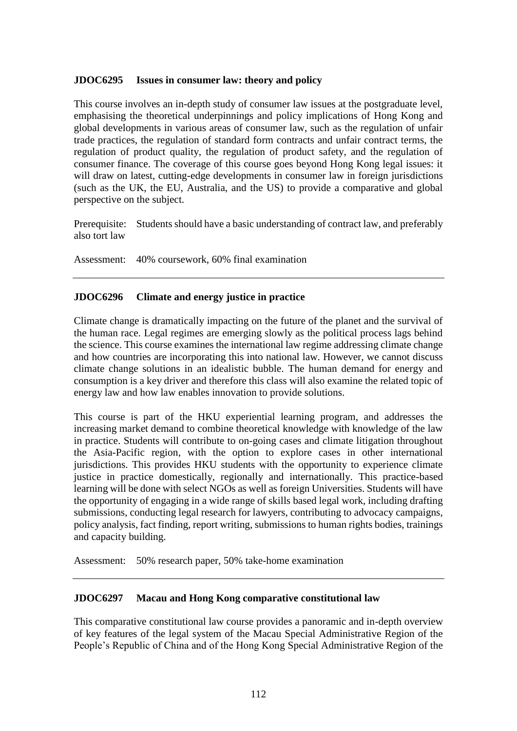### **JDOC6295 Issues in consumer law: theory and policy**

This course involves an in-depth study of consumer law issues at the postgraduate level, emphasising the theoretical underpinnings and policy implications of Hong Kong and global developments in various areas of consumer law, such as the regulation of unfair trade practices, the regulation of standard form contracts and unfair contract terms, the regulation of product quality, the regulation of product safety, and the regulation of consumer finance. The coverage of this course goes beyond Hong Kong legal issues: it will draw on latest, cutting-edge developments in consumer law in foreign jurisdictions (such as the UK, the EU, Australia, and the US) to provide a comparative and global perspective on the subject.

Prerequisite: Students should have a basic understanding of contract law, and preferably also tort law

Assessment: 40% coursework, 60% final examination

## **JDOC6296 Climate and energy justice in practice**

Climate change is dramatically impacting on the future of the planet and the survival of the human race. Legal regimes are emerging slowly as the political process lags behind the science. This course examines the international law regime addressing climate change and how countries are incorporating this into national law. However, we cannot discuss climate change solutions in an idealistic bubble. The human demand for energy and consumption is a key driver and therefore this class will also examine the related topic of energy law and how law enables innovation to provide solutions.

This course is part of the HKU experiential learning program, and addresses the increasing market demand to combine theoretical knowledge with knowledge of the law in practice. Students will contribute to on-going cases and climate litigation throughout the Asia-Pacific region, with the option to explore cases in other international jurisdictions. This provides HKU students with the opportunity to experience climate justice in practice domestically, regionally and internationally. This practice-based learning will be done with select NGOs as well as foreign Universities. Students will have the opportunity of engaging in a wide range of skills based legal work, including drafting submissions, conducting legal research for lawyers, contributing to advocacy campaigns, policy analysis, fact finding, report writing, submissions to human rights bodies, trainings and capacity building.

Assessment: 50% research paper, 50% take-home examination

#### **JDOC6297 Macau and Hong Kong comparative constitutional law**

This comparative constitutional law course provides a panoramic and in-depth overview of key features of the legal system of the Macau Special Administrative Region of the People's Republic of China and of the Hong Kong Special Administrative Region of the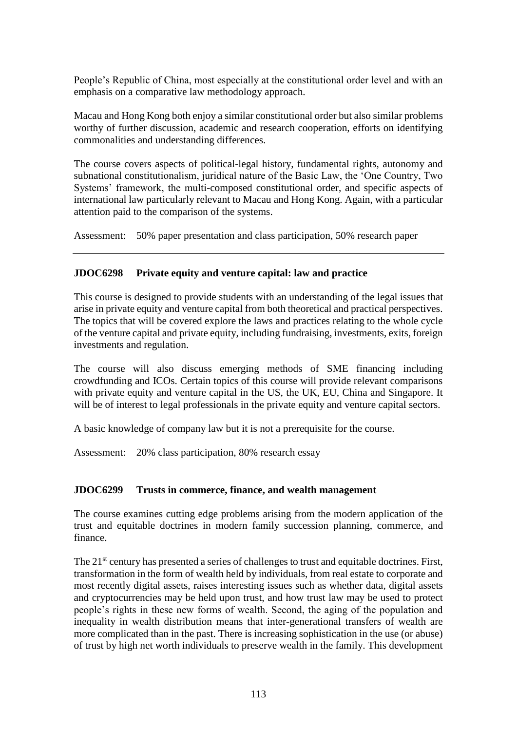People's Republic of China, most especially at the constitutional order level and with an emphasis on a comparative law methodology approach.

Macau and Hong Kong both enjoy a similar constitutional order but also similar problems worthy of further discussion, academic and research cooperation, efforts on identifying commonalities and understanding differences.

The course covers aspects of political-legal history, fundamental rights, autonomy and subnational constitutionalism, juridical nature of the Basic Law, the 'One Country, Two Systems' framework, the multi-composed constitutional order, and specific aspects of international law particularly relevant to Macau and Hong Kong. Again, with a particular attention paid to the comparison of the systems.

Assessment: 50% paper presentation and class participation, 50% research paper

## **JDOC6298 Private equity and venture capital: law and practice**

This course is designed to provide students with an understanding of the legal issues that arise in private equity and venture capital from both theoretical and practical perspectives. The topics that will be covered explore the laws and practices relating to the whole cycle of the venture capital and private equity, including fundraising, investments, exits, foreign investments and regulation.

The course will also discuss emerging methods of SME financing including crowdfunding and ICOs. Certain topics of this course will provide relevant comparisons with private equity and venture capital in the US, the UK, EU, China and Singapore. It will be of interest to legal professionals in the private equity and venture capital sectors.

A basic knowledge of company law but it is not a prerequisite for the course.

Assessment: 20% class participation, 80% research essay

#### **JDOC6299 Trusts in commerce, finance, and wealth management**

The course examines cutting edge problems arising from the modern application of the trust and equitable doctrines in modern family succession planning, commerce, and finance.

The 21<sup>st</sup> century has presented a series of challenges to trust and equitable doctrines. First, transformation in the form of wealth held by individuals, from real estate to corporate and most recently digital assets, raises interesting issues such as whether data, digital assets and cryptocurrencies may be held upon trust, and how trust law may be used to protect people's rights in these new forms of wealth. Second, the aging of the population and inequality in wealth distribution means that inter-generational transfers of wealth are more complicated than in the past. There is increasing sophistication in the use (or abuse) of trust by high net worth individuals to preserve wealth in the family. This development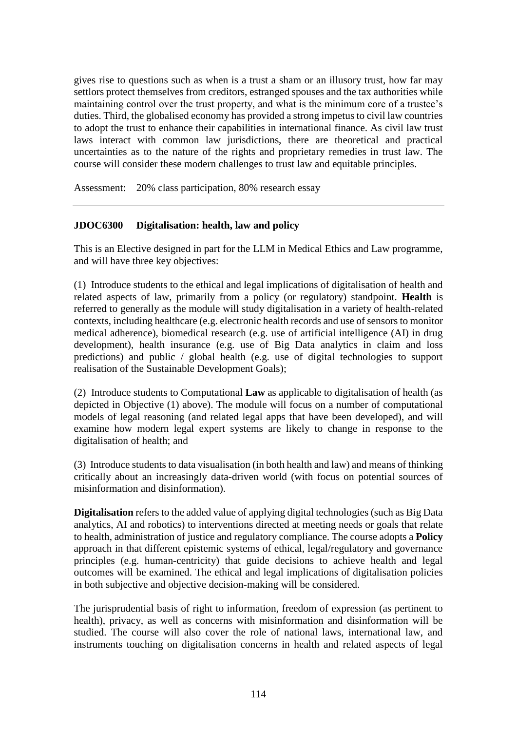gives rise to questions such as when is a trust a sham or an illusory trust, how far may settlors protect themselves from creditors, estranged spouses and the tax authorities while maintaining control over the trust property, and what is the minimum core of a trustee's duties. Third, the globalised economy has provided a strong impetus to civil law countries to adopt the trust to enhance their capabilities in international finance. As civil law trust laws interact with common law jurisdictions, there are theoretical and practical uncertainties as to the nature of the rights and proprietary remedies in trust law. The course will consider these modern challenges to trust law and equitable principles.

Assessment: 20% class participation, 80% research essay

## **JDOC6300 Digitalisation: health, law and policy**

This is an Elective designed in part for the LLM in Medical Ethics and Law programme, and will have three key objectives:

(1) Introduce students to the ethical and legal implications of digitalisation of health and related aspects of law, primarily from a policy (or regulatory) standpoint. **Health** is referred to generally as the module will study digitalisation in a variety of health-related contexts, including healthcare (e.g. electronic health records and use of sensors to monitor medical adherence), biomedical research (e.g. use of artificial intelligence (AI) in drug development), health insurance (e.g. use of Big Data analytics in claim and loss predictions) and public / global health (e.g. use of digital technologies to support realisation of the Sustainable Development Goals);

(2) Introduce students to Computational **Law** as applicable to digitalisation of health (as depicted in Objective (1) above). The module will focus on a number of computational models of legal reasoning (and related legal apps that have been developed), and will examine how modern legal expert systems are likely to change in response to the digitalisation of health; and

(3) Introduce students to data visualisation (in both health and law) and means of thinking critically about an increasingly data-driven world (with focus on potential sources of misinformation and disinformation).

**Digitalisation** refers to the added value of applying digital technologies (such as Big Data analytics, AI and robotics) to interventions directed at meeting needs or goals that relate to health, administration of justice and regulatory compliance. The course adopts a **Policy** approach in that different epistemic systems of ethical, legal/regulatory and governance principles (e.g. human-centricity) that guide decisions to achieve health and legal outcomes will be examined. The ethical and legal implications of digitalisation policies in both subjective and objective decision-making will be considered.

The jurisprudential basis of right to information, freedom of expression (as pertinent to health), privacy, as well as concerns with misinformation and disinformation will be studied. The course will also cover the role of national laws, international law, and instruments touching on digitalisation concerns in health and related aspects of legal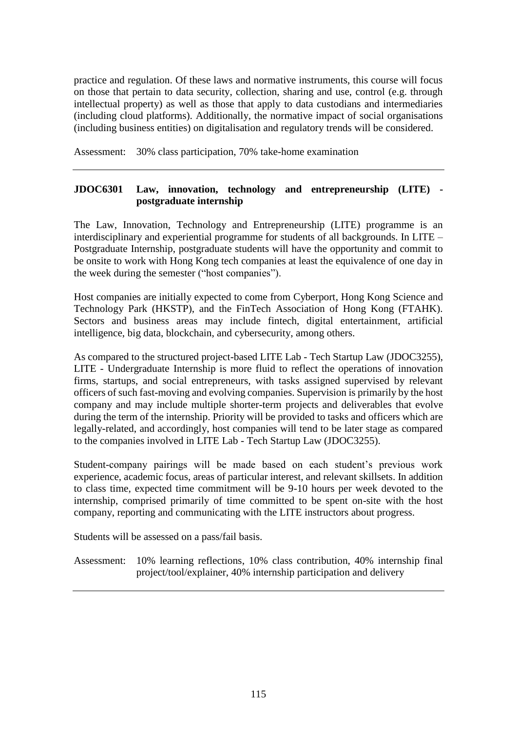practice and regulation. Of these laws and normative instruments, this course will focus on those that pertain to data security, collection, sharing and use, control (e.g. through intellectual property) as well as those that apply to data custodians and intermediaries (including cloud platforms). Additionally, the normative impact of social organisations (including business entities) on digitalisation and regulatory trends will be considered.

Assessment: 30% class participation, 70% take-home examination

# **JDOC6301 Law, innovation, technology and entrepreneurship (LITE) postgraduate internship**

The Law, Innovation, Technology and Entrepreneurship (LITE) programme is an interdisciplinary and experiential programme for students of all backgrounds. In LITE – Postgraduate Internship, postgraduate students will have the opportunity and commit to be onsite to work with Hong Kong tech companies at least the equivalence of one day in the week during the semester ("host companies").

Host companies are initially expected to come from Cyberport, Hong Kong Science and Technology Park (HKSTP), and the FinTech Association of Hong Kong (FTAHK). Sectors and business areas may include fintech, digital entertainment, artificial intelligence, big data, blockchain, and cybersecurity, among others.

As compared to the structured project-based LITE Lab - Tech Startup Law (JDOC3255), LITE - Undergraduate Internship is more fluid to reflect the operations of innovation firms, startups, and social entrepreneurs, with tasks assigned supervised by relevant officers of such fast-moving and evolving companies. Supervision is primarily by the host company and may include multiple shorter-term projects and deliverables that evolve during the term of the internship. Priority will be provided to tasks and officers which are legally-related, and accordingly, host companies will tend to be later stage as compared to the companies involved in LITE Lab - Tech Startup Law (JDOC3255).

Student-company pairings will be made based on each student's previous work experience, academic focus, areas of particular interest, and relevant skillsets. In addition to class time, expected time commitment will be 9-10 hours per week devoted to the internship, comprised primarily of time committed to be spent on-site with the host company, reporting and communicating with the LITE instructors about progress.

Students will be assessed on a pass/fail basis.

Assessment: 10% learning reflections, 10% class contribution, 40% internship final project/tool/explainer, 40% internship participation and delivery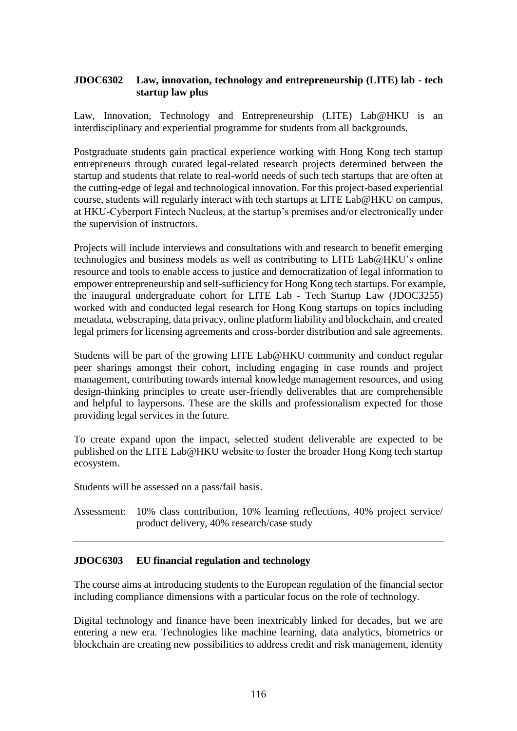# **JDOC6302 Law, innovation, technology and entrepreneurship (LITE) lab - tech startup law plus**

Law, Innovation, Technology and Entrepreneurship (LITE) Lab@HKU is an interdisciplinary and experiential programme for students from all backgrounds.

Postgraduate students gain practical experience working with Hong Kong tech startup entrepreneurs through curated legal-related research projects determined between the startup and students that relate to real-world needs of such tech startups that are often at the cutting-edge of legal and technological innovation. For this project-based experiential course, students will regularly interact with tech startups at LITE Lab@HKU on campus, at HKU-Cyberport Fintech Nucleus, at the startup's premises and/or electronically under the supervision of instructors.

Projects will include interviews and consultations with and research to benefit emerging technologies and business models as well as contributing to LITE  $Lab@HKU$ 's online resource and tools to enable access to justice and democratization of legal information to empower entrepreneurship and self-sufficiency for Hong Kong tech startups. For example, the inaugural undergraduate cohort for LITE Lab - Tech Startup Law (JDOC3255) worked with and conducted legal research for Hong Kong startups on topics including metadata, webscraping, data privacy, online platform liability and blockchain, and created legal primers for licensing agreements and cross-border distribution and sale agreements.

Students will be part of the growing LITE Lab@HKU community and conduct regular peer sharings amongst their cohort, including engaging in case rounds and project management, contributing towards internal knowledge management resources, and using design-thinking principles to create user-friendly deliverables that are comprehensible and helpful to laypersons. These are the skills and professionalism expected for those providing legal services in the future.

To create expand upon the impact, selected student deliverable are expected to be published on the LITE Lab@HKU website to foster the broader Hong Kong tech startup ecosystem.

Students will be assessed on a pass/fail basis.

Assessment: 10% class contribution, 10% learning reflections, 40% project service/ product delivery, 40% research/case study

## **JDOC6303 EU financial regulation and technology**

The course aims at introducing students to the European regulation of the financial sector including compliance dimensions with a particular focus on the role of technology.

Digital technology and finance have been inextricably linked for decades, but we are entering a new era. Technologies like machine learning, data analytics, biometrics or blockchain are creating new possibilities to address credit and risk management, identity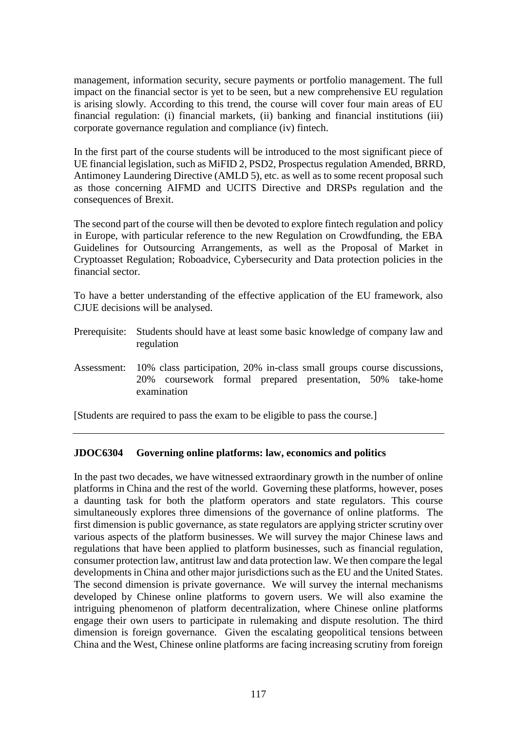management, information security, secure payments or portfolio management. The full impact on the financial sector is yet to be seen, but a new comprehensive EU regulation is arising slowly. According to this trend, the course will cover four main areas of EU financial regulation: (i) financial markets, (ii) banking and financial institutions (iii) corporate governance regulation and compliance (iv) fintech.

In the first part of the course students will be introduced to the most significant piece of UE financial legislation, such as MiFID 2, PSD2, Prospectus regulation Amended, BRRD, Antimoney Laundering Directive (AMLD 5), etc. as well as to some recent proposal such as those concerning AIFMD and UCITS Directive and DRSPs regulation and the consequences of Brexit.

The second part of the course will then be devoted to explore fintech regulation and policy in Europe, with particular reference to the new Regulation on Crowdfunding, the EBA Guidelines for Outsourcing Arrangements, as well as the Proposal of Market in Cryptoasset Regulation; Roboadvice, Cybersecurity and Data protection policies in the financial sector.

To have a better understanding of the effective application of the EU framework, also CJUE decisions will be analysed.

- Prerequisite: Students should have at least some basic knowledge of company law and regulation
- Assessment: 10% class participation, 20% in-class small groups course discussions, 20% coursework formal prepared presentation, 50% take-home examination

[Students are required to pass the exam to be eligible to pass the course.]

## **JDOC6304 Governing online platforms: law, economics and politics**

In the past two decades, we have witnessed extraordinary growth in the number of online platforms in China and the rest of the world. Governing these platforms, however, poses a daunting task for both the platform operators and state regulators. This course simultaneously explores three dimensions of the governance of online platforms. The first dimension is public governance, as state regulators are applying stricter scrutiny over various aspects of the platform businesses. We will survey the major Chinese laws and regulations that have been applied to platform businesses, such as financial regulation, consumer protection law, antitrust law and data protection law. We then compare the legal developments in China and other major jurisdictions such as the EU and the United States. The second dimension is private governance. We will survey the internal mechanisms developed by Chinese online platforms to govern users. We will also examine the intriguing phenomenon of platform decentralization, where Chinese online platforms engage their own users to participate in rulemaking and dispute resolution. The third dimension is foreign governance. Given the escalating geopolitical tensions between China and the West, Chinese online platforms are facing increasing scrutiny from foreign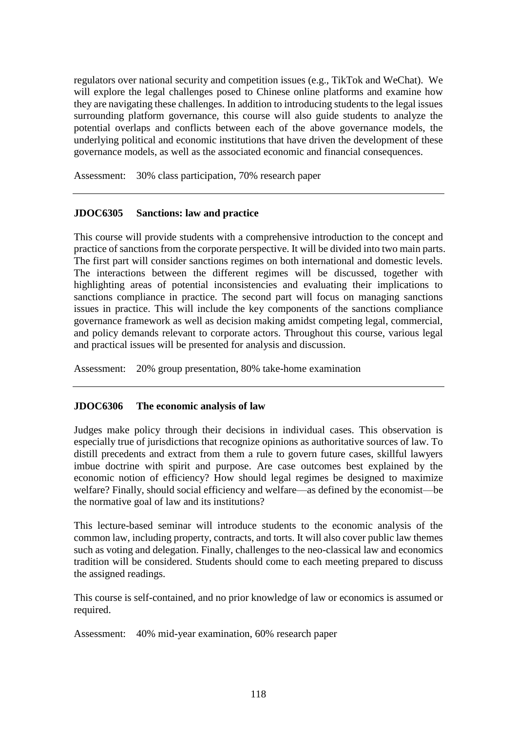regulators over national security and competition issues (e.g., TikTok and WeChat). We will explore the legal challenges posed to Chinese online platforms and examine how they are navigating these challenges. In addition to introducing students to the legal issues surrounding platform governance, this course will also guide students to analyze the potential overlaps and conflicts between each of the above governance models, the underlying political and economic institutions that have driven the development of these governance models, as well as the associated economic and financial consequences.

Assessment: 30% class participation, 70% research paper

## **JDOC6305 Sanctions: law and practice**

This course will provide students with a comprehensive introduction to the concept and practice of sanctions from the corporate perspective. It will be divided into two main parts. The first part will consider sanctions regimes on both international and domestic levels. The interactions between the different regimes will be discussed, together with highlighting areas of potential inconsistencies and evaluating their implications to sanctions compliance in practice. The second part will focus on managing sanctions issues in practice. This will include the key components of the sanctions compliance governance framework as well as decision making amidst competing legal, commercial, and policy demands relevant to corporate actors. Throughout this course, various legal and practical issues will be presented for analysis and discussion.

Assessment: 20% group presentation, 80% take-home examination

#### **JDOC6306 The economic analysis of law**

Judges make policy through their decisions in individual cases. This observation is especially true of jurisdictions that recognize opinions as authoritative sources of law. To distill precedents and extract from them a rule to govern future cases, skillful lawyers imbue doctrine with spirit and purpose. Are case outcomes best explained by the economic notion of efficiency? How should legal regimes be designed to maximize welfare? Finally, should social efficiency and welfare—as defined by the economist—be the normative goal of law and its institutions?

This lecture-based seminar will introduce students to the economic analysis of the common law, including property, contracts, and torts. It will also cover public law themes such as voting and delegation. Finally, challenges to the neo-classical law and economics tradition will be considered. Students should come to each meeting prepared to discuss the assigned readings.

This course is self-contained, and no prior knowledge of law or economics is assumed or required.

Assessment: 40% mid-year examination, 60% research paper